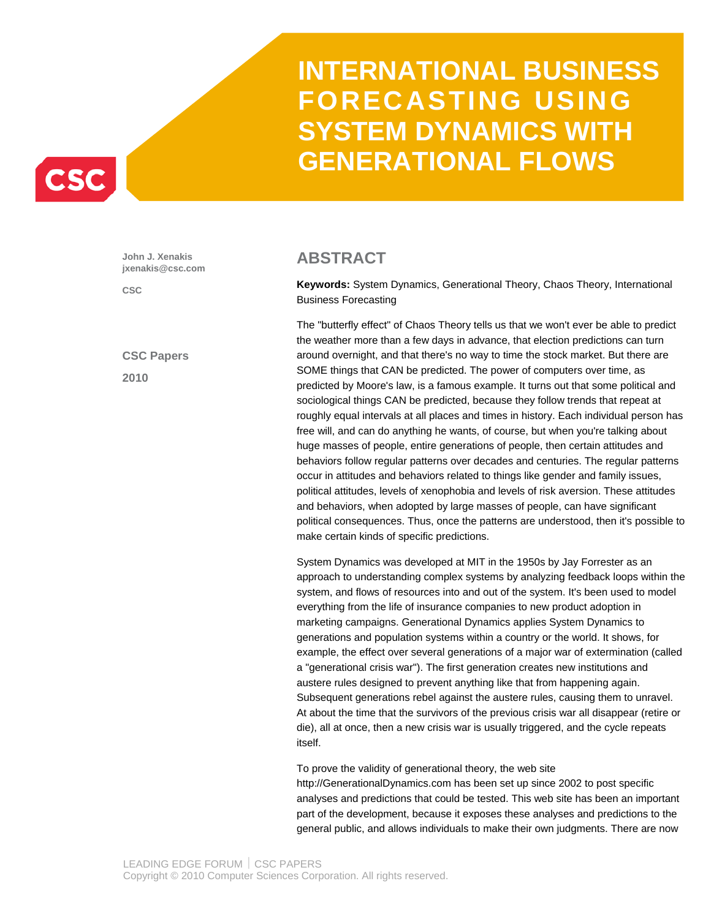

**John J. Xenakis jxenakis@csc.com** 

**CSC** 

**CSC Papers 2010** 

### **ABSTRACT**

**Keywords:** System Dynamics, Generational Theory, Chaos Theory, International Business Forecasting

The "butterfly effect" of Chaos Theory tells us that we won't ever be able to predict the weather more than a few days in advance, that election predictions can turn around overnight, and that there's no way to time the stock market. But there are SOME things that CAN be predicted. The power of computers over time, as predicted by Moore's law, is a famous example. It turns out that some political and sociological things CAN be predicted, because they follow trends that repeat at roughly equal intervals at all places and times in history. Each individual person has free will, and can do anything he wants, of course, but when you're talking about huge masses of people, entire generations of people, then certain attitudes and behaviors follow regular patterns over decades and centuries. The regular patterns occur in attitudes and behaviors related to things like gender and family issues, political attitudes, levels of xenophobia and levels of risk aversion. These attitudes and behaviors, when adopted by large masses of people, can have significant political consequences. Thus, once the patterns are understood, then it's possible to make certain kinds of specific predictions.

System Dynamics was developed at MIT in the 1950s by Jay Forrester as an approach to understanding complex systems by analyzing feedback loops within the system, and flows of resources into and out of the system. It's been used to model everything from the life of insurance companies to new product adoption in marketing campaigns. Generational Dynamics applies System Dynamics to generations and population systems within a country or the world. It shows, for example, the effect over several generations of a major war of extermination (called a "generational crisis war"). The first generation creates new institutions and austere rules designed to prevent anything like that from happening again. Subsequent generations rebel against the austere rules, causing them to unravel. At about the time that the survivors of the previous crisis war all disappear (retire or die), all at once, then a new crisis war is usually triggered, and the cycle repeats itself.

To prove the validity of generational theory, the web site http://GenerationalDynamics.com has been set up since 2002 to post specific analyses and predictions that could be tested. This web site has been an important part of the development, because it exposes these analyses and predictions to the general public, and allows individuals to make their own judgments. There are now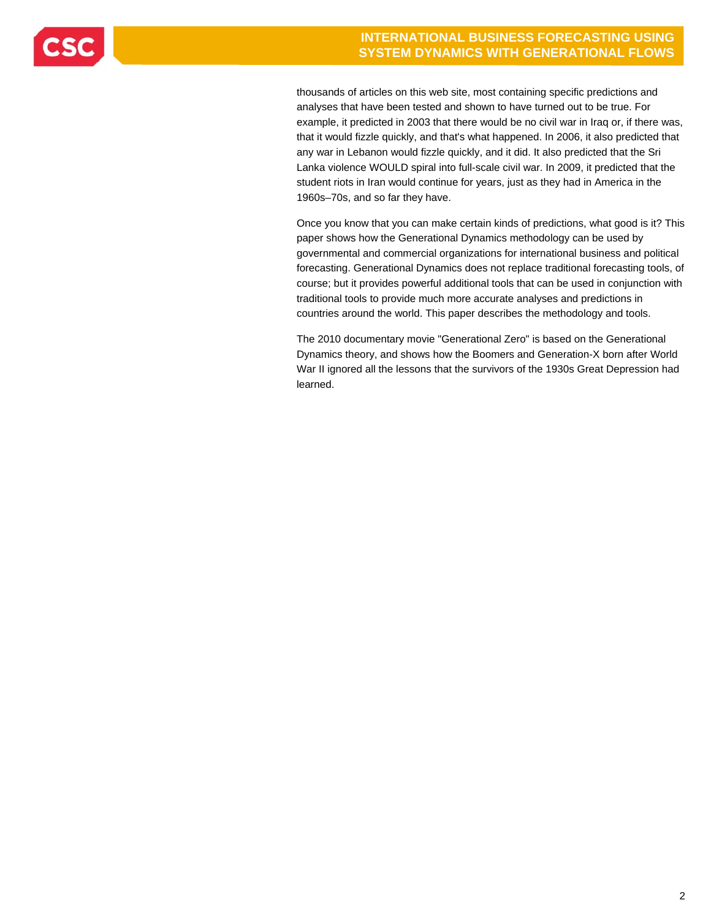

thousands of articles on this web site, most containing specific predictions and analyses that have been tested and shown to have turned out to be true. For example, it predicted in 2003 that there would be no civil war in Iraq or, if there was, that it would fizzle quickly, and that's what happened. In 2006, it also predicted that any war in Lebanon would fizzle quickly, and it did. It also predicted that the Sri Lanka violence WOULD spiral into full-scale civil war. In 2009, it predicted that the student riots in Iran would continue for years, just as they had in America in the 1960s–70s, and so far they have.

Once you know that you can make certain kinds of predictions, what good is it? This paper shows how the Generational Dynamics methodology can be used by governmental and commercial organizations for international business and political forecasting. Generational Dynamics does not replace traditional forecasting tools, of course; but it provides powerful additional tools that can be used in conjunction with traditional tools to provide much more accurate analyses and predictions in countries around the world. This paper describes the methodology and tools.

The 2010 documentary movie "Generational Zero" is based on the Generational Dynamics theory, and shows how the Boomers and Generation-X born after World War II ignored all the lessons that the survivors of the 1930s Great Depression had learned.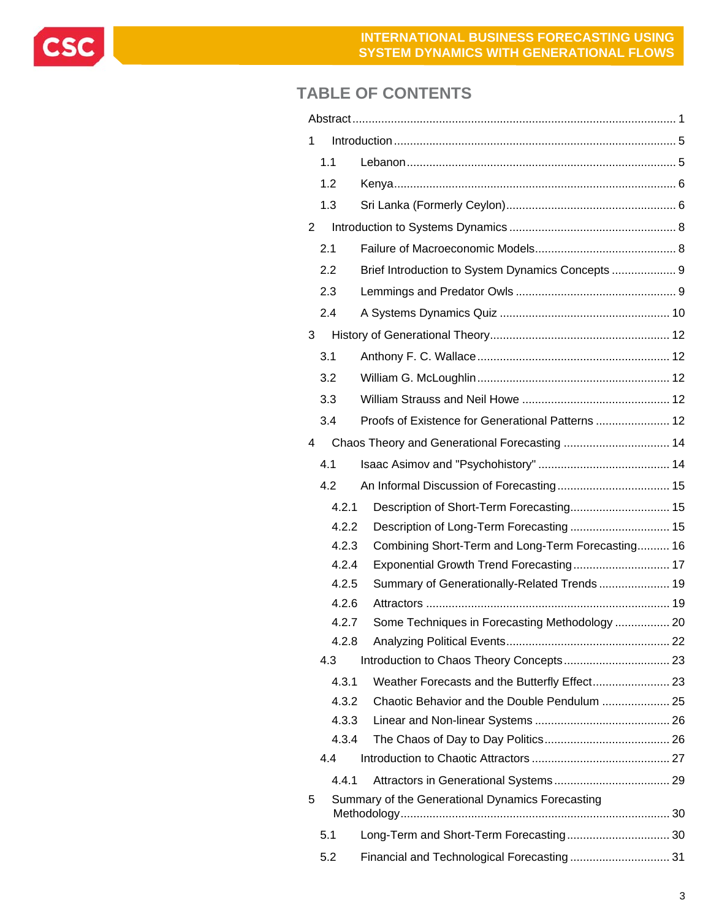

## **TABLE OF CONTENTS**

| 1 |                |                                                   |  |  |  |  |  |
|---|----------------|---------------------------------------------------|--|--|--|--|--|
|   | 1.1            |                                                   |  |  |  |  |  |
|   | 1.2            |                                                   |  |  |  |  |  |
|   | 1.3            |                                                   |  |  |  |  |  |
| 2 |                |                                                   |  |  |  |  |  |
|   | 2.1            |                                                   |  |  |  |  |  |
|   | 2.2            | Brief Introduction to System Dynamics Concepts  9 |  |  |  |  |  |
|   | 2.3            |                                                   |  |  |  |  |  |
|   | 2.4            |                                                   |  |  |  |  |  |
| 3 |                |                                                   |  |  |  |  |  |
|   | 3.1            |                                                   |  |  |  |  |  |
|   | 3.2            |                                                   |  |  |  |  |  |
|   | 3.3            |                                                   |  |  |  |  |  |
|   | 3.4            | Proofs of Existence for Generational Patterns  12 |  |  |  |  |  |
| 4 |                | Chaos Theory and Generational Forecasting  14     |  |  |  |  |  |
|   | 4.1            |                                                   |  |  |  |  |  |
|   | 4.2            |                                                   |  |  |  |  |  |
|   | 4.2.1          | Description of Short-Term Forecasting 15          |  |  |  |  |  |
|   | 4.2.2          | Description of Long-Term Forecasting 15           |  |  |  |  |  |
|   | 4.2.3          | Combining Short-Term and Long-Term Forecasting 16 |  |  |  |  |  |
|   | 4.2.4          |                                                   |  |  |  |  |  |
|   | 4.2.5          | Summary of Generationally-Related Trends 19       |  |  |  |  |  |
|   | 4.2.6          |                                                   |  |  |  |  |  |
|   | 4.2.7<br>4.2.8 | Some Techniques in Forecasting Methodology  20    |  |  |  |  |  |
|   | 4.3            |                                                   |  |  |  |  |  |
|   | 4.3.1          |                                                   |  |  |  |  |  |
|   | 4.3.2          |                                                   |  |  |  |  |  |
|   | 4.3.3          |                                                   |  |  |  |  |  |
|   | 4.3.4          |                                                   |  |  |  |  |  |
|   | 4.4            |                                                   |  |  |  |  |  |
|   | 4.4.1          |                                                   |  |  |  |  |  |
| 5 |                | Summary of the Generational Dynamics Forecasting  |  |  |  |  |  |
|   | 5.1            | Long-Term and Short-Term Forecasting 30           |  |  |  |  |  |
|   | 5.2            |                                                   |  |  |  |  |  |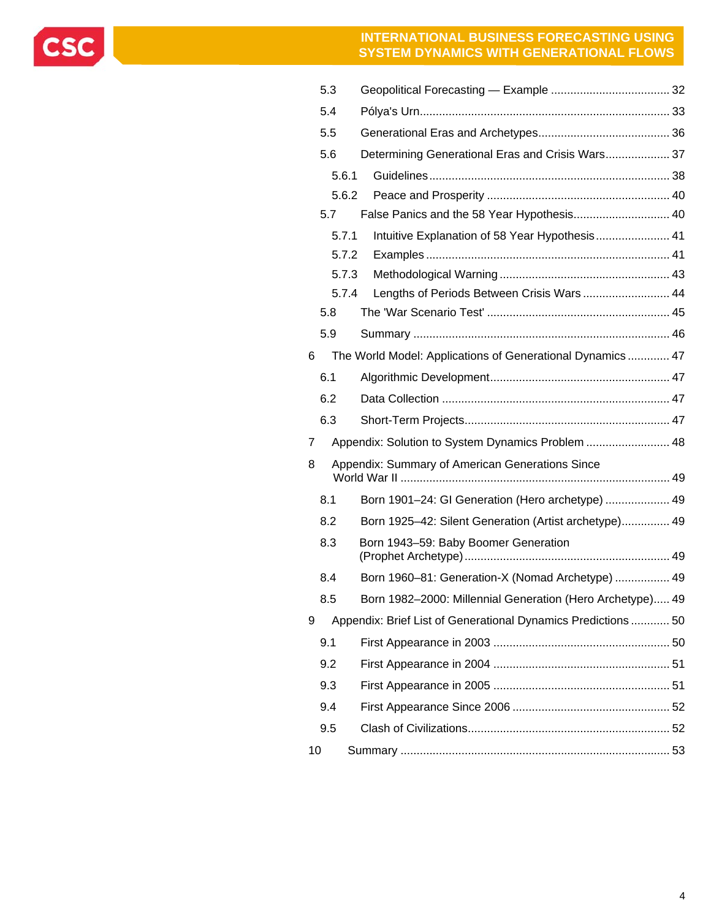CSC

|    | 5.3   |                                                              |  |
|----|-------|--------------------------------------------------------------|--|
|    | 5.4   |                                                              |  |
|    | 5.5   |                                                              |  |
|    | 5.6   | Determining Generational Eras and Crisis Wars 37             |  |
|    | 5.6.1 |                                                              |  |
|    | 5.6.2 |                                                              |  |
|    | 5.7   | False Panics and the 58 Year Hypothesis 40                   |  |
|    | 5.7.1 | Intuitive Explanation of 58 Year Hypothesis 41               |  |
|    | 5.7.2 |                                                              |  |
|    | 5.7.3 |                                                              |  |
|    | 5.7.4 | Lengths of Periods Between Crisis Wars  44                   |  |
|    | 5.8   |                                                              |  |
|    | 5.9   |                                                              |  |
| 6  |       | The World Model: Applications of Generational Dynamics  47   |  |
|    | 6.1   |                                                              |  |
|    | 6.2   |                                                              |  |
|    | 6.3   |                                                              |  |
| 7  |       | Appendix: Solution to System Dynamics Problem  48            |  |
| 8  |       | Appendix: Summary of American Generations Since              |  |
|    | 8.1   | Born 1901-24: GI Generation (Hero archetype)  49             |  |
|    | 8.2   | Born 1925-42: Silent Generation (Artist archetype) 49        |  |
|    | 8.3   | Born 1943-59: Baby Boomer Generation                         |  |
|    | 8.4   | Born 1960-81: Generation-X (Nomad Archetype)  49             |  |
|    | 8.5   | Born 1982-2000: Millennial Generation (Hero Archetype) 49    |  |
| 9  |       | Appendix: Brief List of Generational Dynamics Predictions 50 |  |
|    | 9.1   |                                                              |  |
|    | 9.2   |                                                              |  |
|    | 9.3   |                                                              |  |
|    | 9.4   |                                                              |  |
|    | 9.5   |                                                              |  |
| 10 |       |                                                              |  |
|    |       |                                                              |  |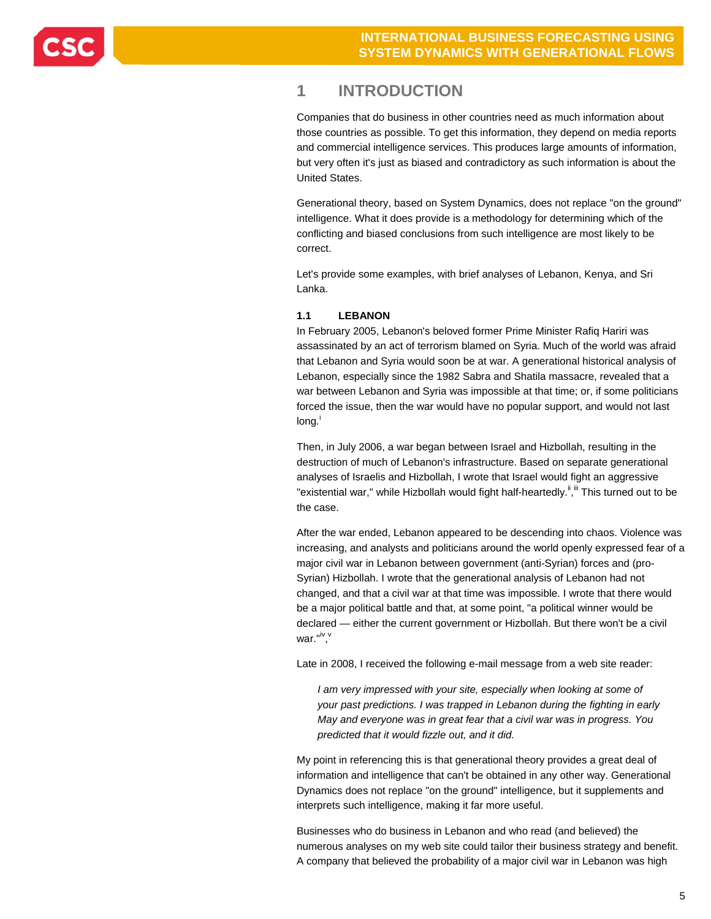

### **1 INTRODUCTION**

Companies that do business in other countries need as much information about those countries as possible. To get this information, they depend on media reports and commercial intelligence services. This produces large amounts of information, but very often it's just as biased and contradictory as such information is about the United States.

Generational theory, based on System Dynamics, does not replace "on the ground" intelligence. What it does provide is a methodology for determining which of the conflicting and biased conclusions from such intelligence are most likely to be correct.

Let's provide some examples, with brief analyses of Lebanon, Kenya, and Sri Lanka.

### **1.1 LEBANON**

In February 2005, Lebanon's beloved former Prime Minister Rafiq Hariri was assassinated by an act of terrorism blamed on Syria. Much of the world was afraid that Lebanon and Syria would soon be at war. A generational historical analysis of Lebanon, especially since the 1982 Sabra and Shatila massacre, revealed that a war between Lebanon and Syria was impossible at that time; or, if some politicians forced the issue, then the war would have no popular support, and would not last long.<sup>i</sup>

Then, in July 2006, a war began between Israel and Hizbollah, resulting in the destruction of much of Lebanon's infrastructure. Based on separate generational analyses of Israelis and Hizbollah, I wrote that Israel would fight an aggressive "existential war," while Hizbollah would fight half-heartedly.<sup>ii,iii</sup> This turned out to be the case.

After the war ended, Lebanon appeared to be descending into chaos. Violence was increasing, and analysts and politicians around the world openly expressed fear of a major civil war in Lebanon between government (anti-Syrian) forces and (pro-Syrian) Hizbollah. I wrote that the generational analysis of Lebanon had not changed, and that a civil war at that time was impossible. I wrote that there would be a major political battle and that, at some point, "a political winner would be declared — either the current government or Hizbollah. But there won't be a civil war."<sup>iv</sup>,<sup>v</sup>

Late in 2008, I received the following e-mail message from a web site reader:

*I am very impressed with your site, especially when looking at some of your past predictions. I was trapped in Lebanon during the fighting in early May and everyone was in great fear that a civil war was in progress. You predicted that it would fizzle out, and it did.* 

My point in referencing this is that generational theory provides a great deal of information and intelligence that can't be obtained in any other way. Generational Dynamics does not replace "on the ground" intelligence, but it supplements and interprets such intelligence, making it far more useful.

Businesses who do business in Lebanon and who read (and believed) the numerous analyses on my web site could tailor their business strategy and benefit. A company that believed the probability of a major civil war in Lebanon was high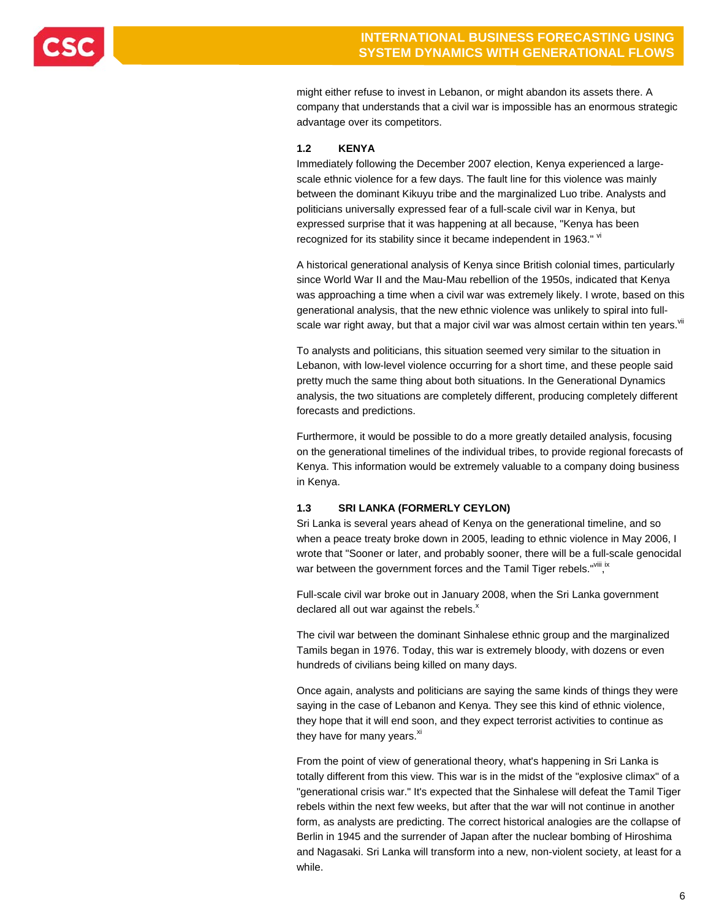

might either refuse to invest in Lebanon, or might abandon its assets there. A company that understands that a civil war is impossible has an enormous strategic advantage over its competitors.

### **1.2 KENYA**

Immediately following the December 2007 election, Kenya experienced a largescale ethnic violence for a few days. The fault line for this violence was mainly between the dominant Kikuyu tribe and the marginalized Luo tribe. Analysts and politicians universally expressed fear of a full-scale civil war in Kenya, but expressed surprise that it was happening at all because, "Kenya has been recognized for its stability since it became independent in 1963." W

A historical generational analysis of Kenya since British colonial times, particularly since World War II and the Mau-Mau rebellion of the 1950s, indicated that Kenya was approaching a time when a civil war was extremely likely. I wrote, based on this generational analysis, that the new ethnic violence was unlikely to spiral into fullscale war right away, but that a major civil war was almost certain within ten years. Vil

To analysts and politicians, this situation seemed very similar to the situation in Lebanon, with low-level violence occurring for a short time, and these people said pretty much the same thing about both situations. In the Generational Dynamics analysis, the two situations are completely different, producing completely different forecasts and predictions.

Furthermore, it would be possible to do a more greatly detailed analysis, focusing on the generational timelines of the individual tribes, to provide regional forecasts of Kenya. This information would be extremely valuable to a company doing business in Kenya.

### **1.3 SRI LANKA (FORMERLY CEYLON)**

Sri Lanka is several years ahead of Kenya on the generational timeline, and so when a peace treaty broke down in 2005, leading to ethnic violence in May 2006, I wrote that "Sooner or later, and probably sooner, there will be a full-scale genocidal war between the government forces and the Tamil Tiger rebels."<sup>viii</sup>, in

Full-scale civil war broke out in January 2008, when the Sri Lanka government declared all out war against the rebels. $^{x}$ 

The civil war between the dominant Sinhalese ethnic group and the marginalized Tamils began in 1976. Today, this war is extremely bloody, with dozens or even hundreds of civilians being killed on many days.

Once again, analysts and politicians are saying the same kinds of things they were saying in the case of Lebanon and Kenya. They see this kind of ethnic violence, they hope that it will end soon, and they expect terrorist activities to continue as they have for many years. $x^{x}$ 

From the point of view of generational theory, what's happening in Sri Lanka is totally different from this view. This war is in the midst of the "explosive climax" of a "generational crisis war." It's expected that the Sinhalese will defeat the Tamil Tiger rebels within the next few weeks, but after that the war will not continue in another form, as analysts are predicting. The correct historical analogies are the collapse of Berlin in 1945 and the surrender of Japan after the nuclear bombing of Hiroshima and Nagasaki. Sri Lanka will transform into a new, non-violent society, at least for a while.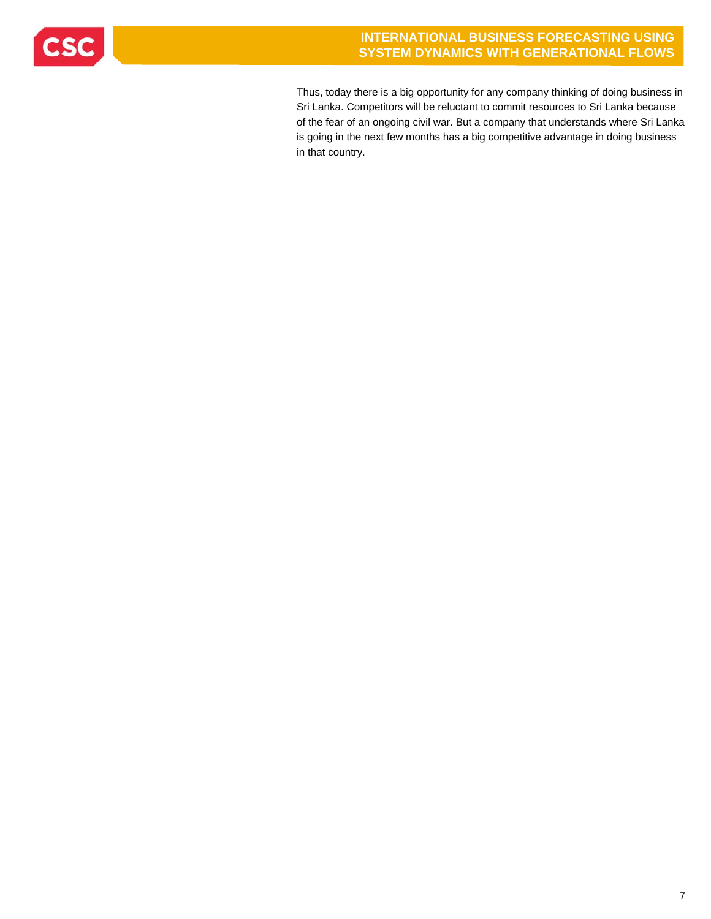

Thus, today there is a big opportunity for any company thinking of doing business in Sri Lanka. Competitors will be reluctant to commit resources to Sri Lanka because of the fear of an ongoing civil war. But a company that understands where Sri Lanka is going in the next few months has a big competitive advantage in doing business in that country.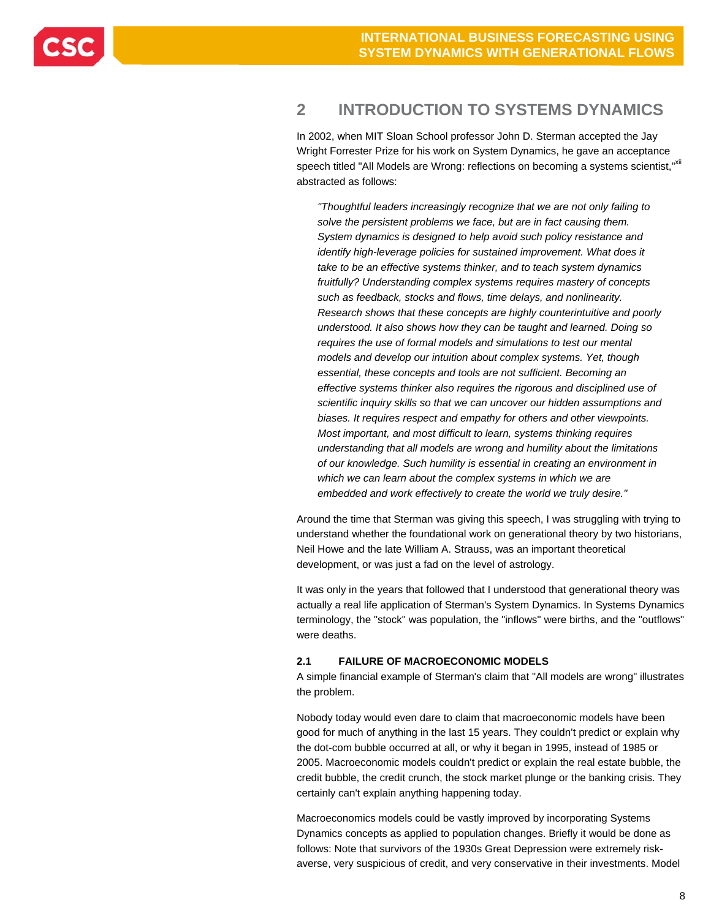## **2 INTRODUCTION TO SYSTEMS DYNAMICS**

In 2002, when MIT Sloan School professor John D. Sterman accepted the Jay Wright Forrester Prize for his work on System Dynamics, he gave an acceptance speech titled "All Models are Wrong: reflections on becoming a systems scientist,"Xii abstracted as follows:

*"Thoughtful leaders increasingly recognize that we are not only failing to solve the persistent problems we face, but are in fact causing them. System dynamics is designed to help avoid such policy resistance and identify high-leverage policies for sustained improvement. What does it take to be an effective systems thinker, and to teach system dynamics fruitfully? Understanding complex systems requires mastery of concepts such as feedback, stocks and flows, time delays, and nonlinearity. Research shows that these concepts are highly counterintuitive and poorly understood. It also shows how they can be taught and learned. Doing so requires the use of formal models and simulations to test our mental models and develop our intuition about complex systems. Yet, though essential, these concepts and tools are not sufficient. Becoming an effective systems thinker also requires the rigorous and disciplined use of scientific inquiry skills so that we can uncover our hidden assumptions and biases. It requires respect and empathy for others and other viewpoints. Most important, and most difficult to learn, systems thinking requires understanding that all models are wrong and humility about the limitations of our knowledge. Such humility is essential in creating an environment in which we can learn about the complex systems in which we are embedded and work effectively to create the world we truly desire."* 

Around the time that Sterman was giving this speech, I was struggling with trying to understand whether the foundational work on generational theory by two historians, Neil Howe and the late William A. Strauss, was an important theoretical development, or was just a fad on the level of astrology.

It was only in the years that followed that I understood that generational theory was actually a real life application of Sterman's System Dynamics. In Systems Dynamics terminology, the "stock" was population, the "inflows" were births, and the "outflows" were deaths.

### **2.1 FAILURE OF MACROECONOMIC MODELS**

A simple financial example of Sterman's claim that "All models are wrong" illustrates the problem.

Nobody today would even dare to claim that macroeconomic models have been good for much of anything in the last 15 years. They couldn't predict or explain why the dot-com bubble occurred at all, or why it began in 1995, instead of 1985 or 2005. Macroeconomic models couldn't predict or explain the real estate bubble, the credit bubble, the credit crunch, the stock market plunge or the banking crisis. They certainly can't explain anything happening today.

Macroeconomics models could be vastly improved by incorporating Systems Dynamics concepts as applied to population changes. Briefly it would be done as follows: Note that survivors of the 1930s Great Depression were extremely riskaverse, very suspicious of credit, and very conservative in their investments. Model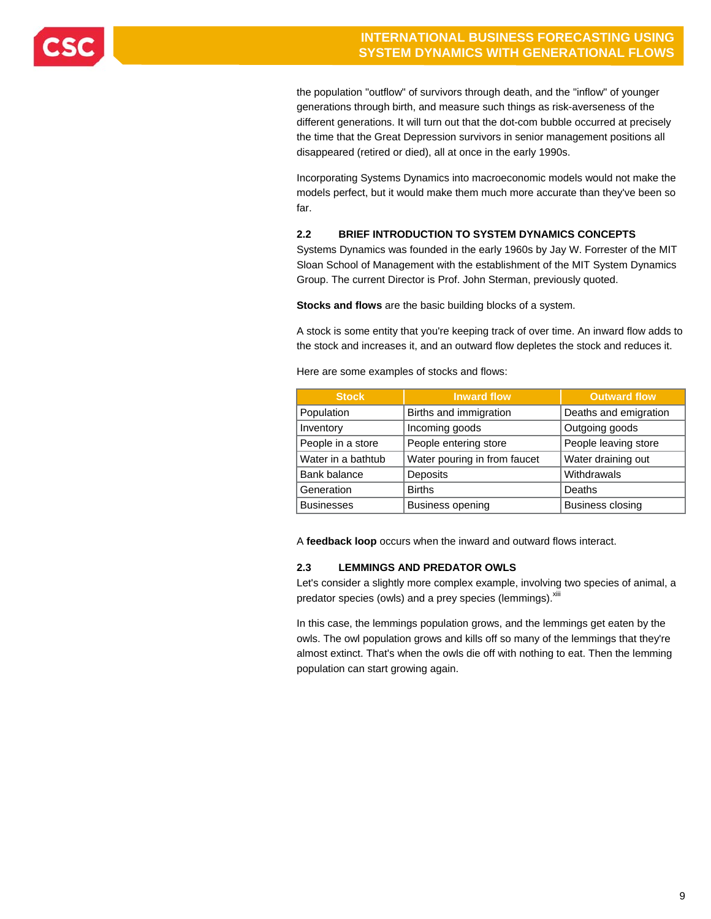

the population "outflow" of survivors through death, and the "inflow" of younger generations through birth, and measure such things as risk-averseness of the different generations. It will turn out that the dot-com bubble occurred at precisely the time that the Great Depression survivors in senior management positions all disappeared (retired or died), all at once in the early 1990s.

Incorporating Systems Dynamics into macroeconomic models would not make the models perfect, but it would make them much more accurate than they've been so far.

### **2.2 BRIEF INTRODUCTION TO SYSTEM DYNAMICS CONCEPTS**

Systems Dynamics was founded in the early 1960s by Jay W. Forrester of the MIT Sloan School of Management with the establishment of the MIT System Dynamics Group. The current Director is Prof. John Sterman, previously quoted.

**Stocks and flows** are the basic building blocks of a system.

A stock is some entity that you're keeping track of over time. An inward flow adds to the stock and increases it, and an outward flow depletes the stock and reduces it.

Here are some examples of stocks and flows:

| <b>Stock</b>       | <b>Inward flow</b>           | <b>Outward flow</b>     |  |  |  |
|--------------------|------------------------------|-------------------------|--|--|--|
| Population         | Births and immigration       | Deaths and emigration   |  |  |  |
| Inventory          | Incoming goods               | Outgoing goods          |  |  |  |
| People in a store  | People entering store        | People leaving store    |  |  |  |
| Water in a bathtub | Water pouring in from faucet | Water draining out      |  |  |  |
| Bank balance       | Deposits                     | Withdrawals             |  |  |  |
| Generation         | <b>Births</b>                | Deaths                  |  |  |  |
| <b>Businesses</b>  | <b>Business opening</b>      | <b>Business closing</b> |  |  |  |

A **feedback loop** occurs when the inward and outward flows interact.

### **2.3 LEMMINGS AND PREDATOR OWLS**

Let's consider a slightly more complex example, involving two species of animal, a predator species (owls) and a prey species (lemmings). xiii

In this case, the lemmings population grows, and the lemmings get eaten by the owls. The owl population grows and kills off so many of the lemmings that they're almost extinct. That's when the owls die off with nothing to eat. Then the lemming population can start growing again.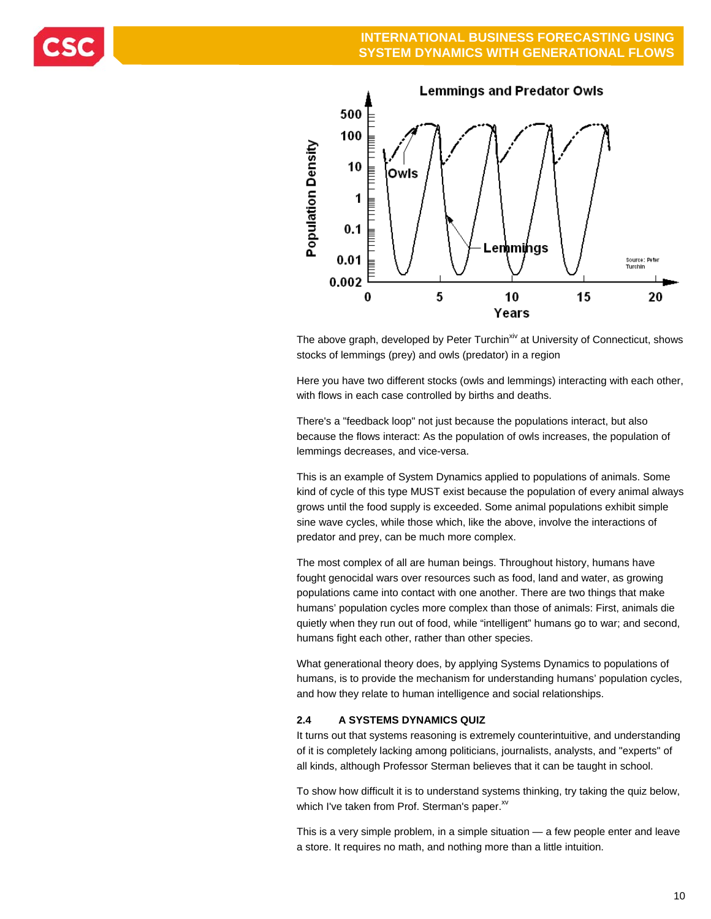



The above graph, developed by Peter Turchin<sup>xiv</sup> at University of Connecticut, shows stocks of lemmings (prey) and owls (predator) in a region

Here you have two different stocks (owls and lemmings) interacting with each other, with flows in each case controlled by births and deaths.

There's a "feedback loop" not just because the populations interact, but also because the flows interact: As the population of owls increases, the population of lemmings decreases, and vice-versa.

This is an example of System Dynamics applied to populations of animals. Some kind of cycle of this type MUST exist because the population of every animal always grows until the food supply is exceeded. Some animal populations exhibit simple sine wave cycles, while those which, like the above, involve the interactions of predator and prey, can be much more complex.

The most complex of all are human beings. Throughout history, humans have fought genocidal wars over resources such as food, land and water, as growing populations came into contact with one another. There are two things that make humans' population cycles more complex than those of animals: First, animals die quietly when they run out of food, while "intelligent" humans go to war; and second, humans fight each other, rather than other species.

What generational theory does, by applying Systems Dynamics to populations of humans, is to provide the mechanism for understanding humans' population cycles, and how they relate to human intelligence and social relationships.

### **2.4 A SYSTEMS DYNAMICS QUIZ**

It turns out that systems reasoning is extremely counterintuitive, and understanding of it is completely lacking among politicians, journalists, analysts, and "experts" of all kinds, although Professor Sterman believes that it can be taught in school.

To show how difficult it is to understand systems thinking, try taking the quiz below, which I've taken from Prof. Sterman's paper.<sup>xv</sup>

This is a very simple problem, in a simple situation — a few people enter and leave a store. It requires no math, and nothing more than a little intuition.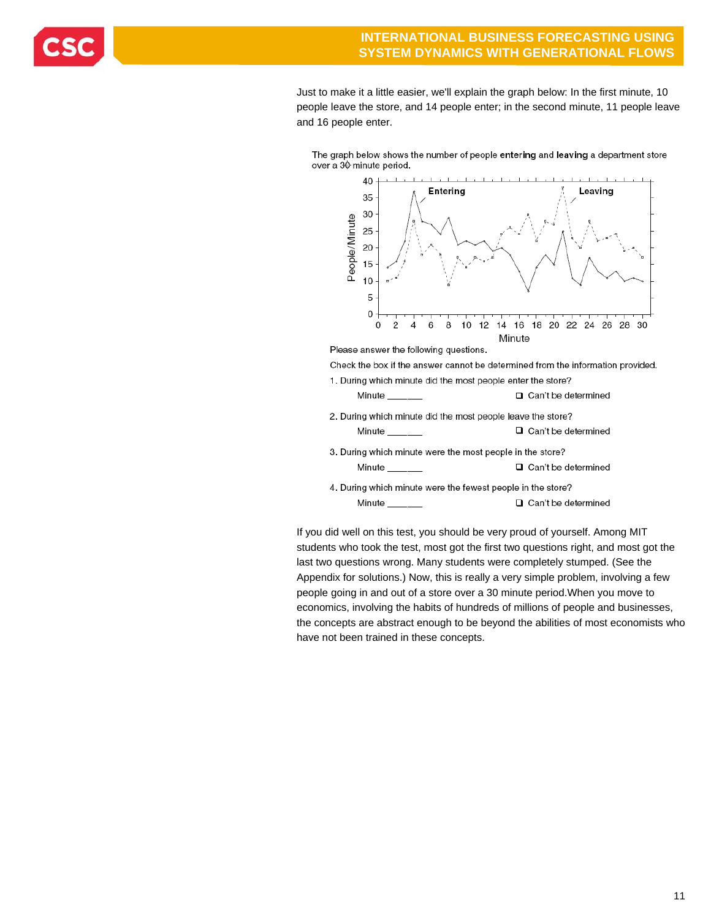Just to make it a little easier, we'll explain the graph below: In the first minute, 10 people leave the store, and 14 people enter; in the second minute, 11 people leave and 16 people enter.

The graph below shows the number of people entering and leaving a department store over a 30 minute period.



If you did well on this test, you should be very proud of yourself. Among MIT students who took the test, most got the first two questions right, and most got the last two questions wrong. Many students were completely stumped. (See the Appendix for solutions.) Now, this is really a very simple problem, involving a few people going in and out of a store over a 30 minute period.When you move to economics, involving the habits of hundreds of millions of people and businesses, the concepts are abstract enough to be beyond the abilities of most economists who have not been trained in these concepts.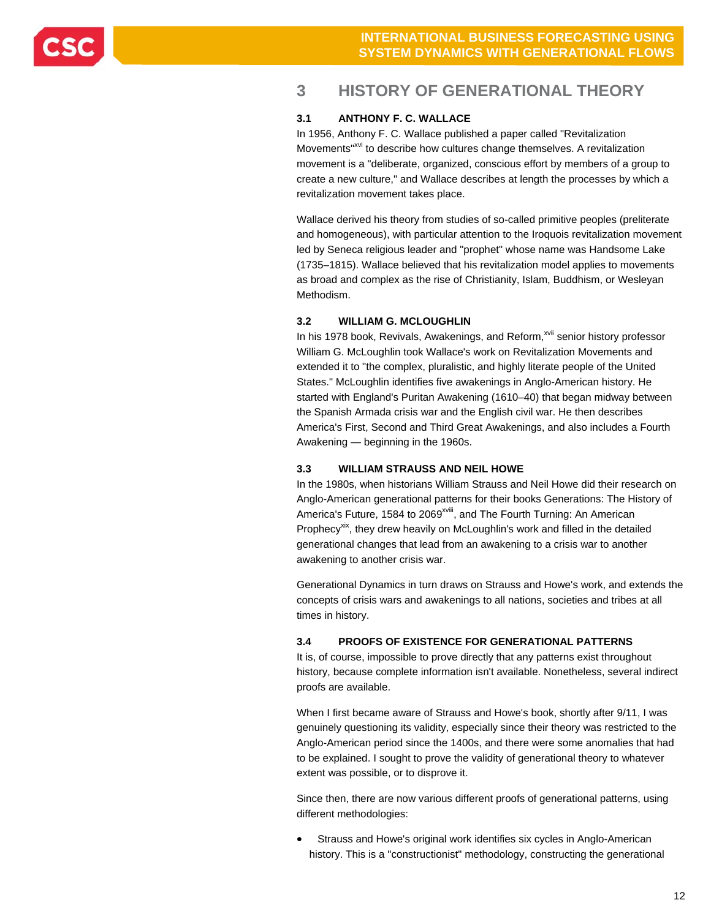

## **3 HISTORY OF GENERATIONAL THEORY**

### **3.1 ANTHONY F. C. WALLACE**

In 1956, Anthony F. C. Wallace published a paper called "Revitalization Movements<sup>"xvi</sup> to describe how cultures change themselves. A revitalization movement is a "deliberate, organized, conscious effort by members of a group to create a new culture," and Wallace describes at length the processes by which a revitalization movement takes place.

Wallace derived his theory from studies of so-called primitive peoples (preliterate and homogeneous), with particular attention to the Iroquois revitalization movement led by Seneca religious leader and "prophet" whose name was Handsome Lake (1735–1815). Wallace believed that his revitalization model applies to movements as broad and complex as the rise of Christianity, Islam, Buddhism, or Wesleyan Methodism.

### **3.2 WILLIAM G. MCLOUGHLIN**

In his 1978 book, Revivals, Awakenings, and Reform,<sup>xvii</sup> senior history professor William G. McLoughlin took Wallace's work on Revitalization Movements and extended it to "the complex, pluralistic, and highly literate people of the United States." McLoughlin identifies five awakenings in Anglo-American history. He started with England's Puritan Awakening (1610–40) that began midway between the Spanish Armada crisis war and the English civil war. He then describes America's First, Second and Third Great Awakenings, and also includes a Fourth Awakening — beginning in the 1960s.

### **3.3 WILLIAM STRAUSS AND NEIL HOWE**

In the 1980s, when historians William Strauss and Neil Howe did their research on Anglo-American generational patterns for their books Generations: The History of America's Future, 1584 to 2069<sup>xviii</sup>, and The Fourth Turning: An American Prophecy<sup>xix</sup>, they drew heavily on McLoughlin's work and filled in the detailed generational changes that lead from an awakening to a crisis war to another awakening to another crisis war.

Generational Dynamics in turn draws on Strauss and Howe's work, and extends the concepts of crisis wars and awakenings to all nations, societies and tribes at all times in history.

### **3.4 PROOFS OF EXISTENCE FOR GENERATIONAL PATTERNS**

It is, of course, impossible to prove directly that any patterns exist throughout history, because complete information isn't available. Nonetheless, several indirect proofs are available.

When I first became aware of Strauss and Howe's book, shortly after 9/11, I was genuinely questioning its validity, especially since their theory was restricted to the Anglo-American period since the 1400s, and there were some anomalies that had to be explained. I sought to prove the validity of generational theory to whatever extent was possible, or to disprove it.

Since then, there are now various different proofs of generational patterns, using different methodologies:

 Strauss and Howe's original work identifies six cycles in Anglo-American history. This is a "constructionist" methodology, constructing the generational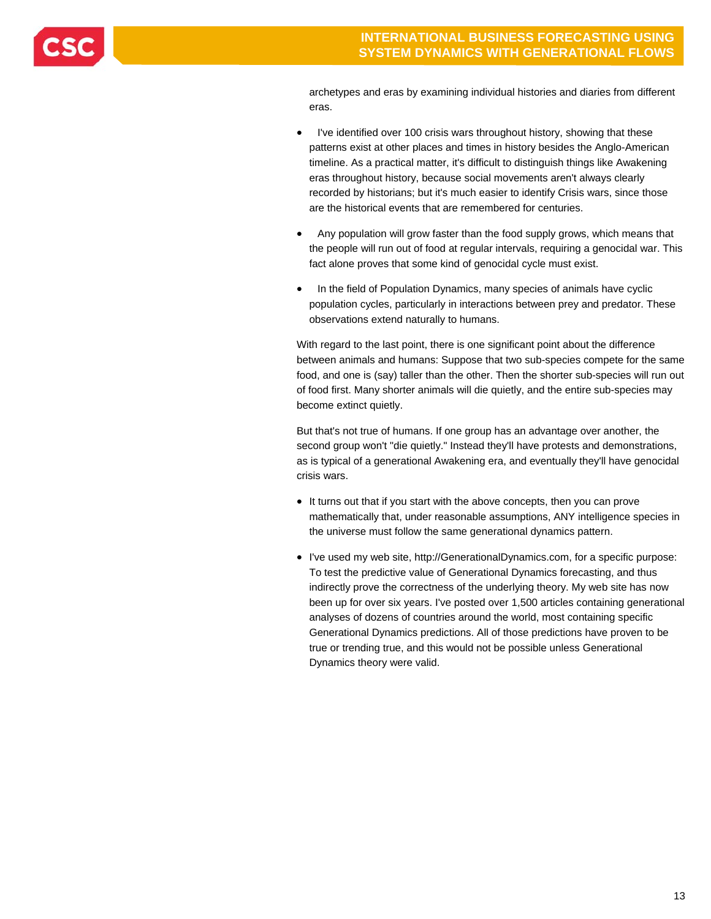

archetypes and eras by examining individual histories and diaries from different eras.

- I've identified over 100 crisis wars throughout history, showing that these patterns exist at other places and times in history besides the Anglo-American timeline. As a practical matter, it's difficult to distinguish things like Awakening eras throughout history, because social movements aren't always clearly recorded by historians; but it's much easier to identify Crisis wars, since those are the historical events that are remembered for centuries.
- Any population will grow faster than the food supply grows, which means that the people will run out of food at regular intervals, requiring a genocidal war. This fact alone proves that some kind of genocidal cycle must exist.
- In the field of Population Dynamics, many species of animals have cyclic population cycles, particularly in interactions between prey and predator. These observations extend naturally to humans.

With regard to the last point, there is one significant point about the difference between animals and humans: Suppose that two sub-species compete for the same food, and one is (say) taller than the other. Then the shorter sub-species will run out of food first. Many shorter animals will die quietly, and the entire sub-species may become extinct quietly.

But that's not true of humans. If one group has an advantage over another, the second group won't "die quietly." Instead they'll have protests and demonstrations, as is typical of a generational Awakening era, and eventually they'll have genocidal crisis wars.

- It turns out that if you start with the above concepts, then you can prove mathematically that, under reasonable assumptions, ANY intelligence species in the universe must follow the same generational dynamics pattern.
- I've used my web site, http://GenerationalDynamics.com, for a specific purpose: To test the predictive value of Generational Dynamics forecasting, and thus indirectly prove the correctness of the underlying theory. My web site has now been up for over six years. I've posted over 1,500 articles containing generational analyses of dozens of countries around the world, most containing specific Generational Dynamics predictions. All of those predictions have proven to be true or trending true, and this would not be possible unless Generational Dynamics theory were valid.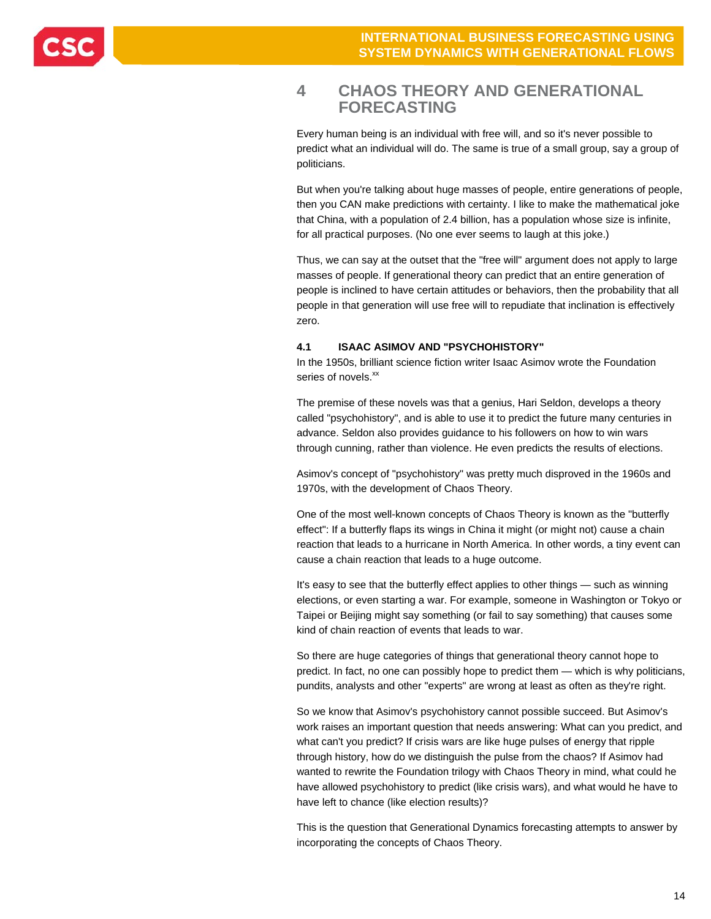### **4 CHAOS THEORY AND GENERATIONAL FORECASTING**

Every human being is an individual with free will, and so it's never possible to predict what an individual will do. The same is true of a small group, say a group of politicians.

But when you're talking about huge masses of people, entire generations of people, then you CAN make predictions with certainty. I like to make the mathematical joke that China, with a population of 2.4 billion, has a population whose size is infinite, for all practical purposes. (No one ever seems to laugh at this joke.)

Thus, we can say at the outset that the "free will" argument does not apply to large masses of people. If generational theory can predict that an entire generation of people is inclined to have certain attitudes or behaviors, then the probability that all people in that generation will use free will to repudiate that inclination is effectively zero.

### **4.1 ISAAC ASIMOV AND "PSYCHOHISTORY"**

In the 1950s, brilliant science fiction writer Isaac Asimov wrote the Foundation series of novels.<sup>xx</sup>

The premise of these novels was that a genius, Hari Seldon, develops a theory called "psychohistory", and is able to use it to predict the future many centuries in advance. Seldon also provides guidance to his followers on how to win wars through cunning, rather than violence. He even predicts the results of elections.

Asimov's concept of "psychohistory" was pretty much disproved in the 1960s and 1970s, with the development of Chaos Theory.

One of the most well-known concepts of Chaos Theory is known as the "butterfly effect": If a butterfly flaps its wings in China it might (or might not) cause a chain reaction that leads to a hurricane in North America. In other words, a tiny event can cause a chain reaction that leads to a huge outcome.

It's easy to see that the butterfly effect applies to other things — such as winning elections, or even starting a war. For example, someone in Washington or Tokyo or Taipei or Beijing might say something (or fail to say something) that causes some kind of chain reaction of events that leads to war.

So there are huge categories of things that generational theory cannot hope to predict. In fact, no one can possibly hope to predict them — which is why politicians, pundits, analysts and other "experts" are wrong at least as often as they're right.

So we know that Asimov's psychohistory cannot possible succeed. But Asimov's work raises an important question that needs answering: What can you predict, and what can't you predict? If crisis wars are like huge pulses of energy that ripple through history, how do we distinguish the pulse from the chaos? If Asimov had wanted to rewrite the Foundation trilogy with Chaos Theory in mind, what could he have allowed psychohistory to predict (like crisis wars), and what would he have to have left to chance (like election results)?

This is the question that Generational Dynamics forecasting attempts to answer by incorporating the concepts of Chaos Theory.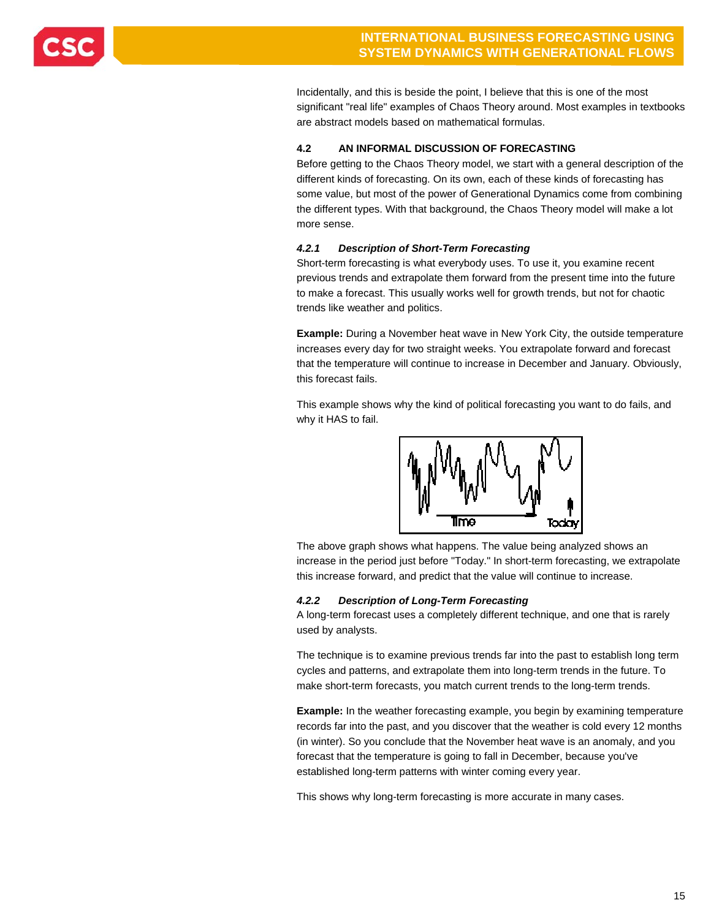

Incidentally, and this is beside the point, I believe that this is one of the most significant "real life" examples of Chaos Theory around. Most examples in textbooks are abstract models based on mathematical formulas.

### **4.2 AN INFORMAL DISCUSSION OF FORECASTING**

Before getting to the Chaos Theory model, we start with a general description of the different kinds of forecasting. On its own, each of these kinds of forecasting has some value, but most of the power of Generational Dynamics come from combining the different types. With that background, the Chaos Theory model will make a lot more sense.

### *4.2.1 Description of Short-Term Forecasting*

Short-term forecasting is what everybody uses. To use it, you examine recent previous trends and extrapolate them forward from the present time into the future to make a forecast. This usually works well for growth trends, but not for chaotic trends like weather and politics.

**Example:** During a November heat wave in New York City, the outside temperature increases every day for two straight weeks. You extrapolate forward and forecast that the temperature will continue to increase in December and January. Obviously, this forecast fails.

This example shows why the kind of political forecasting you want to do fails, and why it HAS to fail.



The above graph shows what happens. The value being analyzed shows an increase in the period just before "Today." In short-term forecasting, we extrapolate this increase forward, and predict that the value will continue to increase.

### *4.2.2 Description of Long-Term Forecasting*

A long-term forecast uses a completely different technique, and one that is rarely used by analysts.

The technique is to examine previous trends far into the past to establish long term cycles and patterns, and extrapolate them into long-term trends in the future. To make short-term forecasts, you match current trends to the long-term trends.

**Example:** In the weather forecasting example, you begin by examining temperature records far into the past, and you discover that the weather is cold every 12 months (in winter). So you conclude that the November heat wave is an anomaly, and you forecast that the temperature is going to fall in December, because you've established long-term patterns with winter coming every year.

This shows why long-term forecasting is more accurate in many cases.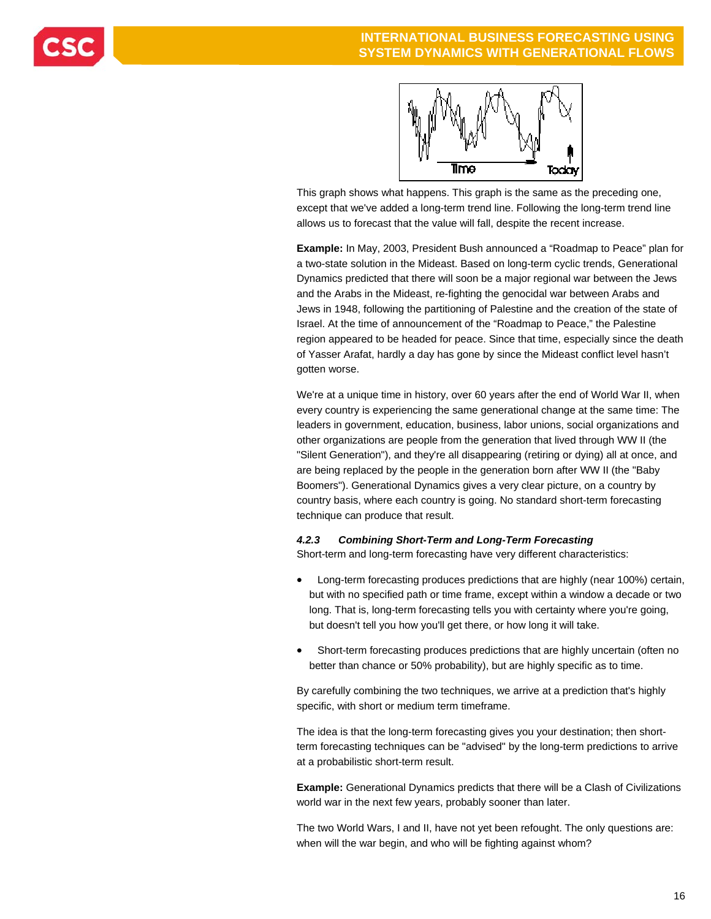

This graph shows what happens. This graph is the same as the preceding one, except that we've added a long-term trend line. Following the long-term trend line allows us to forecast that the value will fall, despite the recent increase.

**Example:** In May, 2003, President Bush announced a "Roadmap to Peace" plan for a two-state solution in the Mideast. Based on long-term cyclic trends, Generational Dynamics predicted that there will soon be a major regional war between the Jews and the Arabs in the Mideast, re-fighting the genocidal war between Arabs and Jews in 1948, following the partitioning of Palestine and the creation of the state of Israel. At the time of announcement of the "Roadmap to Peace," the Palestine region appeared to be headed for peace. Since that time, especially since the death of Yasser Arafat, hardly a day has gone by since the Mideast conflict level hasn't gotten worse.

We're at a unique time in history, over 60 years after the end of World War II, when every country is experiencing the same generational change at the same time: The leaders in government, education, business, labor unions, social organizations and other organizations are people from the generation that lived through WW II (the "Silent Generation"), and they're all disappearing (retiring or dying) all at once, and are being replaced by the people in the generation born after WW II (the "Baby Boomers"). Generational Dynamics gives a very clear picture, on a country by country basis, where each country is going. No standard short-term forecasting technique can produce that result.

#### *4.2.3 Combining Short-Term and Long-Term Forecasting*

Short-term and long-term forecasting have very different characteristics:

- Long-term forecasting produces predictions that are highly (near 100%) certain, but with no specified path or time frame, except within a window a decade or two long. That is, long-term forecasting tells you with certainty where you're going, but doesn't tell you how you'll get there, or how long it will take.
- Short-term forecasting produces predictions that are highly uncertain (often no better than chance or 50% probability), but are highly specific as to time.

By carefully combining the two techniques, we arrive at a prediction that's highly specific, with short or medium term timeframe.

The idea is that the long-term forecasting gives you your destination; then shortterm forecasting techniques can be "advised" by the long-term predictions to arrive at a probabilistic short-term result.

**Example:** Generational Dynamics predicts that there will be a Clash of Civilizations world war in the next few years, probably sooner than later.

The two World Wars, I and II, have not yet been refought. The only questions are: when will the war begin, and who will be fighting against whom?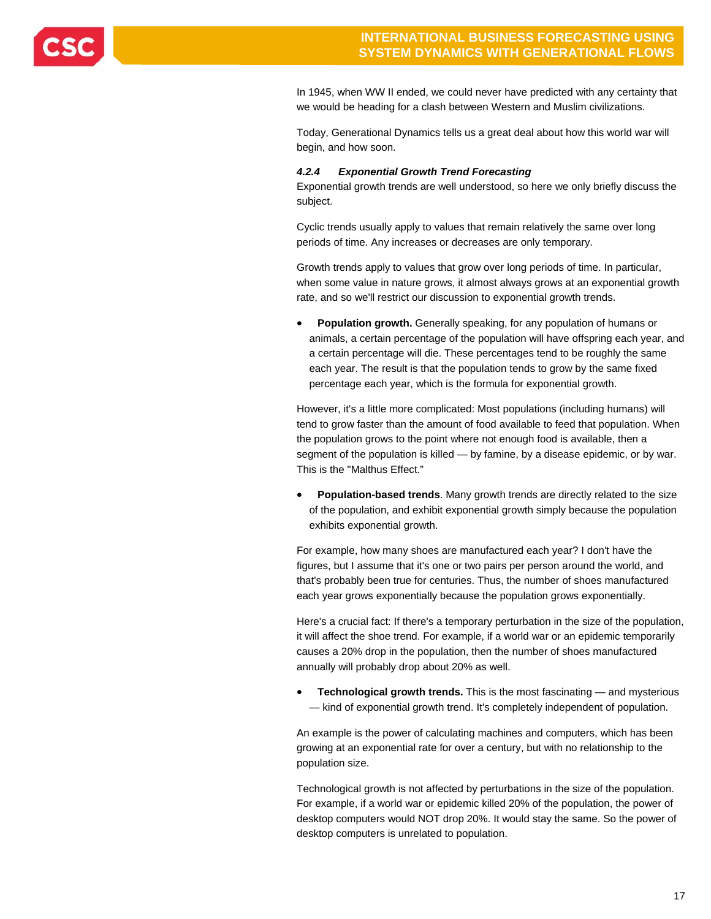

In 1945, when WW II ended, we could never have predicted with any certainty that we would be heading for a clash between Western and Muslim civilizations.

Today, Generational Dynamics tells us a great deal about how this world war will begin, and how soon.

#### *4.2.4 Exponential Growth Trend Forecasting*

Exponential growth trends are well understood, so here we only briefly discuss the subject.

Cyclic trends usually apply to values that remain relatively the same over long periods of time. Any increases or decreases are only temporary.

Growth trends apply to values that grow over long periods of time. In particular, when some value in nature grows, it almost always grows at an exponential growth rate, and so we'll restrict our discussion to exponential growth trends.

 **Population growth.** Generally speaking, for any population of humans or animals, a certain percentage of the population will have offspring each year, and a certain percentage will die. These percentages tend to be roughly the same each year. The result is that the population tends to grow by the same fixed percentage each year, which is the formula for exponential growth.

However, it's a little more complicated: Most populations (including humans) will tend to grow faster than the amount of food available to feed that population. When the population grows to the point where not enough food is available, then a segment of the population is killed — by famine, by a disease epidemic, or by war. This is the "Malthus Effect."

 **Population-based trends**. Many growth trends are directly related to the size of the population, and exhibit exponential growth simply because the population exhibits exponential growth.

For example, how many shoes are manufactured each year? I don't have the figures, but I assume that it's one or two pairs per person around the world, and that's probably been true for centuries. Thus, the number of shoes manufactured each year grows exponentially because the population grows exponentially.

Here's a crucial fact: If there's a temporary perturbation in the size of the population, it will affect the shoe trend. For example, if a world war or an epidemic temporarily causes a 20% drop in the population, then the number of shoes manufactured annually will probably drop about 20% as well.

 **Technological growth trends.** This is the most fascinating — and mysterious — kind of exponential growth trend. It's completely independent of population.

An example is the power of calculating machines and computers, which has been growing at an exponential rate for over a century, but with no relationship to the population size.

Technological growth is not affected by perturbations in the size of the population. For example, if a world war or epidemic killed 20% of the population, the power of desktop computers would NOT drop 20%. It would stay the same. So the power of desktop computers is unrelated to population.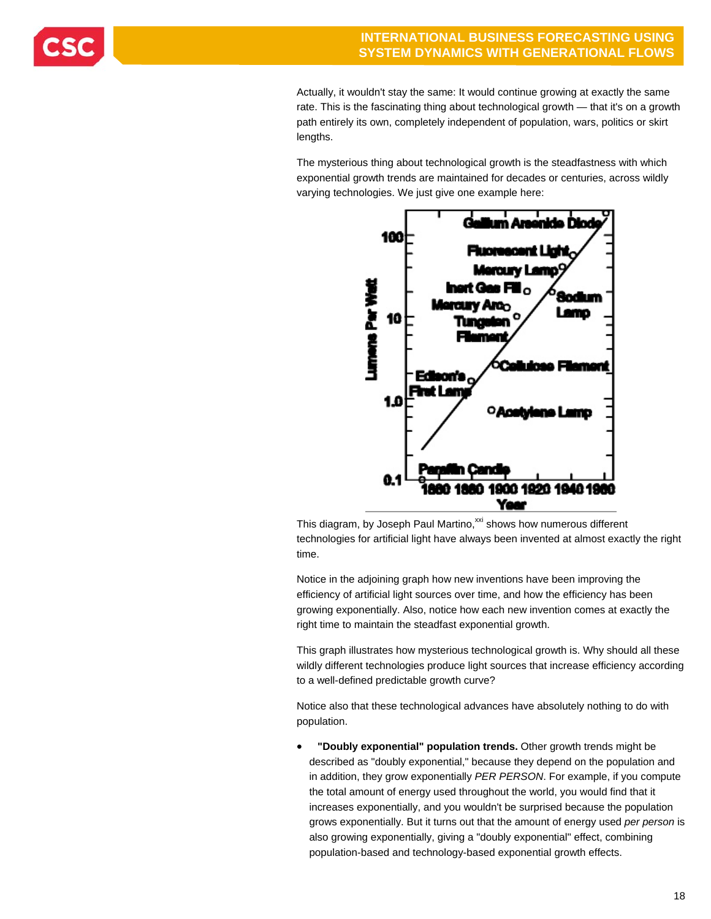Actually, it wouldn't stay the same: It would continue growing at exactly the same rate. This is the fascinating thing about technological growth — that it's on a growth path entirely its own, completely independent of population, wars, politics or skirt lengths.

The mysterious thing about technological growth is the steadfastness with which exponential growth trends are maintained for decades or centuries, across wildly varying technologies. We just give one example here:



This diagram, by Joseph Paul Martino,<sup>xxi</sup> shows how numerous different technologies for artificial light have always been invented at almost exactly the right time.

Notice in the adjoining graph how new inventions have been improving the efficiency of artificial light sources over time, and how the efficiency has been growing exponentially. Also, notice how each new invention comes at exactly the right time to maintain the steadfast exponential growth.

This graph illustrates how mysterious technological growth is. Why should all these wildly different technologies produce light sources that increase efficiency according to a well-defined predictable growth curve?

Notice also that these technological advances have absolutely nothing to do with population.

 **"Doubly exponential" population trends.** Other growth trends might be described as "doubly exponential," because they depend on the population and in addition, they grow exponentially *PER PERSON*. For example, if you compute the total amount of energy used throughout the world, you would find that it increases exponentially, and you wouldn't be surprised because the population grows exponentially. But it turns out that the amount of energy used *per person* is also growing exponentially, giving a "doubly exponential" effect, combining population-based and technology-based exponential growth effects.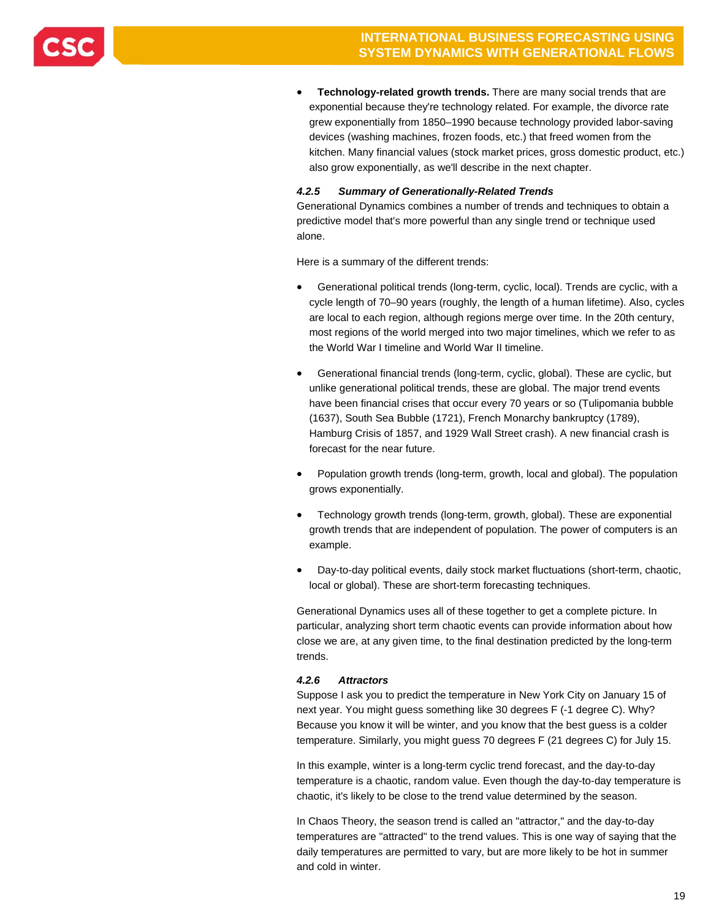

 **Technology-related growth trends.** There are many social trends that are exponential because they're technology related. For example, the divorce rate grew exponentially from 1850–1990 because technology provided labor-saving devices (washing machines, frozen foods, etc.) that freed women from the kitchen. Many financial values (stock market prices, gross domestic product, etc.) also grow exponentially, as we'll describe in the next chapter.

### *4.2.5 Summary of Generationally-Related Trends*

Generational Dynamics combines a number of trends and techniques to obtain a predictive model that's more powerful than any single trend or technique used alone.

Here is a summary of the different trends:

- Generational political trends (long-term, cyclic, local). Trends are cyclic, with a cycle length of 70–90 years (roughly, the length of a human lifetime). Also, cycles are local to each region, although regions merge over time. In the 20th century, most regions of the world merged into two major timelines, which we refer to as the World War I timeline and World War II timeline.
- Generational financial trends (long-term, cyclic, global). These are cyclic, but unlike generational political trends, these are global. The major trend events have been financial crises that occur every 70 years or so (Tulipomania bubble (1637), South Sea Bubble (1721), French Monarchy bankruptcy (1789), Hamburg Crisis of 1857, and 1929 Wall Street crash). A new financial crash is forecast for the near future.
- Population growth trends (long-term, growth, local and global). The population grows exponentially.
- Technology growth trends (long-term, growth, global). These are exponential growth trends that are independent of population. The power of computers is an example.
- Day-to-day political events, daily stock market fluctuations (short-term, chaotic, local or global). These are short-term forecasting techniques.

Generational Dynamics uses all of these together to get a complete picture. In particular, analyzing short term chaotic events can provide information about how close we are, at any given time, to the final destination predicted by the long-term trends.

### *4.2.6 Attractors*

Suppose I ask you to predict the temperature in New York City on January 15 of next year. You might guess something like 30 degrees F (-1 degree C). Why? Because you know it will be winter, and you know that the best guess is a colder temperature. Similarly, you might guess 70 degrees F (21 degrees C) for July 15.

In this example, winter is a long-term cyclic trend forecast, and the day-to-day temperature is a chaotic, random value. Even though the day-to-day temperature is chaotic, it's likely to be close to the trend value determined by the season.

In Chaos Theory, the season trend is called an "attractor," and the day-to-day temperatures are "attracted" to the trend values. This is one way of saying that the daily temperatures are permitted to vary, but are more likely to be hot in summer and cold in winter.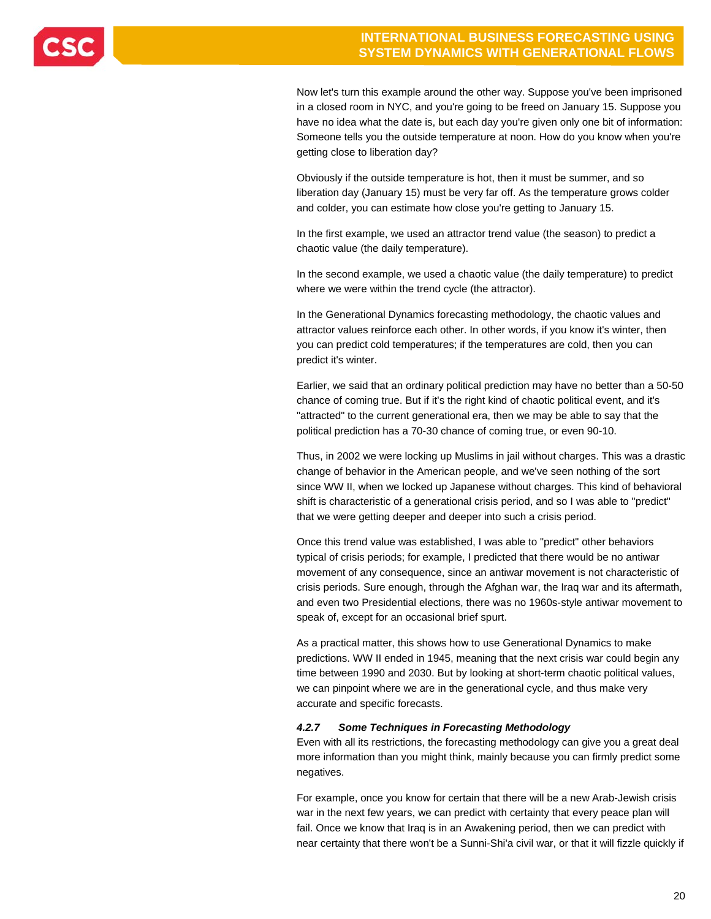Now let's turn this example around the other way. Suppose you've been imprisoned in a closed room in NYC, and you're going to be freed on January 15. Suppose you have no idea what the date is, but each day you're given only one bit of information: Someone tells you the outside temperature at noon. How do you know when you're getting close to liberation day?

Obviously if the outside temperature is hot, then it must be summer, and so liberation day (January 15) must be very far off. As the temperature grows colder and colder, you can estimate how close you're getting to January 15.

In the first example, we used an attractor trend value (the season) to predict a chaotic value (the daily temperature).

In the second example, we used a chaotic value (the daily temperature) to predict where we were within the trend cycle (the attractor).

In the Generational Dynamics forecasting methodology, the chaotic values and attractor values reinforce each other. In other words, if you know it's winter, then you can predict cold temperatures; if the temperatures are cold, then you can predict it's winter.

Earlier, we said that an ordinary political prediction may have no better than a 50-50 chance of coming true. But if it's the right kind of chaotic political event, and it's "attracted" to the current generational era, then we may be able to say that the political prediction has a 70-30 chance of coming true, or even 90-10.

Thus, in 2002 we were locking up Muslims in jail without charges. This was a drastic change of behavior in the American people, and we've seen nothing of the sort since WW II, when we locked up Japanese without charges. This kind of behavioral shift is characteristic of a generational crisis period, and so I was able to "predict" that we were getting deeper and deeper into such a crisis period.

Once this trend value was established, I was able to "predict" other behaviors typical of crisis periods; for example, I predicted that there would be no antiwar movement of any consequence, since an antiwar movement is not characteristic of crisis periods. Sure enough, through the Afghan war, the Iraq war and its aftermath, and even two Presidential elections, there was no 1960s-style antiwar movement to speak of, except for an occasional brief spurt.

As a practical matter, this shows how to use Generational Dynamics to make predictions. WW II ended in 1945, meaning that the next crisis war could begin any time between 1990 and 2030. But by looking at short-term chaotic political values, we can pinpoint where we are in the generational cycle, and thus make very accurate and specific forecasts.

### *4.2.7 Some Techniques in Forecasting Methodology*

Even with all its restrictions, the forecasting methodology can give you a great deal more information than you might think, mainly because you can firmly predict some negatives.

For example, once you know for certain that there will be a new Arab-Jewish crisis war in the next few years, we can predict with certainty that every peace plan will fail. Once we know that Iraq is in an Awakening period, then we can predict with near certainty that there won't be a Sunni-Shi'a civil war, or that it will fizzle quickly if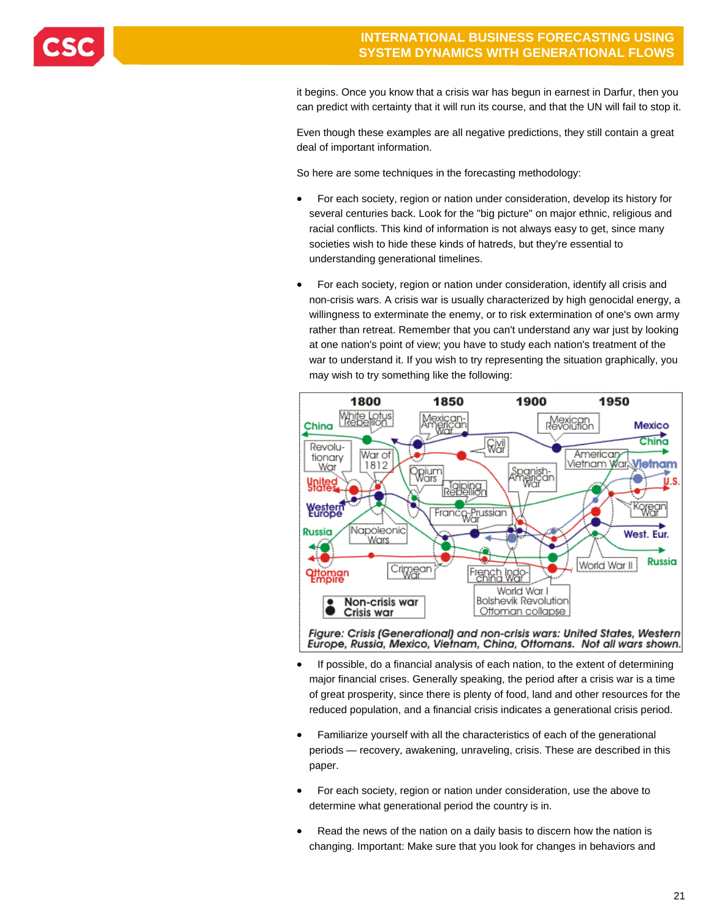

it begins. Once you know that a crisis war has begun in earnest in Darfur, then you can predict with certainty that it will run its course, and that the UN will fail to stop it.

Even though these examples are all negative predictions, they still contain a great deal of important information.

So here are some techniques in the forecasting methodology:

- For each society, region or nation under consideration, develop its history for several centuries back. Look for the "big picture" on major ethnic, religious and racial conflicts. This kind of information is not always easy to get, since many societies wish to hide these kinds of hatreds, but they're essential to understanding generational timelines.
- For each society, region or nation under consideration, identify all crisis and non-crisis wars. A crisis war is usually characterized by high genocidal energy, a willingness to exterminate the enemy, or to risk extermination of one's own army rather than retreat. Remember that you can't understand any war just by looking at one nation's point of view; you have to study each nation's treatment of the war to understand it. If you wish to try representing the situation graphically, you may wish to try something like the following:



Figure: Crisis (Generational) and non-crisis wars: United States, Western Europe, Russia, Mexico, Vietnam, China, Ottomans. Not all wars shown.

- If possible, do a financial analysis of each nation, to the extent of determining major financial crises. Generally speaking, the period after a crisis war is a time of great prosperity, since there is plenty of food, land and other resources for the reduced population, and a financial crisis indicates a generational crisis period.
- Familiarize yourself with all the characteristics of each of the generational periods — recovery, awakening, unraveling, crisis. These are described in this paper.
- For each society, region or nation under consideration, use the above to determine what generational period the country is in.
- Read the news of the nation on a daily basis to discern how the nation is changing. Important: Make sure that you look for changes in behaviors and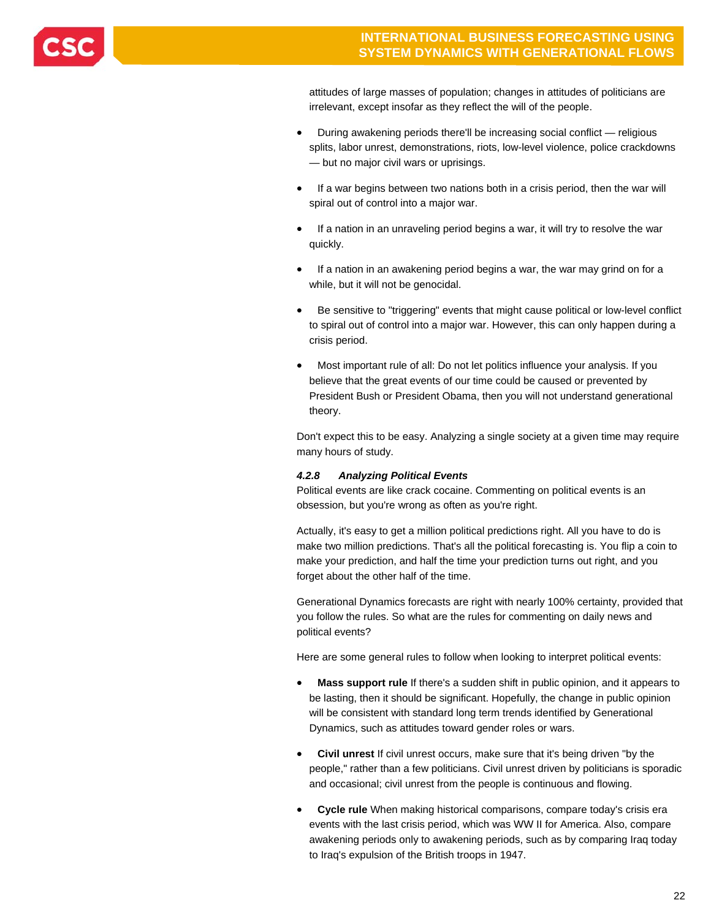

attitudes of large masses of population; changes in attitudes of politicians are irrelevant, except insofar as they reflect the will of the people.

- During awakening periods there'll be increasing social conflict religious splits, labor unrest, demonstrations, riots, low-level violence, police crackdowns — but no major civil wars or uprisings.
- If a war begins between two nations both in a crisis period, then the war will spiral out of control into a major war.
- If a nation in an unraveling period begins a war, it will try to resolve the war quickly.
- If a nation in an awakening period begins a war, the war may grind on for a while, but it will not be genocidal.
- Be sensitive to "triggering" events that might cause political or low-level conflict to spiral out of control into a major war. However, this can only happen during a crisis period.
- Most important rule of all: Do not let politics influence your analysis. If you believe that the great events of our time could be caused or prevented by President Bush or President Obama, then you will not understand generational theory.

Don't expect this to be easy. Analyzing a single society at a given time may require many hours of study.

### *4.2.8 Analyzing Political Events*

Political events are like crack cocaine. Commenting on political events is an obsession, but you're wrong as often as you're right.

Actually, it's easy to get a million political predictions right. All you have to do is make two million predictions. That's all the political forecasting is. You flip a coin to make your prediction, and half the time your prediction turns out right, and you forget about the other half of the time.

Generational Dynamics forecasts are right with nearly 100% certainty, provided that you follow the rules. So what are the rules for commenting on daily news and political events?

Here are some general rules to follow when looking to interpret political events:

- **Mass support rule** If there's a sudden shift in public opinion, and it appears to be lasting, then it should be significant. Hopefully, the change in public opinion will be consistent with standard long term trends identified by Generational Dynamics, such as attitudes toward gender roles or wars.
- **Civil unrest** If civil unrest occurs, make sure that it's being driven "by the people," rather than a few politicians. Civil unrest driven by politicians is sporadic and occasional; civil unrest from the people is continuous and flowing.
- **Cycle rule** When making historical comparisons, compare today's crisis era events with the last crisis period, which was WW II for America. Also, compare awakening periods only to awakening periods, such as by comparing Iraq today to Iraq's expulsion of the British troops in 1947.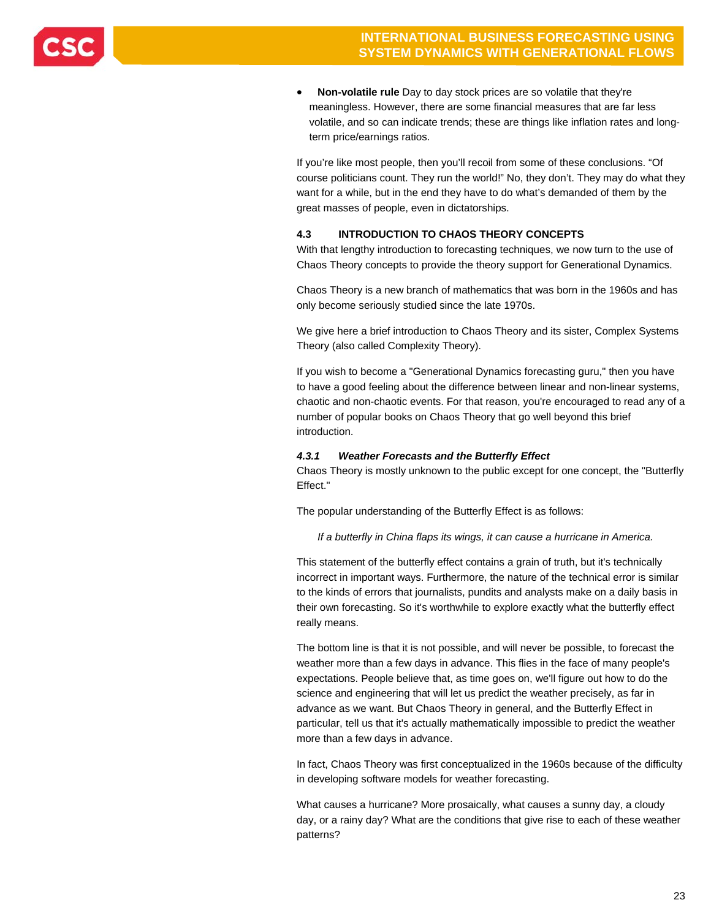

 **Non-volatile rule** Day to day stock prices are so volatile that they're meaningless. However, there are some financial measures that are far less volatile, and so can indicate trends; these are things like inflation rates and longterm price/earnings ratios.

If you're like most people, then you'll recoil from some of these conclusions. "Of course politicians count. They run the world!" No, they don't. They may do what they want for a while, but in the end they have to do what's demanded of them by the great masses of people, even in dictatorships.

### **4.3 INTRODUCTION TO CHAOS THEORY CONCEPTS**

With that lengthy introduction to forecasting techniques, we now turn to the use of Chaos Theory concepts to provide the theory support for Generational Dynamics.

Chaos Theory is a new branch of mathematics that was born in the 1960s and has only become seriously studied since the late 1970s.

We give here a brief introduction to Chaos Theory and its sister, Complex Systems Theory (also called Complexity Theory).

If you wish to become a "Generational Dynamics forecasting guru," then you have to have a good feeling about the difference between linear and non-linear systems, chaotic and non-chaotic events. For that reason, you're encouraged to read any of a number of popular books on Chaos Theory that go well beyond this brief introduction.

### *4.3.1 Weather Forecasts and the Butterfly Effect*

Chaos Theory is mostly unknown to the public except for one concept, the "Butterfly Effect."

The popular understanding of the Butterfly Effect is as follows:

*If a butterfly in China flaps its wings, it can cause a hurricane in America.* 

This statement of the butterfly effect contains a grain of truth, but it's technically incorrect in important ways. Furthermore, the nature of the technical error is similar to the kinds of errors that journalists, pundits and analysts make on a daily basis in their own forecasting. So it's worthwhile to explore exactly what the butterfly effect really means.

The bottom line is that it is not possible, and will never be possible, to forecast the weather more than a few days in advance. This flies in the face of many people's expectations. People believe that, as time goes on, we'll figure out how to do the science and engineering that will let us predict the weather precisely, as far in advance as we want. But Chaos Theory in general, and the Butterfly Effect in particular, tell us that it's actually mathematically impossible to predict the weather more than a few days in advance.

In fact, Chaos Theory was first conceptualized in the 1960s because of the difficulty in developing software models for weather forecasting.

What causes a hurricane? More prosaically, what causes a sunny day, a cloudy day, or a rainy day? What are the conditions that give rise to each of these weather patterns?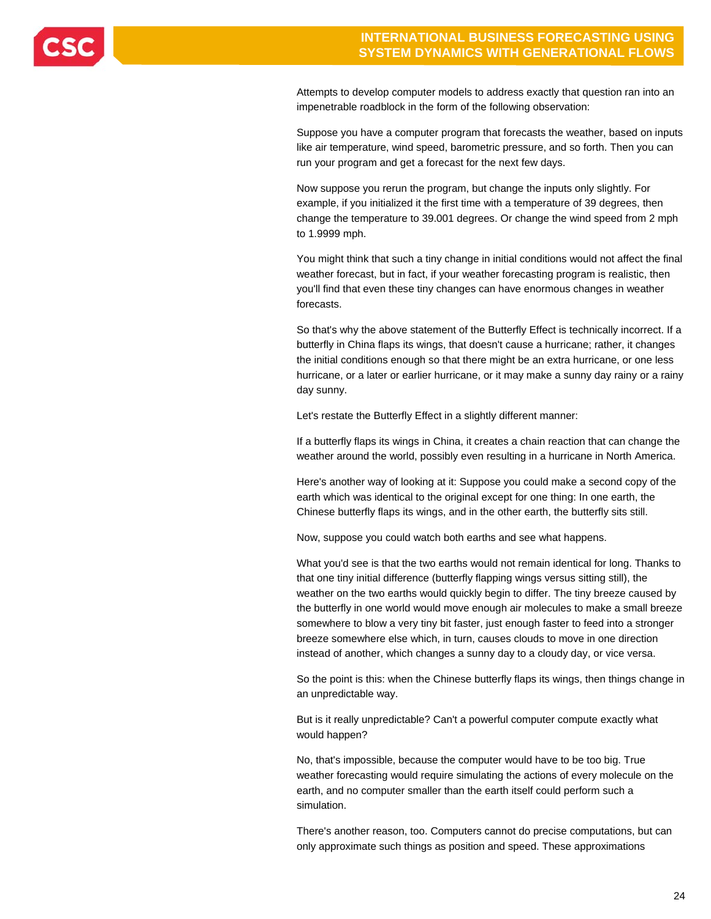

Attempts to develop computer models to address exactly that question ran into an impenetrable roadblock in the form of the following observation:

Suppose you have a computer program that forecasts the weather, based on inputs like air temperature, wind speed, barometric pressure, and so forth. Then you can run your program and get a forecast for the next few days.

Now suppose you rerun the program, but change the inputs only slightly. For example, if you initialized it the first time with a temperature of 39 degrees, then change the temperature to 39.001 degrees. Or change the wind speed from 2 mph to 1.9999 mph.

You might think that such a tiny change in initial conditions would not affect the final weather forecast, but in fact, if your weather forecasting program is realistic, then you'll find that even these tiny changes can have enormous changes in weather forecasts.

So that's why the above statement of the Butterfly Effect is technically incorrect. If a butterfly in China flaps its wings, that doesn't cause a hurricane; rather, it changes the initial conditions enough so that there might be an extra hurricane, or one less hurricane, or a later or earlier hurricane, or it may make a sunny day rainy or a rainy day sunny.

Let's restate the Butterfly Effect in a slightly different manner:

If a butterfly flaps its wings in China, it creates a chain reaction that can change the weather around the world, possibly even resulting in a hurricane in North America.

Here's another way of looking at it: Suppose you could make a second copy of the earth which was identical to the original except for one thing: In one earth, the Chinese butterfly flaps its wings, and in the other earth, the butterfly sits still.

Now, suppose you could watch both earths and see what happens.

What you'd see is that the two earths would not remain identical for long. Thanks to that one tiny initial difference (butterfly flapping wings versus sitting still), the weather on the two earths would quickly begin to differ. The tiny breeze caused by the butterfly in one world would move enough air molecules to make a small breeze somewhere to blow a very tiny bit faster, just enough faster to feed into a stronger breeze somewhere else which, in turn, causes clouds to move in one direction instead of another, which changes a sunny day to a cloudy day, or vice versa.

So the point is this: when the Chinese butterfly flaps its wings, then things change in an unpredictable way.

But is it really unpredictable? Can't a powerful computer compute exactly what would happen?

No, that's impossible, because the computer would have to be too big. True weather forecasting would require simulating the actions of every molecule on the earth, and no computer smaller than the earth itself could perform such a simulation.

There's another reason, too. Computers cannot do precise computations, but can only approximate such things as position and speed. These approximations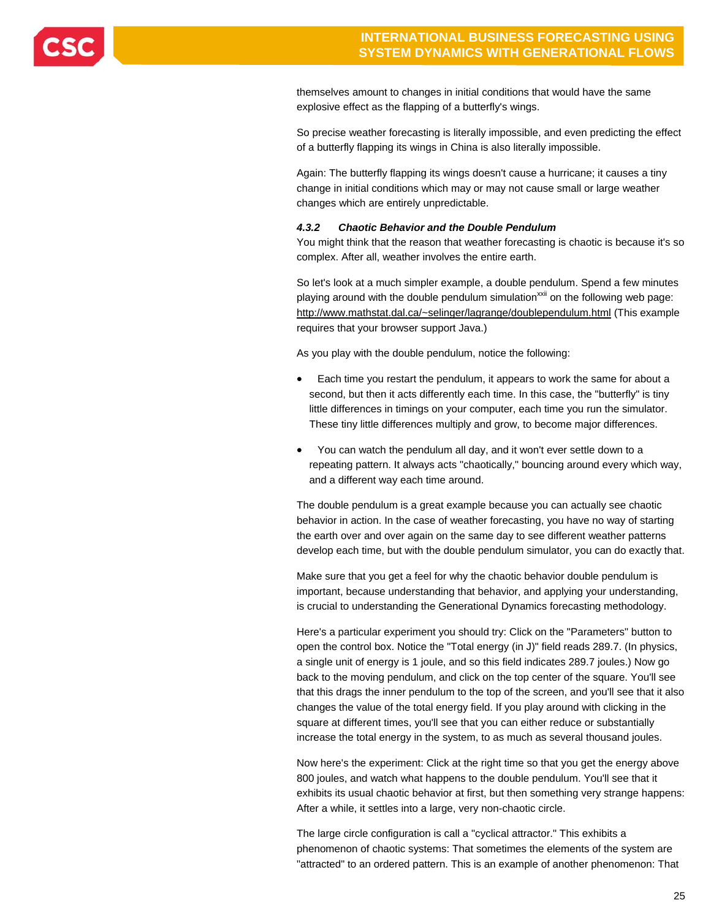

themselves amount to changes in initial conditions that would have the same explosive effect as the flapping of a butterfly's wings.

So precise weather forecasting is literally impossible, and even predicting the effect of a butterfly flapping its wings in China is also literally impossible.

Again: The butterfly flapping its wings doesn't cause a hurricane; it causes a tiny change in initial conditions which may or may not cause small or large weather changes which are entirely unpredictable.

#### *4.3.2 Chaotic Behavior and the Double Pendulum*

You might think that the reason that weather forecasting is chaotic is because it's so complex. After all, weather involves the entire earth.

So let's look at a much simpler example, a double pendulum. Spend a few minutes playing around with the double pendulum simulation<sup> $xxi$ </sup> on the following web page: http://www.mathstat.dal.ca/~selinger/lagrange/doublependulum.html (This example requires that your browser support Java.)

As you play with the double pendulum, notice the following:

- Each time you restart the pendulum, it appears to work the same for about a second, but then it acts differently each time. In this case, the "butterfly" is tiny little differences in timings on your computer, each time you run the simulator. These tiny little differences multiply and grow, to become major differences.
- You can watch the pendulum all day, and it won't ever settle down to a repeating pattern. It always acts "chaotically," bouncing around every which way, and a different way each time around.

The double pendulum is a great example because you can actually see chaotic behavior in action. In the case of weather forecasting, you have no way of starting the earth over and over again on the same day to see different weather patterns develop each time, but with the double pendulum simulator, you can do exactly that.

Make sure that you get a feel for why the chaotic behavior double pendulum is important, because understanding that behavior, and applying your understanding, is crucial to understanding the Generational Dynamics forecasting methodology.

Here's a particular experiment you should try: Click on the "Parameters" button to open the control box. Notice the "Total energy (in J)" field reads 289.7. (In physics, a single unit of energy is 1 joule, and so this field indicates 289.7 joules.) Now go back to the moving pendulum, and click on the top center of the square. You'll see that this drags the inner pendulum to the top of the screen, and you'll see that it also changes the value of the total energy field. If you play around with clicking in the square at different times, you'll see that you can either reduce or substantially increase the total energy in the system, to as much as several thousand joules.

Now here's the experiment: Click at the right time so that you get the energy above 800 joules, and watch what happens to the double pendulum. You'll see that it exhibits its usual chaotic behavior at first, but then something very strange happens: After a while, it settles into a large, very non-chaotic circle.

The large circle configuration is call a "cyclical attractor." This exhibits a phenomenon of chaotic systems: That sometimes the elements of the system are "attracted" to an ordered pattern. This is an example of another phenomenon: That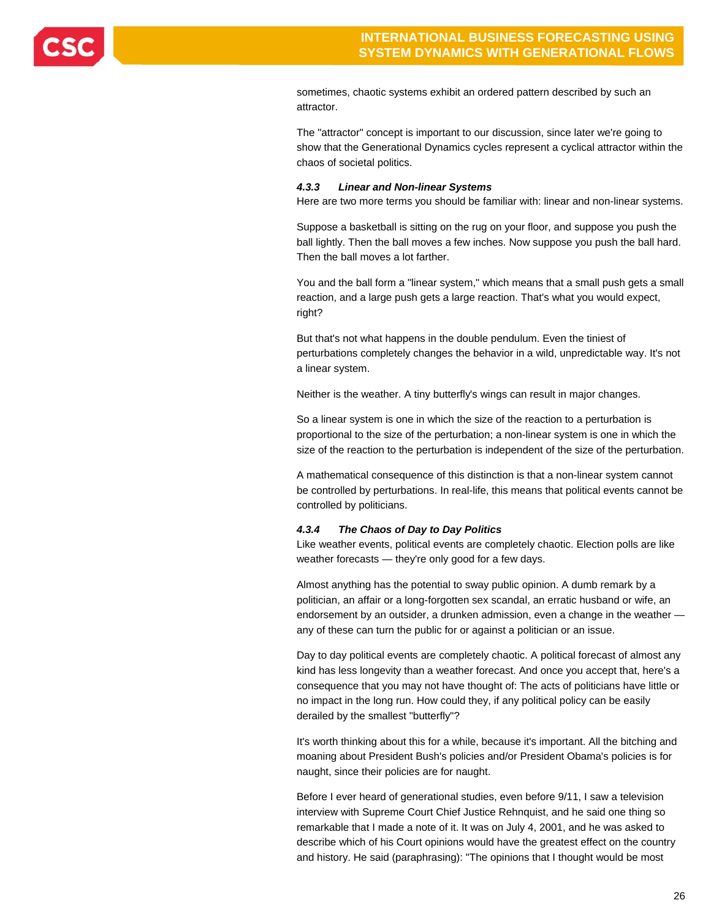

sometimes, chaotic systems exhibit an ordered pattern described by such an attractor.

The "attractor" concept is important to our discussion, since later we're going to show that the Generational Dynamics cycles represent a cyclical attractor within the chaos of societal politics.

#### *4.3.3 Linear and Non-linear Systems*

Here are two more terms you should be familiar with: linear and non-linear systems.

Suppose a basketball is sitting on the rug on your floor, and suppose you push the ball lightly. Then the ball moves a few inches. Now suppose you push the ball hard. Then the ball moves a lot farther.

You and the ball form a "linear system," which means that a small push gets a small reaction, and a large push gets a large reaction. That's what you would expect, right?

But that's not what happens in the double pendulum. Even the tiniest of perturbations completely changes the behavior in a wild, unpredictable way. It's not a linear system.

Neither is the weather. A tiny butterfly's wings can result in major changes.

So a linear system is one in which the size of the reaction to a perturbation is proportional to the size of the perturbation; a non-linear system is one in which the size of the reaction to the perturbation is independent of the size of the perturbation.

A mathematical consequence of this distinction is that a non-linear system cannot be controlled by perturbations. In real-life, this means that political events cannot be controlled by politicians.

#### *4.3.4 The Chaos of Day to Day Politics*

Like weather events, political events are completely chaotic. Election polls are like weather forecasts — they're only good for a few days.

Almost anything has the potential to sway public opinion. A dumb remark by a politician, an affair or a long-forgotten sex scandal, an erratic husband or wife, an endorsement by an outsider, a drunken admission, even a change in the weather any of these can turn the public for or against a politician or an issue.

Day to day political events are completely chaotic. A political forecast of almost any kind has less longevity than a weather forecast. And once you accept that, here's a consequence that you may not have thought of: The acts of politicians have little or no impact in the long run. How could they, if any political policy can be easily derailed by the smallest "butterfly"?

It's worth thinking about this for a while, because it's important. All the bitching and moaning about President Bush's policies and/or President Obama's policies is for naught, since their policies are for naught.

Before I ever heard of generational studies, even before 9/11, I saw a television interview with Supreme Court Chief Justice Rehnquist, and he said one thing so remarkable that I made a note of it. It was on July 4, 2001, and he was asked to describe which of his Court opinions would have the greatest effect on the country and history. He said (paraphrasing): "The opinions that I thought would be most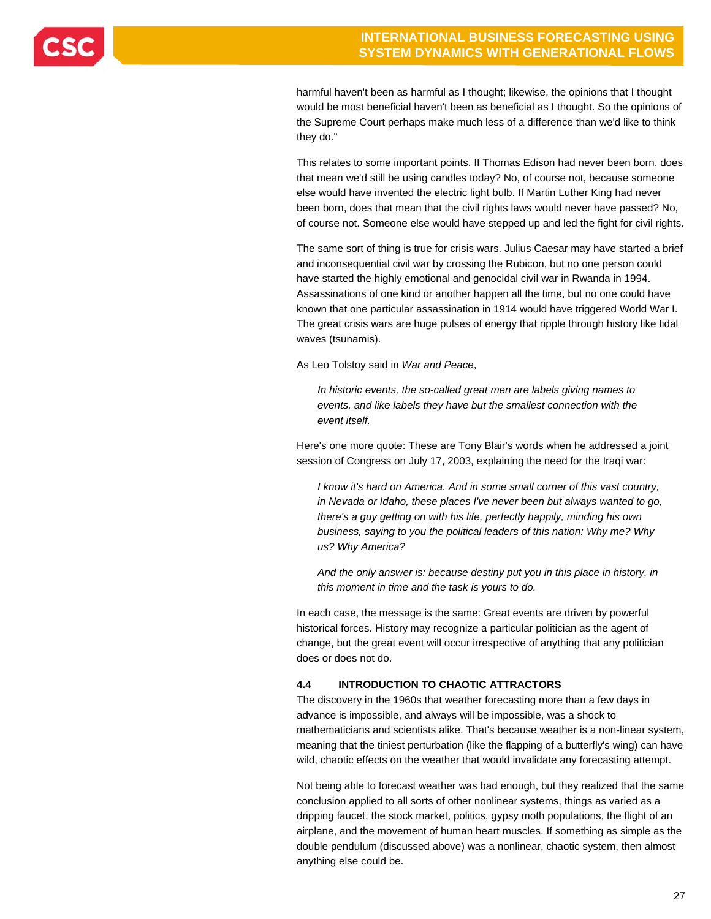harmful haven't been as harmful as I thought; likewise, the opinions that I thought would be most beneficial haven't been as beneficial as I thought. So the opinions of the Supreme Court perhaps make much less of a difference than we'd like to think they do."

This relates to some important points. If Thomas Edison had never been born, does that mean we'd still be using candles today? No, of course not, because someone else would have invented the electric light bulb. If Martin Luther King had never been born, does that mean that the civil rights laws would never have passed? No, of course not. Someone else would have stepped up and led the fight for civil rights.

The same sort of thing is true for crisis wars. Julius Caesar may have started a brief and inconsequential civil war by crossing the Rubicon, but no one person could have started the highly emotional and genocidal civil war in Rwanda in 1994. Assassinations of one kind or another happen all the time, but no one could have known that one particular assassination in 1914 would have triggered World War I. The great crisis wars are huge pulses of energy that ripple through history like tidal waves (tsunamis).

As Leo Tolstoy said in *War and Peace*,

*In historic events, the so-called great men are labels giving names to events, and like labels they have but the smallest connection with the event itself.* 

Here's one more quote: These are Tony Blair's words when he addressed a joint session of Congress on July 17, 2003, explaining the need for the Iraqi war:

*I know it's hard on America. And in some small corner of this vast country, in Nevada or Idaho, these places I've never been but always wanted to go, there's a guy getting on with his life, perfectly happily, minding his own business, saying to you the political leaders of this nation: Why me? Why us? Why America?* 

*And the only answer is: because destiny put you in this place in history, in this moment in time and the task is yours to do.* 

In each case, the message is the same: Great events are driven by powerful historical forces. History may recognize a particular politician as the agent of change, but the great event will occur irrespective of anything that any politician does or does not do.

### **4.4 INTRODUCTION TO CHAOTIC ATTRACTORS**

The discovery in the 1960s that weather forecasting more than a few days in advance is impossible, and always will be impossible, was a shock to mathematicians and scientists alike. That's because weather is a non-linear system, meaning that the tiniest perturbation (like the flapping of a butterfly's wing) can have wild, chaotic effects on the weather that would invalidate any forecasting attempt.

Not being able to forecast weather was bad enough, but they realized that the same conclusion applied to all sorts of other nonlinear systems, things as varied as a dripping faucet, the stock market, politics, gypsy moth populations, the flight of an airplane, and the movement of human heart muscles. If something as simple as the double pendulum (discussed above) was a nonlinear, chaotic system, then almost anything else could be.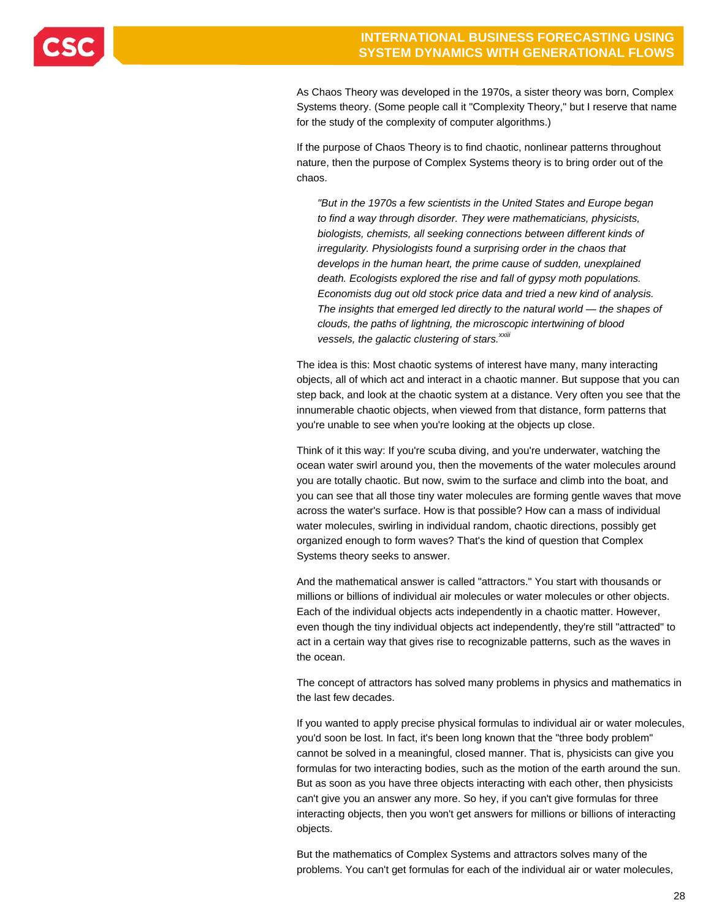

As Chaos Theory was developed in the 1970s, a sister theory was born, Complex Systems theory. (Some people call it "Complexity Theory," but I reserve that name for the study of the complexity of computer algorithms.)

If the purpose of Chaos Theory is to find chaotic, nonlinear patterns throughout nature, then the purpose of Complex Systems theory is to bring order out of the chaos.

*"But in the 1970s a few scientists in the United States and Europe began to find a way through disorder. They were mathematicians, physicists, biologists, chemists, all seeking connections between different kinds of irregularity. Physiologists found a surprising order in the chaos that develops in the human heart, the prime cause of sudden, unexplained death. Ecologists explored the rise and fall of gypsy moth populations. Economists dug out old stock price data and tried a new kind of analysis. The insights that emerged led directly to the natural world — the shapes of clouds, the paths of lightning, the microscopic intertwining of blood*  vessels, the galactic clustering of stars.<sup>xxiii</sup>

The idea is this: Most chaotic systems of interest have many, many interacting objects, all of which act and interact in a chaotic manner. But suppose that you can step back, and look at the chaotic system at a distance. Very often you see that the innumerable chaotic objects, when viewed from that distance, form patterns that you're unable to see when you're looking at the objects up close.

Think of it this way: If you're scuba diving, and you're underwater, watching the ocean water swirl around you, then the movements of the water molecules around you are totally chaotic. But now, swim to the surface and climb into the boat, and you can see that all those tiny water molecules are forming gentle waves that move across the water's surface. How is that possible? How can a mass of individual water molecules, swirling in individual random, chaotic directions, possibly get organized enough to form waves? That's the kind of question that Complex Systems theory seeks to answer.

And the mathematical answer is called "attractors." You start with thousands or millions or billions of individual air molecules or water molecules or other objects. Each of the individual objects acts independently in a chaotic matter. However, even though the tiny individual objects act independently, they're still "attracted" to act in a certain way that gives rise to recognizable patterns, such as the waves in the ocean.

The concept of attractors has solved many problems in physics and mathematics in the last few decades.

If you wanted to apply precise physical formulas to individual air or water molecules, you'd soon be lost. In fact, it's been long known that the "three body problem" cannot be solved in a meaningful, closed manner. That is, physicists can give you formulas for two interacting bodies, such as the motion of the earth around the sun. But as soon as you have three objects interacting with each other, then physicists can't give you an answer any more. So hey, if you can't give formulas for three interacting objects, then you won't get answers for millions or billions of interacting objects.

But the mathematics of Complex Systems and attractors solves many of the problems. You can't get formulas for each of the individual air or water molecules,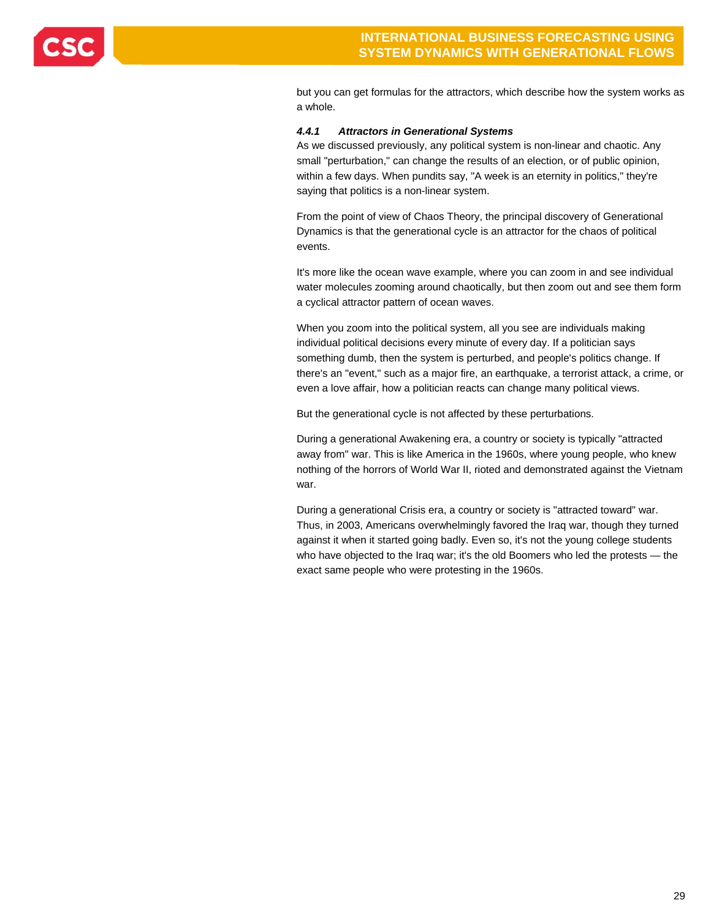

but you can get formulas for the attractors, which describe how the system works as a whole.

### *4.4.1 Attractors in Generational Systems*

As we discussed previously, any political system is non-linear and chaotic. Any small "perturbation," can change the results of an election, or of public opinion, within a few days. When pundits say, "A week is an eternity in politics," they're saying that politics is a non-linear system.

From the point of view of Chaos Theory, the principal discovery of Generational Dynamics is that the generational cycle is an attractor for the chaos of political events.

It's more like the ocean wave example, where you can zoom in and see individual water molecules zooming around chaotically, but then zoom out and see them form a cyclical attractor pattern of ocean waves.

When you zoom into the political system, all you see are individuals making individual political decisions every minute of every day. If a politician says something dumb, then the system is perturbed, and people's politics change. If there's an "event," such as a major fire, an earthquake, a terrorist attack, a crime, or even a love affair, how a politician reacts can change many political views.

But the generational cycle is not affected by these perturbations.

During a generational Awakening era, a country or society is typically "attracted away from" war. This is like America in the 1960s, where young people, who knew nothing of the horrors of World War II, rioted and demonstrated against the Vietnam war.

During a generational Crisis era, a country or society is "attracted toward" war. Thus, in 2003, Americans overwhelmingly favored the Iraq war, though they turned against it when it started going badly. Even so, it's not the young college students who have objected to the Iraq war; it's the old Boomers who led the protests - the exact same people who were protesting in the 1960s.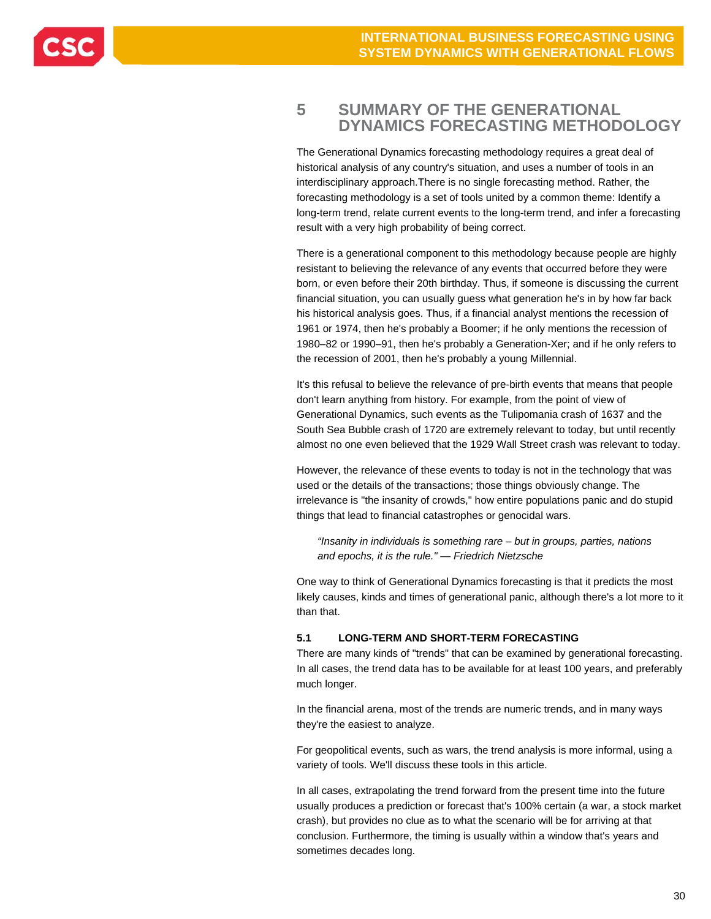

### **5 SUMMARY OF THE GENERATIONAL DYNAMICS FORECASTING METHODOLOGY**

The Generational Dynamics forecasting methodology requires a great deal of historical analysis of any country's situation, and uses a number of tools in an interdisciplinary approach.There is no single forecasting method. Rather, the forecasting methodology is a set of tools united by a common theme: Identify a long-term trend, relate current events to the long-term trend, and infer a forecasting result with a very high probability of being correct.

There is a generational component to this methodology because people are highly resistant to believing the relevance of any events that occurred before they were born, or even before their 20th birthday. Thus, if someone is discussing the current financial situation, you can usually guess what generation he's in by how far back his historical analysis goes. Thus, if a financial analyst mentions the recession of 1961 or 1974, then he's probably a Boomer; if he only mentions the recession of 1980–82 or 1990–91, then he's probably a Generation-Xer; and if he only refers to the recession of 2001, then he's probably a young Millennial.

It's this refusal to believe the relevance of pre-birth events that means that people don't learn anything from history. For example, from the point of view of Generational Dynamics, such events as the Tulipomania crash of 1637 and the South Sea Bubble crash of 1720 are extremely relevant to today, but until recently almost no one even believed that the 1929 Wall Street crash was relevant to today.

However, the relevance of these events to today is not in the technology that was used or the details of the transactions; those things obviously change. The irrelevance is "the insanity of crowds," how entire populations panic and do stupid things that lead to financial catastrophes or genocidal wars.

*"Insanity in individuals is something rare – but in groups, parties, nations and epochs, it is the rule." — Friedrich Nietzsche* 

One way to think of Generational Dynamics forecasting is that it predicts the most likely causes, kinds and times of generational panic, although there's a lot more to it than that.

### **5.1 LONG-TERM AND SHORT-TERM FORECASTING**

There are many kinds of "trends" that can be examined by generational forecasting. In all cases, the trend data has to be available for at least 100 years, and preferably much longer.

In the financial arena, most of the trends are numeric trends, and in many ways they're the easiest to analyze.

For geopolitical events, such as wars, the trend analysis is more informal, using a variety of tools. We'll discuss these tools in this article.

In all cases, extrapolating the trend forward from the present time into the future usually produces a prediction or forecast that's 100% certain (a war, a stock market crash), but provides no clue as to what the scenario will be for arriving at that conclusion. Furthermore, the timing is usually within a window that's years and sometimes decades long.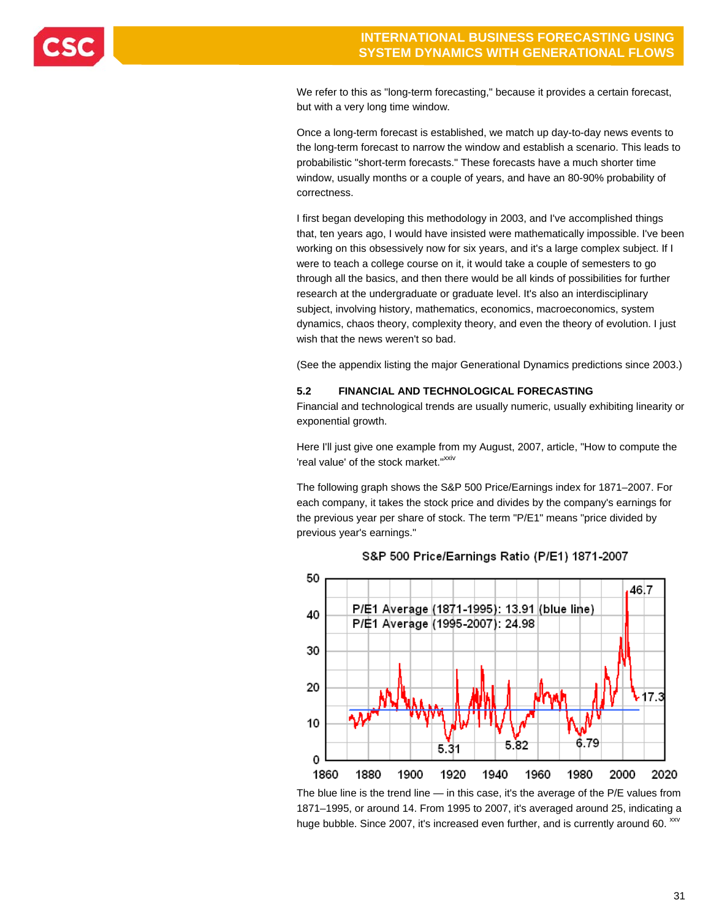

We refer to this as "long-term forecasting," because it provides a certain forecast, but with a very long time window.

Once a long-term forecast is established, we match up day-to-day news events to the long-term forecast to narrow the window and establish a scenario. This leads to probabilistic "short-term forecasts." These forecasts have a much shorter time window, usually months or a couple of years, and have an 80-90% probability of correctness.

I first began developing this methodology in 2003, and I've accomplished things that, ten years ago, I would have insisted were mathematically impossible. I've been working on this obsessively now for six years, and it's a large complex subject. If I were to teach a college course on it, it would take a couple of semesters to go through all the basics, and then there would be all kinds of possibilities for further research at the undergraduate or graduate level. It's also an interdisciplinary subject, involving history, mathematics, economics, macroeconomics, system dynamics, chaos theory, complexity theory, and even the theory of evolution. I just wish that the news weren't so bad.

(See the appendix listing the major Generational Dynamics predictions since 2003.)

### **5.2 FINANCIAL AND TECHNOLOGICAL FORECASTING**

Financial and technological trends are usually numeric, usually exhibiting linearity or exponential growth.

Here I'll just give one example from my August, 2007, article, "How to compute the 'real value' of the stock market."<sup>xxiv</sup>

The following graph shows the S&P 500 Price/Earnings index for 1871–2007. For each company, it takes the stock price and divides by the company's earnings for the previous year per share of stock. The term "P/E1" means "price divided by previous year's earnings."



### S&P 500 Price/Earnings Ratio (P/E1) 1871-2007

The blue line is the trend line — in this case, it's the average of the P/E values from 1871–1995, or around 14. From 1995 to 2007, it's averaged around 25, indicating a huge bubble. Since 2007, it's increased even further, and is currently around 60. XXV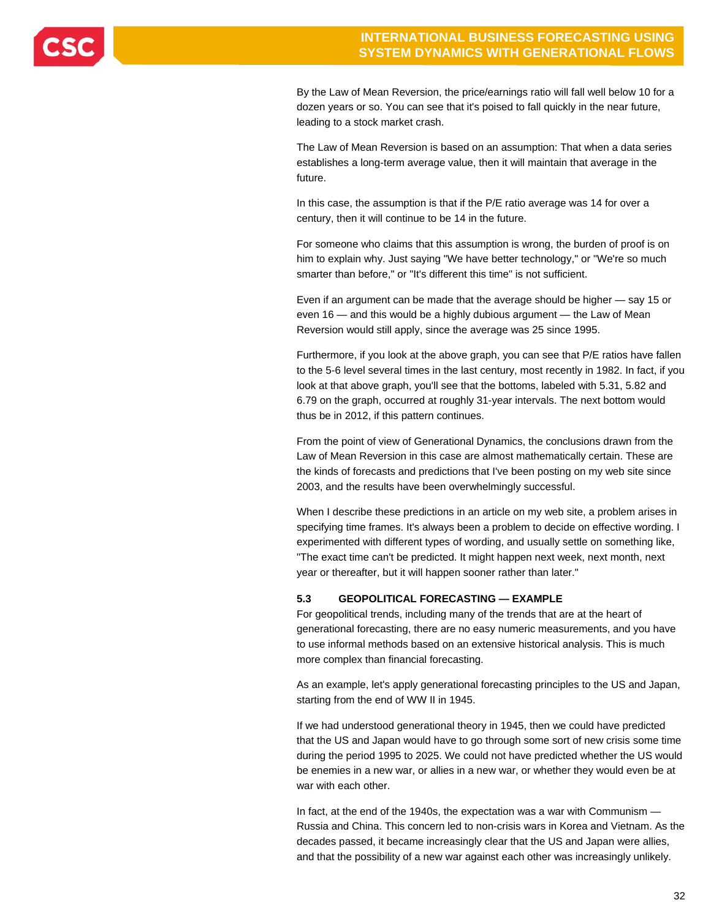

By the Law of Mean Reversion, the price/earnings ratio will fall well below 10 for a dozen years or so. You can see that it's poised to fall quickly in the near future, leading to a stock market crash.

The Law of Mean Reversion is based on an assumption: That when a data series establishes a long-term average value, then it will maintain that average in the future.

In this case, the assumption is that if the P/E ratio average was 14 for over a century, then it will continue to be 14 in the future.

For someone who claims that this assumption is wrong, the burden of proof is on him to explain why. Just saying "We have better technology," or "We're so much smarter than before," or "It's different this time" is not sufficient.

Even if an argument can be made that the average should be higher — say 15 or even 16 — and this would be a highly dubious argument — the Law of Mean Reversion would still apply, since the average was 25 since 1995.

Furthermore, if you look at the above graph, you can see that P/E ratios have fallen to the 5-6 level several times in the last century, most recently in 1982. In fact, if you look at that above graph, you'll see that the bottoms, labeled with 5.31, 5.82 and 6.79 on the graph, occurred at roughly 31-year intervals. The next bottom would thus be in 2012, if this pattern continues.

From the point of view of Generational Dynamics, the conclusions drawn from the Law of Mean Reversion in this case are almost mathematically certain. These are the kinds of forecasts and predictions that I've been posting on my web site since 2003, and the results have been overwhelmingly successful.

When I describe these predictions in an article on my web site, a problem arises in specifying time frames. It's always been a problem to decide on effective wording. I experimented with different types of wording, and usually settle on something like, "The exact time can't be predicted. It might happen next week, next month, next year or thereafter, but it will happen sooner rather than later."

### **5.3 GEOPOLITICAL FORECASTING — EXAMPLE**

For geopolitical trends, including many of the trends that are at the heart of generational forecasting, there are no easy numeric measurements, and you have to use informal methods based on an extensive historical analysis. This is much more complex than financial forecasting.

As an example, let's apply generational forecasting principles to the US and Japan, starting from the end of WW II in 1945.

If we had understood generational theory in 1945, then we could have predicted that the US and Japan would have to go through some sort of new crisis some time during the period 1995 to 2025. We could not have predicted whether the US would be enemies in a new war, or allies in a new war, or whether they would even be at war with each other.

In fact, at the end of the 1940s, the expectation was a war with Communism — Russia and China. This concern led to non-crisis wars in Korea and Vietnam. As the decades passed, it became increasingly clear that the US and Japan were allies, and that the possibility of a new war against each other was increasingly unlikely.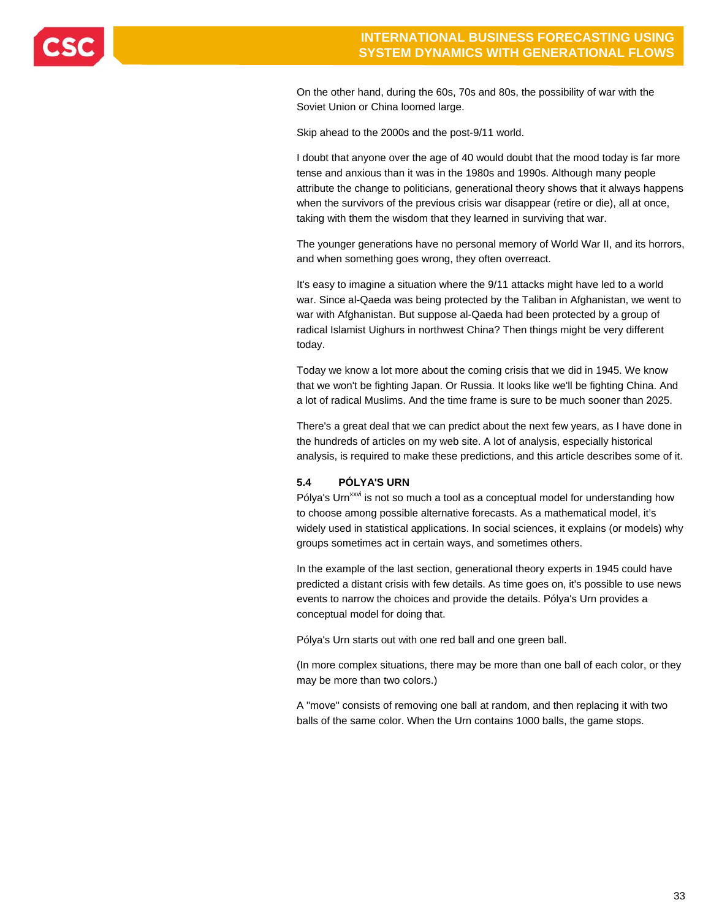

On the other hand, during the 60s, 70s and 80s, the possibility of war with the Soviet Union or China loomed large.

Skip ahead to the 2000s and the post-9/11 world.

I doubt that anyone over the age of 40 would doubt that the mood today is far more tense and anxious than it was in the 1980s and 1990s. Although many people attribute the change to politicians, generational theory shows that it always happens when the survivors of the previous crisis war disappear (retire or die), all at once, taking with them the wisdom that they learned in surviving that war.

The younger generations have no personal memory of World War II, and its horrors, and when something goes wrong, they often overreact.

It's easy to imagine a situation where the 9/11 attacks might have led to a world war. Since al-Qaeda was being protected by the Taliban in Afghanistan, we went to war with Afghanistan. But suppose al-Qaeda had been protected by a group of radical Islamist Uighurs in northwest China? Then things might be very different today.

Today we know a lot more about the coming crisis that we did in 1945. We know that we won't be fighting Japan. Or Russia. It looks like we'll be fighting China. And a lot of radical Muslims. And the time frame is sure to be much sooner than 2025.

There's a great deal that we can predict about the next few years, as I have done in the hundreds of articles on my web site. A lot of analysis, especially historical analysis, is required to make these predictions, and this article describes some of it.

### **5.4 PÓLYA'S URN**

Pólya's Urn<sup>xxvi</sup> is not so much a tool as a conceptual model for understanding how to choose among possible alternative forecasts. As a mathematical model, it's widely used in statistical applications. In social sciences, it explains (or models) why groups sometimes act in certain ways, and sometimes others.

In the example of the last section, generational theory experts in 1945 could have predicted a distant crisis with few details. As time goes on, it's possible to use news events to narrow the choices and provide the details. Pólya's Urn provides a conceptual model for doing that.

Pólya's Urn starts out with one red ball and one green ball.

(In more complex situations, there may be more than one ball of each color, or they may be more than two colors.)

A "move" consists of removing one ball at random, and then replacing it with two balls of the same color. When the Urn contains 1000 balls, the game stops.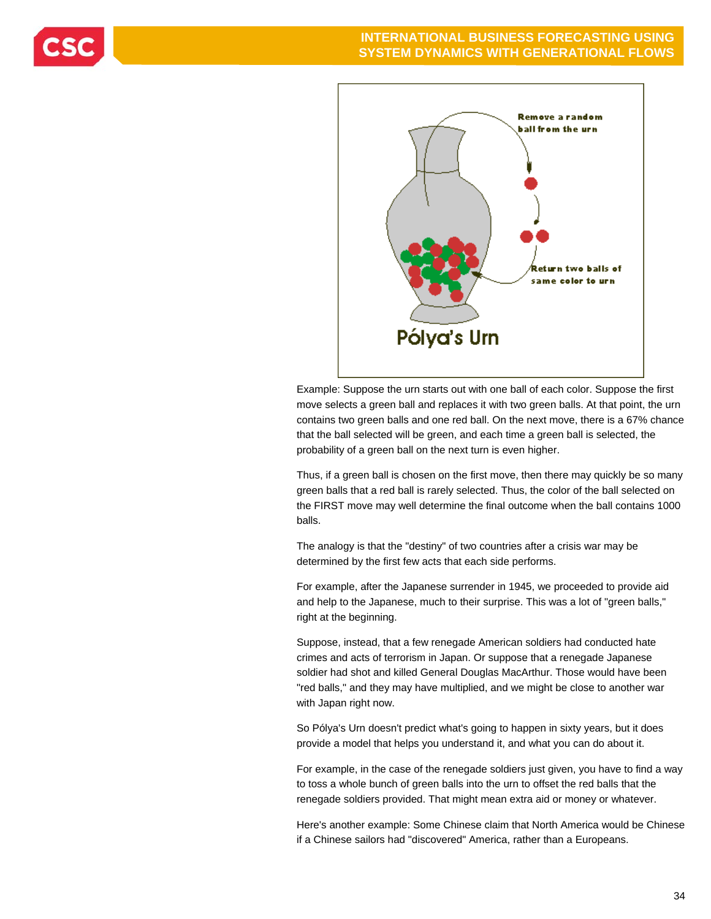





Example: Suppose the urn starts out with one ball of each color. Suppose the first move selects a green ball and replaces it with two green balls. At that point, the urn contains two green balls and one red ball. On the next move, there is a 67% chance that the ball selected will be green, and each time a green ball is selected, the probability of a green ball on the next turn is even higher.

Thus, if a green ball is chosen on the first move, then there may quickly be so many green balls that a red ball is rarely selected. Thus, the color of the ball selected on the FIRST move may well determine the final outcome when the ball contains 1000 balls.

The analogy is that the "destiny" of two countries after a crisis war may be determined by the first few acts that each side performs.

For example, after the Japanese surrender in 1945, we proceeded to provide aid and help to the Japanese, much to their surprise. This was a lot of "green balls," right at the beginning.

Suppose, instead, that a few renegade American soldiers had conducted hate crimes and acts of terrorism in Japan. Or suppose that a renegade Japanese soldier had shot and killed General Douglas MacArthur. Those would have been "red balls," and they may have multiplied, and we might be close to another war with Japan right now.

So Pólya's Urn doesn't predict what's going to happen in sixty years, but it does provide a model that helps you understand it, and what you can do about it.

For example, in the case of the renegade soldiers just given, you have to find a way to toss a whole bunch of green balls into the urn to offset the red balls that the renegade soldiers provided. That might mean extra aid or money or whatever.

Here's another example: Some Chinese claim that North America would be Chinese if a Chinese sailors had "discovered" America, rather than a Europeans.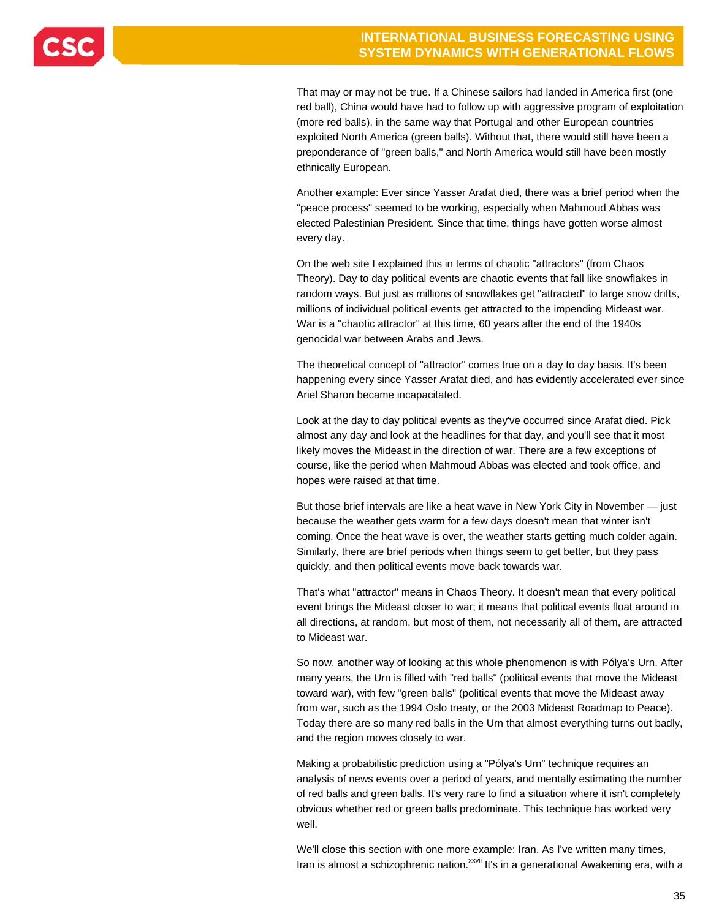

That may or may not be true. If a Chinese sailors had landed in America first (one red ball), China would have had to follow up with aggressive program of exploitation (more red balls), in the same way that Portugal and other European countries exploited North America (green balls). Without that, there would still have been a preponderance of "green balls," and North America would still have been mostly ethnically European.

Another example: Ever since Yasser Arafat died, there was a brief period when the "peace process" seemed to be working, especially when Mahmoud Abbas was elected Palestinian President. Since that time, things have gotten worse almost every day.

On the web site I explained this in terms of chaotic "attractors" (from Chaos Theory). Day to day political events are chaotic events that fall like snowflakes in random ways. But just as millions of snowflakes get "attracted" to large snow drifts, millions of individual political events get attracted to the impending Mideast war. War is a "chaotic attractor" at this time, 60 years after the end of the 1940s genocidal war between Arabs and Jews.

The theoretical concept of "attractor" comes true on a day to day basis. It's been happening every since Yasser Arafat died, and has evidently accelerated ever since Ariel Sharon became incapacitated.

Look at the day to day political events as they've occurred since Arafat died. Pick almost any day and look at the headlines for that day, and you'll see that it most likely moves the Mideast in the direction of war. There are a few exceptions of course, like the period when Mahmoud Abbas was elected and took office, and hopes were raised at that time.

But those brief intervals are like a heat wave in New York City in November — just because the weather gets warm for a few days doesn't mean that winter isn't coming. Once the heat wave is over, the weather starts getting much colder again. Similarly, there are brief periods when things seem to get better, but they pass quickly, and then political events move back towards war.

That's what "attractor" means in Chaos Theory. It doesn't mean that every political event brings the Mideast closer to war; it means that political events float around in all directions, at random, but most of them, not necessarily all of them, are attracted to Mideast war.

So now, another way of looking at this whole phenomenon is with Pólya's Urn. After many years, the Urn is filled with "red balls" (political events that move the Mideast toward war), with few "green balls" (political events that move the Mideast away from war, such as the 1994 Oslo treaty, or the 2003 Mideast Roadmap to Peace). Today there are so many red balls in the Urn that almost everything turns out badly, and the region moves closely to war.

Making a probabilistic prediction using a "Pólya's Urn" technique requires an analysis of news events over a period of years, and mentally estimating the number of red balls and green balls. It's very rare to find a situation where it isn't completely obvious whether red or green balls predominate. This technique has worked very well.

We'll close this section with one more example: Iran. As I've written many times, Iran is almost a schizophrenic nation.<sup>xxvii</sup> It's in a generational Awakening era, with a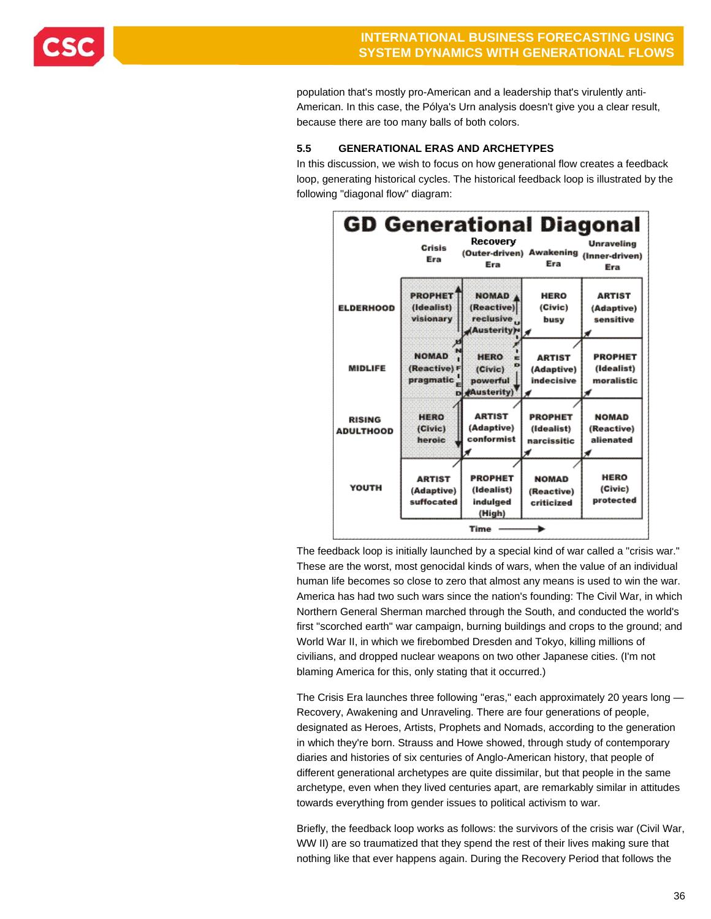

population that's mostly pro-American and a leadership that's virulently anti-American. In this case, the Pólya's Urn analysis doesn't give you a clear result, because there are too many balls of both colors.

### **5.5 GENERATIONAL ERAS AND ARCHETYPES**

In this discussion, we wish to focus on how generational flow creates a feedback loop, generating historical cycles. The historical feedback loop is illustrated by the following "diagonal flow" diagram:



The feedback loop is initially launched by a special kind of war called a "crisis war." These are the worst, most genocidal kinds of wars, when the value of an individual human life becomes so close to zero that almost any means is used to win the war. America has had two such wars since the nation's founding: The Civil War, in which Northern General Sherman marched through the South, and conducted the world's first "scorched earth" war campaign, burning buildings and crops to the ground; and World War II, in which we firebombed Dresden and Tokyo, killing millions of civilians, and dropped nuclear weapons on two other Japanese cities. (I'm not blaming America for this, only stating that it occurred.)

The Crisis Era launches three following "eras," each approximately 20 years long — Recovery, Awakening and Unraveling. There are four generations of people, designated as Heroes, Artists, Prophets and Nomads, according to the generation in which they're born. Strauss and Howe showed, through study of contemporary diaries and histories of six centuries of Anglo-American history, that people of different generational archetypes are quite dissimilar, but that people in the same archetype, even when they lived centuries apart, are remarkably similar in attitudes towards everything from gender issues to political activism to war.

Briefly, the feedback loop works as follows: the survivors of the crisis war (Civil War, WW II) are so traumatized that they spend the rest of their lives making sure that nothing like that ever happens again. During the Recovery Period that follows the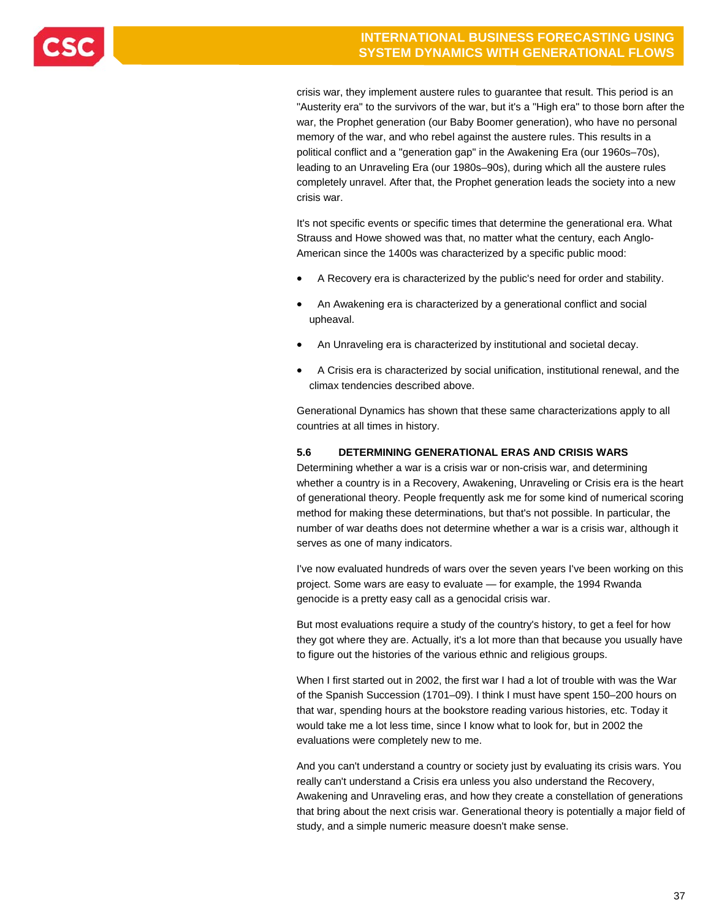

crisis war, they implement austere rules to guarantee that result. This period is an "Austerity era" to the survivors of the war, but it's a "High era" to those born after the war, the Prophet generation (our Baby Boomer generation), who have no personal memory of the war, and who rebel against the austere rules. This results in a political conflict and a "generation gap" in the Awakening Era (our 1960s–70s), leading to an Unraveling Era (our 1980s–90s), during which all the austere rules completely unravel. After that, the Prophet generation leads the society into a new crisis war.

It's not specific events or specific times that determine the generational era. What Strauss and Howe showed was that, no matter what the century, each Anglo-American since the 1400s was characterized by a specific public mood:

- A Recovery era is characterized by the public's need for order and stability.
- An Awakening era is characterized by a generational conflict and social upheaval.
- An Unraveling era is characterized by institutional and societal decay.
- A Crisis era is characterized by social unification, institutional renewal, and the climax tendencies described above.

Generational Dynamics has shown that these same characterizations apply to all countries at all times in history.

### **5.6 DETERMINING GENERATIONAL ERAS AND CRISIS WARS**

Determining whether a war is a crisis war or non-crisis war, and determining whether a country is in a Recovery, Awakening, Unraveling or Crisis era is the heart of generational theory. People frequently ask me for some kind of numerical scoring method for making these determinations, but that's not possible. In particular, the number of war deaths does not determine whether a war is a crisis war, although it serves as one of many indicators.

I've now evaluated hundreds of wars over the seven years I've been working on this project. Some wars are easy to evaluate — for example, the 1994 Rwanda genocide is a pretty easy call as a genocidal crisis war.

But most evaluations require a study of the country's history, to get a feel for how they got where they are. Actually, it's a lot more than that because you usually have to figure out the histories of the various ethnic and religious groups.

When I first started out in 2002, the first war I had a lot of trouble with was the War of the Spanish Succession (1701–09). I think I must have spent 150–200 hours on that war, spending hours at the bookstore reading various histories, etc. Today it would take me a lot less time, since I know what to look for, but in 2002 the evaluations were completely new to me.

And you can't understand a country or society just by evaluating its crisis wars. You really can't understand a Crisis era unless you also understand the Recovery, Awakening and Unraveling eras, and how they create a constellation of generations that bring about the next crisis war. Generational theory is potentially a major field of study, and a simple numeric measure doesn't make sense.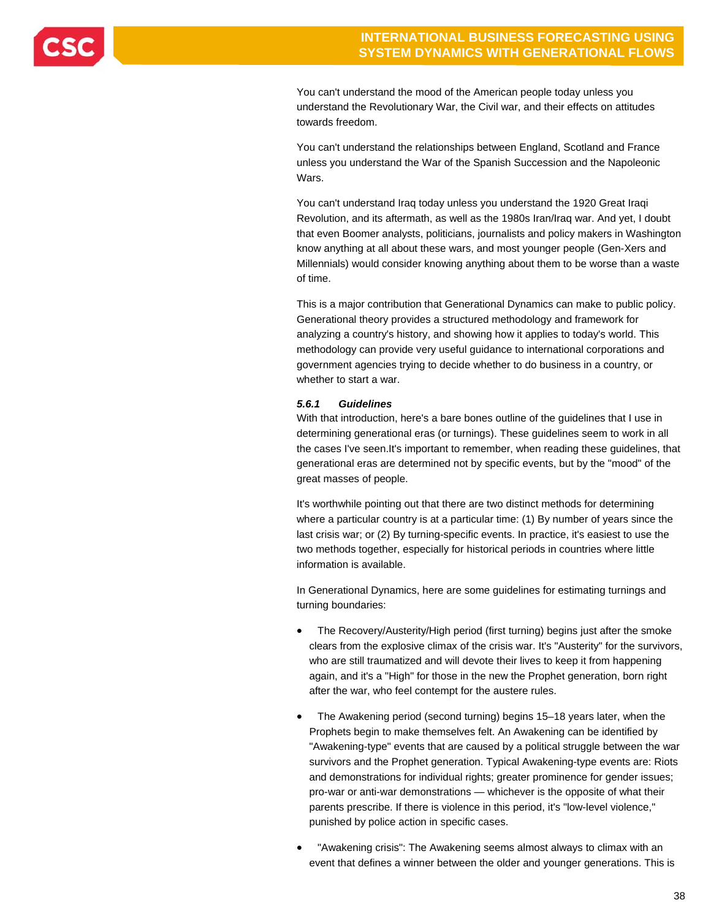

You can't understand the mood of the American people today unless you understand the Revolutionary War, the Civil war, and their effects on attitudes towards freedom.

You can't understand the relationships between England, Scotland and France unless you understand the War of the Spanish Succession and the Napoleonic Wars.

You can't understand Iraq today unless you understand the 1920 Great Iraqi Revolution, and its aftermath, as well as the 1980s Iran/Iraq war. And yet, I doubt that even Boomer analysts, politicians, journalists and policy makers in Washington know anything at all about these wars, and most younger people (Gen-Xers and Millennials) would consider knowing anything about them to be worse than a waste of time.

This is a major contribution that Generational Dynamics can make to public policy. Generational theory provides a structured methodology and framework for analyzing a country's history, and showing how it applies to today's world. This methodology can provide very useful guidance to international corporations and government agencies trying to decide whether to do business in a country, or whether to start a war.

### *5.6.1 Guidelines*

With that introduction, here's a bare bones outline of the guidelines that I use in determining generational eras (or turnings). These guidelines seem to work in all the cases I've seen.It's important to remember, when reading these guidelines, that generational eras are determined not by specific events, but by the "mood" of the great masses of people.

It's worthwhile pointing out that there are two distinct methods for determining where a particular country is at a particular time: (1) By number of years since the last crisis war; or (2) By turning-specific events. In practice, it's easiest to use the two methods together, especially for historical periods in countries where little information is available.

In Generational Dynamics, here are some guidelines for estimating turnings and turning boundaries:

- The Recovery/Austerity/High period (first turning) begins just after the smoke clears from the explosive climax of the crisis war. It's "Austerity" for the survivors, who are still traumatized and will devote their lives to keep it from happening again, and it's a "High" for those in the new the Prophet generation, born right after the war, who feel contempt for the austere rules.
- The Awakening period (second turning) begins 15–18 years later, when the Prophets begin to make themselves felt. An Awakening can be identified by "Awakening-type" events that are caused by a political struggle between the war survivors and the Prophet generation. Typical Awakening-type events are: Riots and demonstrations for individual rights; greater prominence for gender issues; pro-war or anti-war demonstrations — whichever is the opposite of what their parents prescribe. If there is violence in this period, it's "low-level violence," punished by police action in specific cases.
- "Awakening crisis": The Awakening seems almost always to climax with an event that defines a winner between the older and younger generations. This is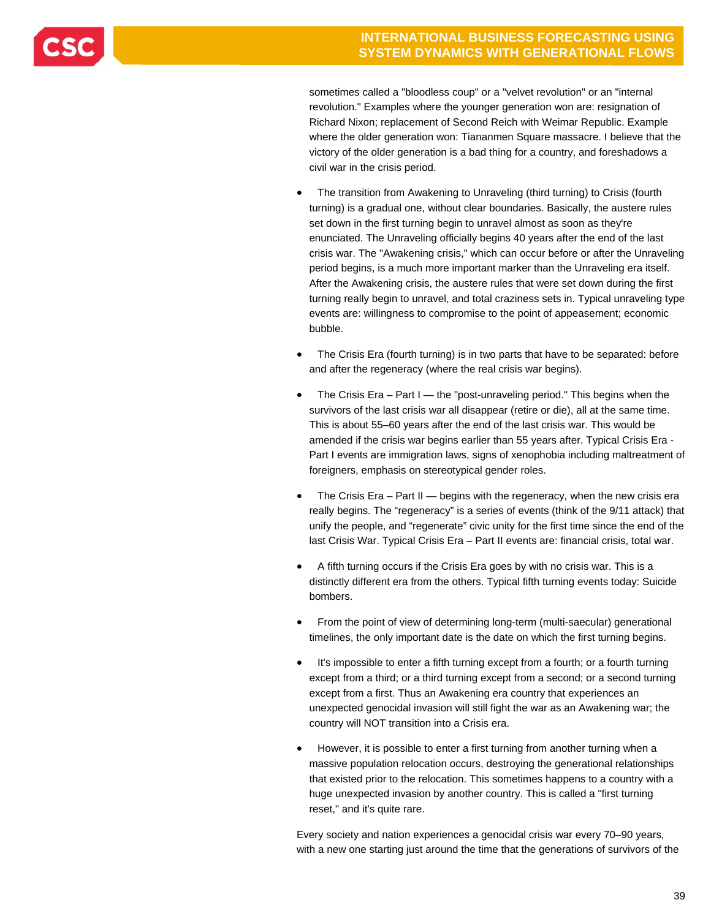sometimes called a "bloodless coup" or a "velvet revolution" or an "internal revolution." Examples where the younger generation won are: resignation of Richard Nixon; replacement of Second Reich with Weimar Republic. Example where the older generation won: Tiananmen Square massacre. I believe that the victory of the older generation is a bad thing for a country, and foreshadows a civil war in the crisis period.

- The transition from Awakening to Unraveling (third turning) to Crisis (fourth turning) is a gradual one, without clear boundaries. Basically, the austere rules set down in the first turning begin to unravel almost as soon as they're enunciated. The Unraveling officially begins 40 years after the end of the last crisis war. The "Awakening crisis," which can occur before or after the Unraveling period begins, is a much more important marker than the Unraveling era itself. After the Awakening crisis, the austere rules that were set down during the first turning really begin to unravel, and total craziness sets in. Typical unraveling type events are: willingness to compromise to the point of appeasement; economic bubble.
- The Crisis Era (fourth turning) is in two parts that have to be separated: before and after the regeneracy (where the real crisis war begins).
- The Crisis Era Part I the "post-unraveling period." This begins when the survivors of the last crisis war all disappear (retire or die), all at the same time. This is about 55–60 years after the end of the last crisis war. This would be amended if the crisis war begins earlier than 55 years after. Typical Crisis Era - Part I events are immigration laws, signs of xenophobia including maltreatment of foreigners, emphasis on stereotypical gender roles.
- The Crisis Era Part II begins with the regeneracy, when the new crisis era really begins. The "regeneracy" is a series of events (think of the 9/11 attack) that unify the people, and "regenerate" civic unity for the first time since the end of the last Crisis War. Typical Crisis Era – Part II events are: financial crisis, total war.
- A fifth turning occurs if the Crisis Era goes by with no crisis war. This is a distinctly different era from the others. Typical fifth turning events today: Suicide bombers.
- From the point of view of determining long-term (multi-saecular) generational timelines, the only important date is the date on which the first turning begins.
- It's impossible to enter a fifth turning except from a fourth; or a fourth turning except from a third; or a third turning except from a second; or a second turning except from a first. Thus an Awakening era country that experiences an unexpected genocidal invasion will still fight the war as an Awakening war; the country will NOT transition into a Crisis era.
- However, it is possible to enter a first turning from another turning when a massive population relocation occurs, destroying the generational relationships that existed prior to the relocation. This sometimes happens to a country with a huge unexpected invasion by another country. This is called a "first turning reset," and it's quite rare.

Every society and nation experiences a genocidal crisis war every 70–90 years, with a new one starting just around the time that the generations of survivors of the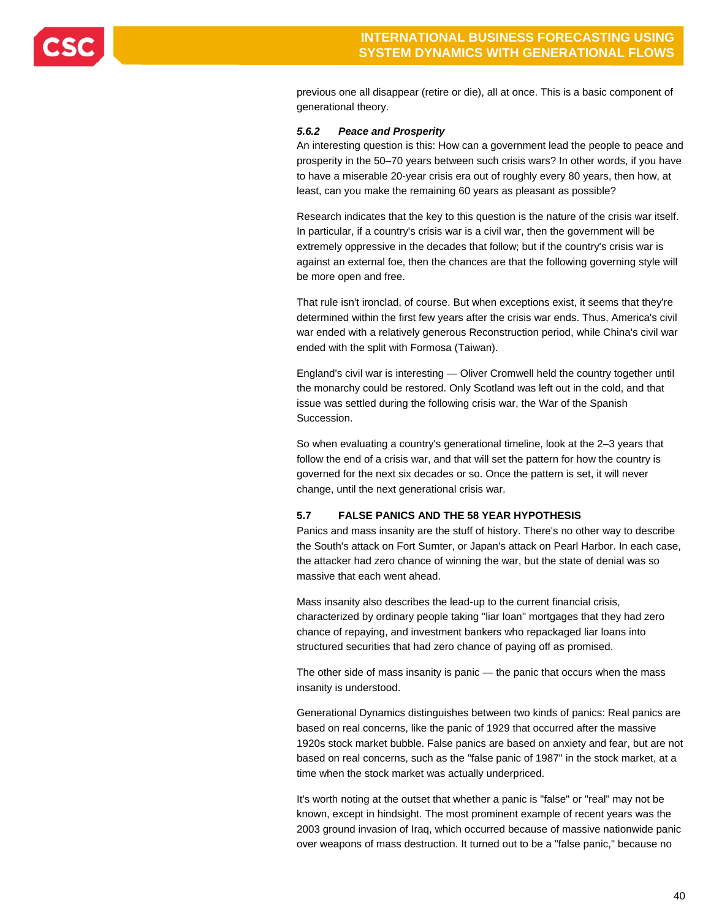

previous one all disappear (retire or die), all at once. This is a basic component of generational theory.

#### *5.6.2 Peace and Prosperity*

An interesting question is this: How can a government lead the people to peace and prosperity in the 50–70 years between such crisis wars? In other words, if you have to have a miserable 20-year crisis era out of roughly every 80 years, then how, at least, can you make the remaining 60 years as pleasant as possible?

Research indicates that the key to this question is the nature of the crisis war itself. In particular, if a country's crisis war is a civil war, then the government will be extremely oppressive in the decades that follow; but if the country's crisis war is against an external foe, then the chances are that the following governing style will be more open and free.

That rule isn't ironclad, of course. But when exceptions exist, it seems that they're determined within the first few years after the crisis war ends. Thus, America's civil war ended with a relatively generous Reconstruction period, while China's civil war ended with the split with Formosa (Taiwan).

England's civil war is interesting — Oliver Cromwell held the country together until the monarchy could be restored. Only Scotland was left out in the cold, and that issue was settled during the following crisis war, the War of the Spanish Succession.

So when evaluating a country's generational timeline, look at the 2–3 years that follow the end of a crisis war, and that will set the pattern for how the country is governed for the next six decades or so. Once the pattern is set, it will never change, until the next generational crisis war.

### **5.7 FALSE PANICS AND THE 58 YEAR HYPOTHESIS**

Panics and mass insanity are the stuff of history. There's no other way to describe the South's attack on Fort Sumter, or Japan's attack on Pearl Harbor. In each case, the attacker had zero chance of winning the war, but the state of denial was so massive that each went ahead.

Mass insanity also describes the lead-up to the current financial crisis, characterized by ordinary people taking "liar loan" mortgages that they had zero chance of repaying, and investment bankers who repackaged liar loans into structured securities that had zero chance of paying off as promised.

The other side of mass insanity is panic — the panic that occurs when the mass insanity is understood.

Generational Dynamics distinguishes between two kinds of panics: Real panics are based on real concerns, like the panic of 1929 that occurred after the massive 1920s stock market bubble. False panics are based on anxiety and fear, but are not based on real concerns, such as the "false panic of 1987" in the stock market, at a time when the stock market was actually underpriced.

It's worth noting at the outset that whether a panic is "false" or "real" may not be known, except in hindsight. The most prominent example of recent years was the 2003 ground invasion of Iraq, which occurred because of massive nationwide panic over weapons of mass destruction. It turned out to be a "false panic," because no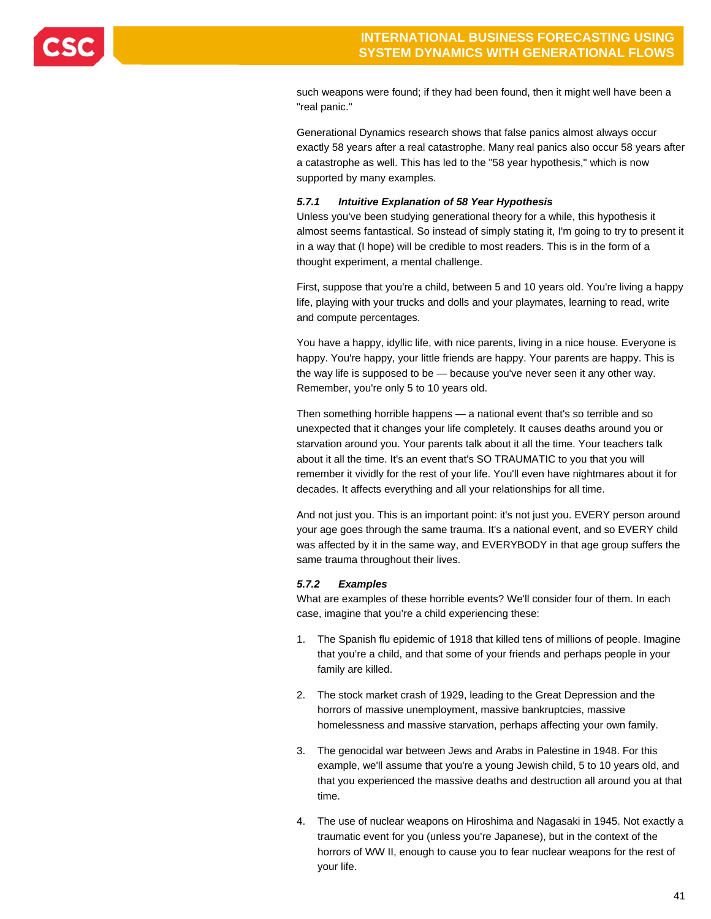

such weapons were found; if they had been found, then it might well have been a "real panic."

Generational Dynamics research shows that false panics almost always occur exactly 58 years after a real catastrophe. Many real panics also occur 58 years after a catastrophe as well. This has led to the "58 year hypothesis," which is now supported by many examples.

#### *5.7.1 Intuitive Explanation of 58 Year Hypothesis*

Unless you've been studying generational theory for a while, this hypothesis it almost seems fantastical. So instead of simply stating it, I'm going to try to present it in a way that (I hope) will be credible to most readers. This is in the form of a thought experiment, a mental challenge.

First, suppose that you're a child, between 5 and 10 years old. You're living a happy life, playing with your trucks and dolls and your playmates, learning to read, write and compute percentages.

You have a happy, idyllic life, with nice parents, living in a nice house. Everyone is happy. You're happy, your little friends are happy. Your parents are happy. This is the way life is supposed to be — because you've never seen it any other way. Remember, you're only 5 to 10 years old.

Then something horrible happens — a national event that's so terrible and so unexpected that it changes your life completely. It causes deaths around you or starvation around you. Your parents talk about it all the time. Your teachers talk about it all the time. It's an event that's SO TRAUMATIC to you that you will remember it vividly for the rest of your life. You'll even have nightmares about it for decades. It affects everything and all your relationships for all time.

And not just you. This is an important point: it's not just you. EVERY person around your age goes through the same trauma. It's a national event, and so EVERY child was affected by it in the same way, and EVERYBODY in that age group suffers the same trauma throughout their lives.

#### *5.7.2 Examples*

What are examples of these horrible events? We'll consider four of them. In each case, imagine that you're a child experiencing these:

- 1. The Spanish flu epidemic of 1918 that killed tens of millions of people. Imagine that you're a child, and that some of your friends and perhaps people in your family are killed.
- 2. The stock market crash of 1929, leading to the Great Depression and the horrors of massive unemployment, massive bankruptcies, massive homelessness and massive starvation, perhaps affecting your own family.
- 3. The genocidal war between Jews and Arabs in Palestine in 1948. For this example, we'll assume that you're a young Jewish child, 5 to 10 years old, and that you experienced the massive deaths and destruction all around you at that time.
- 4. The use of nuclear weapons on Hiroshima and Nagasaki in 1945. Not exactly a traumatic event for you (unless you're Japanese), but in the context of the horrors of WW II, enough to cause you to fear nuclear weapons for the rest of your life.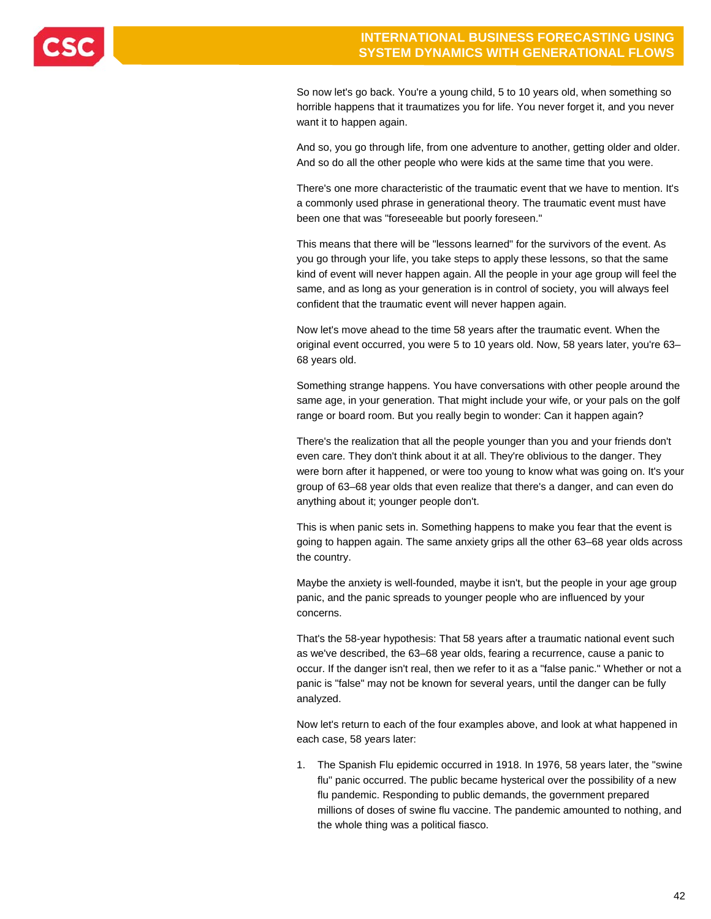

So now let's go back. You're a young child, 5 to 10 years old, when something so horrible happens that it traumatizes you for life. You never forget it, and you never want it to happen again.

And so, you go through life, from one adventure to another, getting older and older. And so do all the other people who were kids at the same time that you were.

There's one more characteristic of the traumatic event that we have to mention. It's a commonly used phrase in generational theory. The traumatic event must have been one that was "foreseeable but poorly foreseen."

This means that there will be "lessons learned" for the survivors of the event. As you go through your life, you take steps to apply these lessons, so that the same kind of event will never happen again. All the people in your age group will feel the same, and as long as your generation is in control of society, you will always feel confident that the traumatic event will never happen again.

Now let's move ahead to the time 58 years after the traumatic event. When the original event occurred, you were 5 to 10 years old. Now, 58 years later, you're 63– 68 years old.

Something strange happens. You have conversations with other people around the same age, in your generation. That might include your wife, or your pals on the golf range or board room. But you really begin to wonder: Can it happen again?

There's the realization that all the people younger than you and your friends don't even care. They don't think about it at all. They're oblivious to the danger. They were born after it happened, or were too young to know what was going on. It's your group of 63–68 year olds that even realize that there's a danger, and can even do anything about it; younger people don't.

This is when panic sets in. Something happens to make you fear that the event is going to happen again. The same anxiety grips all the other 63–68 year olds across the country.

Maybe the anxiety is well-founded, maybe it isn't, but the people in your age group panic, and the panic spreads to younger people who are influenced by your concerns.

That's the 58-year hypothesis: That 58 years after a traumatic national event such as we've described, the 63–68 year olds, fearing a recurrence, cause a panic to occur. If the danger isn't real, then we refer to it as a "false panic." Whether or not a panic is "false" may not be known for several years, until the danger can be fully analyzed.

Now let's return to each of the four examples above, and look at what happened in each case, 58 years later:

1. The Spanish Flu epidemic occurred in 1918. In 1976, 58 years later, the "swine flu" panic occurred. The public became hysterical over the possibility of a new flu pandemic. Responding to public demands, the government prepared millions of doses of swine flu vaccine. The pandemic amounted to nothing, and the whole thing was a political fiasco.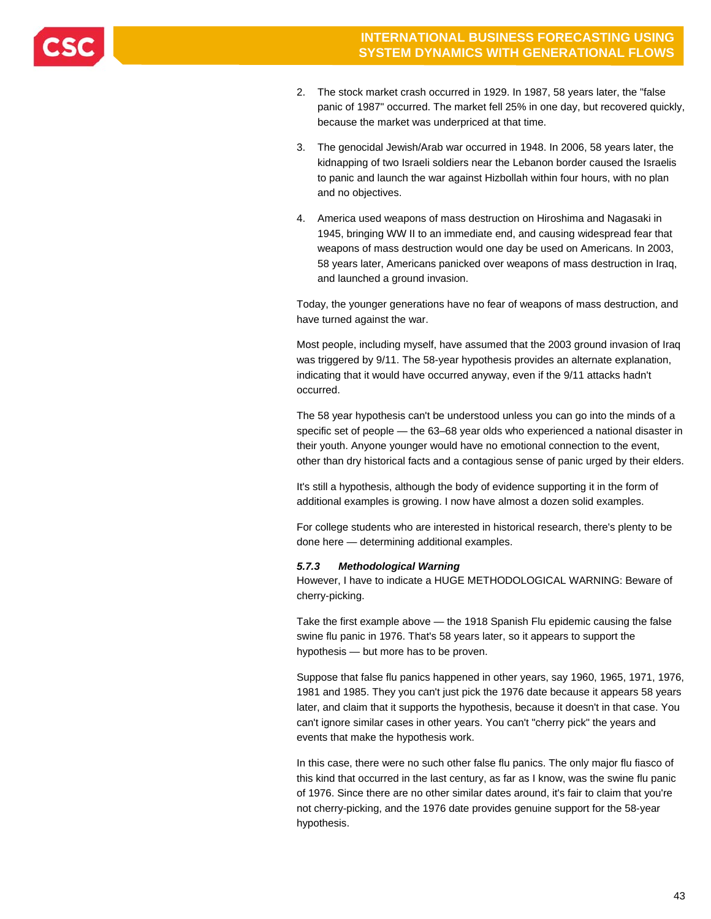

- 2. The stock market crash occurred in 1929. In 1987, 58 years later, the "false panic of 1987" occurred. The market fell 25% in one day, but recovered quickly, because the market was underpriced at that time.
- 3. The genocidal Jewish/Arab war occurred in 1948. In 2006, 58 years later, the kidnapping of two Israeli soldiers near the Lebanon border caused the Israelis to panic and launch the war against Hizbollah within four hours, with no plan and no objectives.
- 4. America used weapons of mass destruction on Hiroshima and Nagasaki in 1945, bringing WW II to an immediate end, and causing widespread fear that weapons of mass destruction would one day be used on Americans. In 2003, 58 years later, Americans panicked over weapons of mass destruction in Iraq, and launched a ground invasion.

Today, the younger generations have no fear of weapons of mass destruction, and have turned against the war.

Most people, including myself, have assumed that the 2003 ground invasion of Iraq was triggered by 9/11. The 58-year hypothesis provides an alternate explanation, indicating that it would have occurred anyway, even if the 9/11 attacks hadn't occurred.

The 58 year hypothesis can't be understood unless you can go into the minds of a specific set of people — the 63–68 year olds who experienced a national disaster in their youth. Anyone younger would have no emotional connection to the event, other than dry historical facts and a contagious sense of panic urged by their elders.

It's still a hypothesis, although the body of evidence supporting it in the form of additional examples is growing. I now have almost a dozen solid examples.

For college students who are interested in historical research, there's plenty to be done here — determining additional examples.

### *5.7.3 Methodological Warning*

However, I have to indicate a HUGE METHODOLOGICAL WARNING: Beware of cherry-picking.

Take the first example above — the 1918 Spanish Flu epidemic causing the false swine flu panic in 1976. That's 58 years later, so it appears to support the hypothesis — but more has to be proven.

Suppose that false flu panics happened in other years, say 1960, 1965, 1971, 1976, 1981 and 1985. They you can't just pick the 1976 date because it appears 58 years later, and claim that it supports the hypothesis, because it doesn't in that case. You can't ignore similar cases in other years. You can't "cherry pick" the years and events that make the hypothesis work.

In this case, there were no such other false flu panics. The only major flu fiasco of this kind that occurred in the last century, as far as I know, was the swine flu panic of 1976. Since there are no other similar dates around, it's fair to claim that you're not cherry-picking, and the 1976 date provides genuine support for the 58-year hypothesis.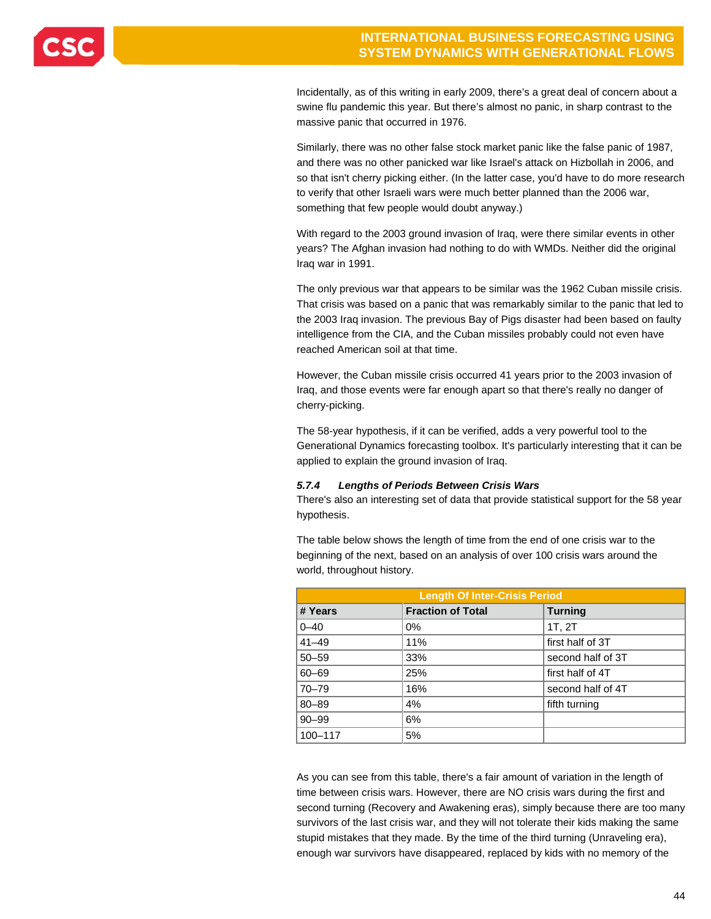

Incidentally, as of this writing in early 2009, there's a great deal of concern about a swine flu pandemic this year. But there's almost no panic, in sharp contrast to the massive panic that occurred in 1976.

Similarly, there was no other false stock market panic like the false panic of 1987, and there was no other panicked war like Israel's attack on Hizbollah in 2006, and so that isn't cherry picking either. (In the latter case, you'd have to do more research to verify that other Israeli wars were much better planned than the 2006 war, something that few people would doubt anyway.)

With regard to the 2003 ground invasion of Iraq, were there similar events in other years? The Afghan invasion had nothing to do with WMDs. Neither did the original Iraq war in 1991.

The only previous war that appears to be similar was the 1962 Cuban missile crisis. That crisis was based on a panic that was remarkably similar to the panic that led to the 2003 Iraq invasion. The previous Bay of Pigs disaster had been based on faulty intelligence from the CIA, and the Cuban missiles probably could not even have reached American soil at that time.

However, the Cuban missile crisis occurred 41 years prior to the 2003 invasion of Iraq, and those events were far enough apart so that there's really no danger of cherry-picking.

The 58-year hypothesis, if it can be verified, adds a very powerful tool to the Generational Dynamics forecasting toolbox. It's particularly interesting that it can be applied to explain the ground invasion of Iraq.

### *5.7.4 Lengths of Periods Between Crisis Wars*

There's also an interesting set of data that provide statistical support for the 58 year hypothesis.

The table below shows the length of time from the end of one crisis war to the beginning of the next, based on an analysis of over 100 crisis wars around the world, throughout history.

| <b>Length Of Inter-Crisis Period</b> |                          |                   |  |  |  |  |
|--------------------------------------|--------------------------|-------------------|--|--|--|--|
| # Years                              | <b>Fraction of Total</b> | <b>Turning</b>    |  |  |  |  |
| $0 - 40$                             | 0%                       | 1T, 2T            |  |  |  |  |
| $41 - 49$                            | 11%                      | first half of 3T  |  |  |  |  |
| $50 - 59$                            | 33%                      | second half of 3T |  |  |  |  |
| $60 - 69$                            | 25%                      | first half of 4T  |  |  |  |  |
| $70 - 79$                            | 16%                      | second half of 4T |  |  |  |  |
| $80 - 89$                            | 4%                       | fifth turning     |  |  |  |  |
| $90 - 99$                            | 6%                       |                   |  |  |  |  |
| $100 - 117$                          | 5%                       |                   |  |  |  |  |

As you can see from this table, there's a fair amount of variation in the length of time between crisis wars. However, there are NO crisis wars during the first and second turning (Recovery and Awakening eras), simply because there are too many survivors of the last crisis war, and they will not tolerate their kids making the same stupid mistakes that they made. By the time of the third turning (Unraveling era), enough war survivors have disappeared, replaced by kids with no memory of the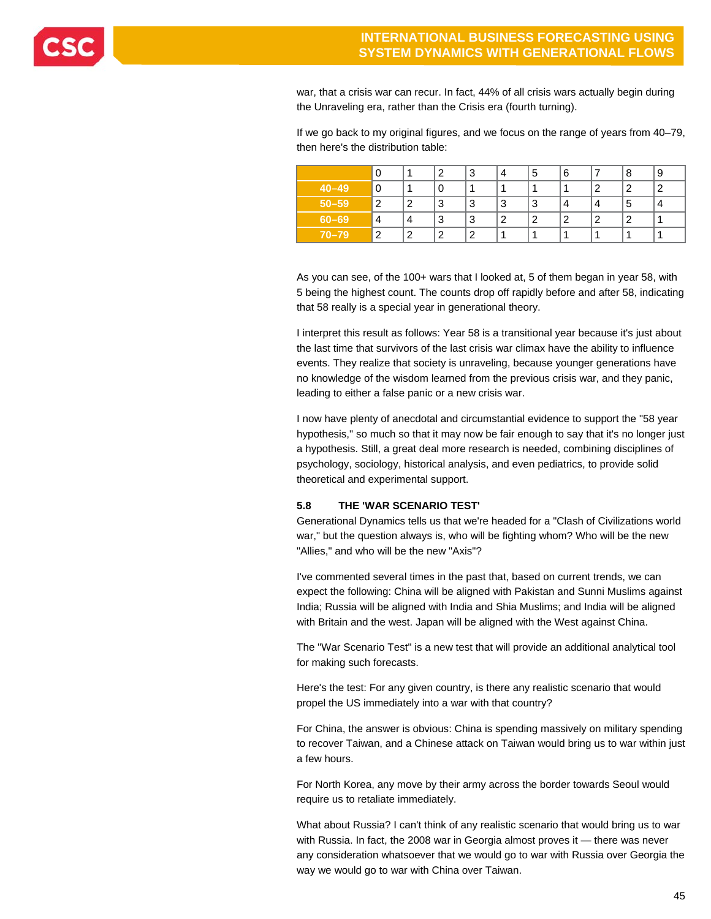

war, that a crisis war can recur. In fact, 44% of all crisis wars actually begin during the Unraveling era, rather than the Crisis era (fourth turning).

If we go back to my original figures, and we focus on the range of years from 40–79, then here's the distribution table:

|           |   |        | ີ      | 3 | 4 | 5 | 6 |   | 8 | 9 |
|-----------|---|--------|--------|---|---|---|---|---|---|---|
| $40 - 49$ |   |        |        |   |   |   |   | າ | າ | ົ |
| $50 - 59$ | ົ | ົ      | 3      | 3 | 3 | 3 | 4 | 4 | 5 |   |
| $60 - 69$ | 4 | 4      | 3      | 3 | ာ | 2 | 2 | 2 | າ |   |
| $70 - 79$ | ົ | $\sim$ | $\sim$ | ີ |   |   |   |   |   |   |

As you can see, of the 100+ wars that I looked at, 5 of them began in year 58, with 5 being the highest count. The counts drop off rapidly before and after 58, indicating that 58 really is a special year in generational theory.

I interpret this result as follows: Year 58 is a transitional year because it's just about the last time that survivors of the last crisis war climax have the ability to influence events. They realize that society is unraveling, because younger generations have no knowledge of the wisdom learned from the previous crisis war, and they panic, leading to either a false panic or a new crisis war.

I now have plenty of anecdotal and circumstantial evidence to support the "58 year hypothesis," so much so that it may now be fair enough to say that it's no longer just a hypothesis. Still, a great deal more research is needed, combining disciplines of psychology, sociology, historical analysis, and even pediatrics, to provide solid theoretical and experimental support.

### **5.8 THE 'WAR SCENARIO TEST'**

Generational Dynamics tells us that we're headed for a "Clash of Civilizations world war," but the question always is, who will be fighting whom? Who will be the new "Allies," and who will be the new "Axis"?

I've commented several times in the past that, based on current trends, we can expect the following: China will be aligned with Pakistan and Sunni Muslims against India; Russia will be aligned with India and Shia Muslims; and India will be aligned with Britain and the west. Japan will be aligned with the West against China.

The "War Scenario Test" is a new test that will provide an additional analytical tool for making such forecasts.

Here's the test: For any given country, is there any realistic scenario that would propel the US immediately into a war with that country?

For China, the answer is obvious: China is spending massively on military spending to recover Taiwan, and a Chinese attack on Taiwan would bring us to war within just a few hours.

For North Korea, any move by their army across the border towards Seoul would require us to retaliate immediately.

What about Russia? I can't think of any realistic scenario that would bring us to war with Russia. In fact, the 2008 war in Georgia almost proves it — there was never any consideration whatsoever that we would go to war with Russia over Georgia the way we would go to war with China over Taiwan.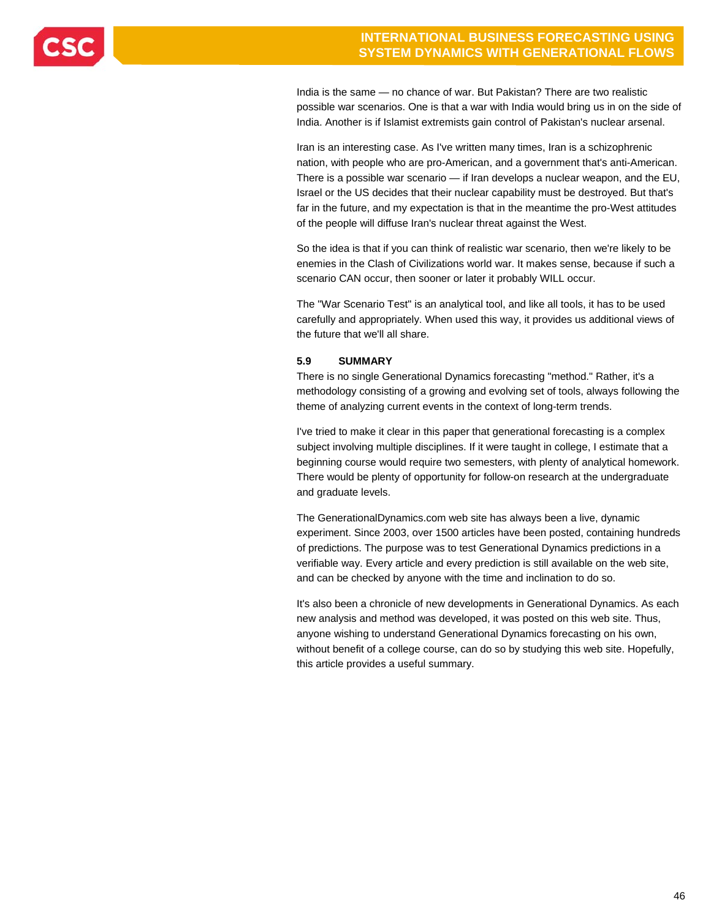

India is the same — no chance of war. But Pakistan? There are two realistic possible war scenarios. One is that a war with India would bring us in on the side of India. Another is if Islamist extremists gain control of Pakistan's nuclear arsenal.

Iran is an interesting case. As I've written many times, Iran is a schizophrenic nation, with people who are pro-American, and a government that's anti-American. There is a possible war scenario — if Iran develops a nuclear weapon, and the EU, Israel or the US decides that their nuclear capability must be destroyed. But that's far in the future, and my expectation is that in the meantime the pro-West attitudes of the people will diffuse Iran's nuclear threat against the West.

So the idea is that if you can think of realistic war scenario, then we're likely to be enemies in the Clash of Civilizations world war. It makes sense, because if such a scenario CAN occur, then sooner or later it probably WILL occur.

The "War Scenario Test" is an analytical tool, and like all tools, it has to be used carefully and appropriately. When used this way, it provides us additional views of the future that we'll all share.

### **5.9 SUMMARY**

There is no single Generational Dynamics forecasting "method." Rather, it's a methodology consisting of a growing and evolving set of tools, always following the theme of analyzing current events in the context of long-term trends.

I've tried to make it clear in this paper that generational forecasting is a complex subject involving multiple disciplines. If it were taught in college, I estimate that a beginning course would require two semesters, with plenty of analytical homework. There would be plenty of opportunity for follow-on research at the undergraduate and graduate levels.

The GenerationalDynamics.com web site has always been a live, dynamic experiment. Since 2003, over 1500 articles have been posted, containing hundreds of predictions. The purpose was to test Generational Dynamics predictions in a verifiable way. Every article and every prediction is still available on the web site, and can be checked by anyone with the time and inclination to do so.

It's also been a chronicle of new developments in Generational Dynamics. As each new analysis and method was developed, it was posted on this web site. Thus, anyone wishing to understand Generational Dynamics forecasting on his own, without benefit of a college course, can do so by studying this web site. Hopefully, this article provides a useful summary.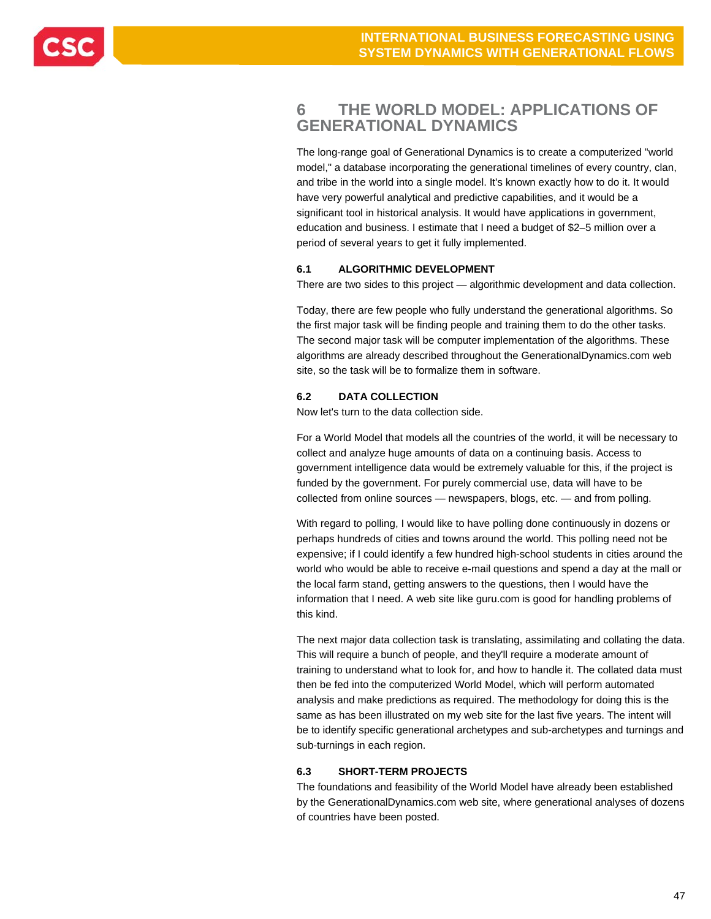

### **6 THE WORLD MODEL: APPLICATIONS OF GENERATIONAL DYNAMICS**

The long-range goal of Generational Dynamics is to create a computerized "world model," a database incorporating the generational timelines of every country, clan, and tribe in the world into a single model. It's known exactly how to do it. It would have very powerful analytical and predictive capabilities, and it would be a significant tool in historical analysis. It would have applications in government, education and business. I estimate that I need a budget of \$2–5 million over a period of several years to get it fully implemented.

### **6.1 ALGORITHMIC DEVELOPMENT**

There are two sides to this project — algorithmic development and data collection.

Today, there are few people who fully understand the generational algorithms. So the first major task will be finding people and training them to do the other tasks. The second major task will be computer implementation of the algorithms. These algorithms are already described throughout the GenerationalDynamics.com web site, so the task will be to formalize them in software.

### **6.2 DATA COLLECTION**

Now let's turn to the data collection side.

For a World Model that models all the countries of the world, it will be necessary to collect and analyze huge amounts of data on a continuing basis. Access to government intelligence data would be extremely valuable for this, if the project is funded by the government. For purely commercial use, data will have to be collected from online sources — newspapers, blogs, etc. — and from polling.

With regard to polling, I would like to have polling done continuously in dozens or perhaps hundreds of cities and towns around the world. This polling need not be expensive; if I could identify a few hundred high-school students in cities around the world who would be able to receive e-mail questions and spend a day at the mall or the local farm stand, getting answers to the questions, then I would have the information that I need. A web site like guru.com is good for handling problems of this kind.

The next major data collection task is translating, assimilating and collating the data. This will require a bunch of people, and they'll require a moderate amount of training to understand what to look for, and how to handle it. The collated data must then be fed into the computerized World Model, which will perform automated analysis and make predictions as required. The methodology for doing this is the same as has been illustrated on my web site for the last five years. The intent will be to identify specific generational archetypes and sub-archetypes and turnings and sub-turnings in each region.

### **6.3 SHORT-TERM PROJECTS**

The foundations and feasibility of the World Model have already been established by the GenerationalDynamics.com web site, where generational analyses of dozens of countries have been posted.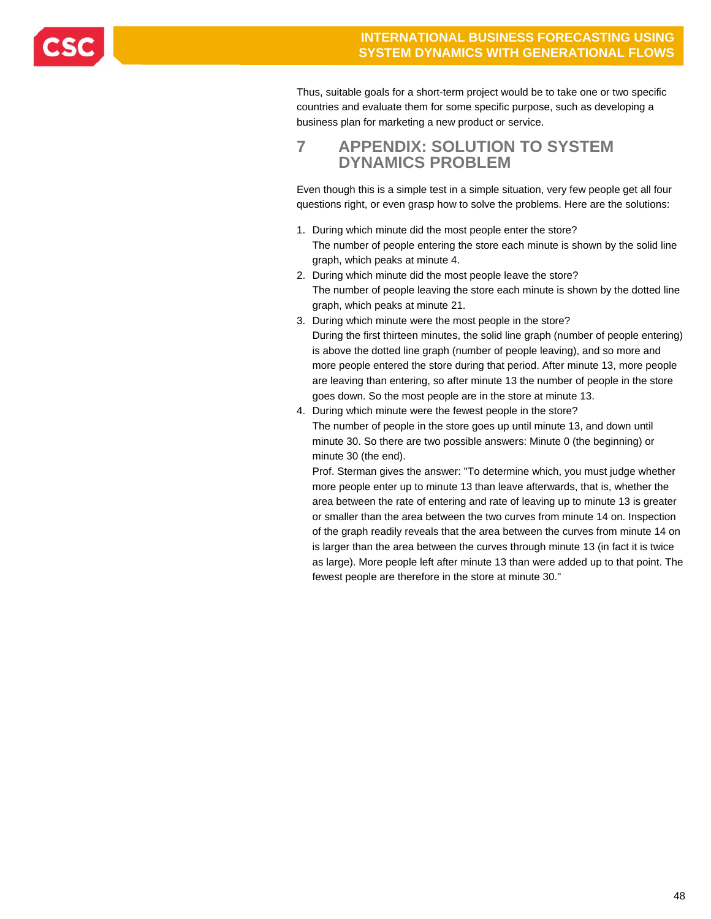

Thus, suitable goals for a short-term project would be to take one or two specific countries and evaluate them for some specific purpose, such as developing a business plan for marketing a new product or service.

### **7 APPENDIX: SOLUTION TO SYSTEM DYNAMICS PROBLEM**

Even though this is a simple test in a simple situation, very few people get all four questions right, or even grasp how to solve the problems. Here are the solutions:

- 1. During which minute did the most people enter the store? The number of people entering the store each minute is shown by the solid line graph, which peaks at minute 4.
- 2. During which minute did the most people leave the store? The number of people leaving the store each minute is shown by the dotted line graph, which peaks at minute 21.
- 3. During which minute were the most people in the store? During the first thirteen minutes, the solid line graph (number of people entering) is above the dotted line graph (number of people leaving), and so more and more people entered the store during that period. After minute 13, more people are leaving than entering, so after minute 13 the number of people in the store goes down. So the most people are in the store at minute 13.
- 4. During which minute were the fewest people in the store? The number of people in the store goes up until minute 13, and down until minute 30. So there are two possible answers: Minute 0 (the beginning) or minute 30 (the end).

 Prof. Sterman gives the answer: "To determine which, you must judge whether more people enter up to minute 13 than leave afterwards, that is, whether the area between the rate of entering and rate of leaving up to minute 13 is greater or smaller than the area between the two curves from minute 14 on. Inspection of the graph readily reveals that the area between the curves from minute 14 on is larger than the area between the curves through minute 13 (in fact it is twice as large). More people left after minute 13 than were added up to that point. The fewest people are therefore in the store at minute 30."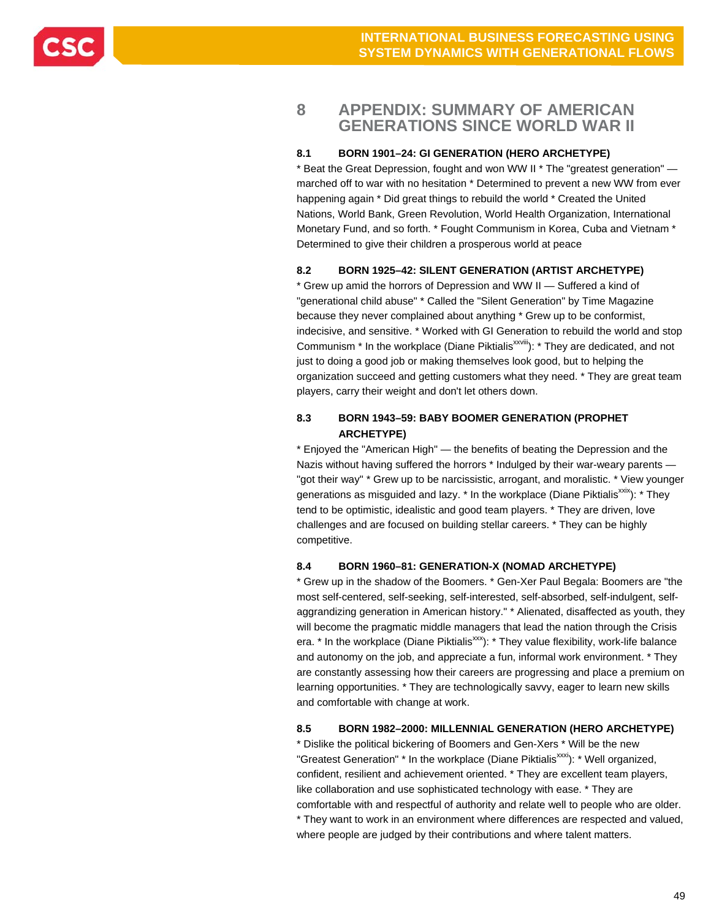

### **8 APPENDIX: SUMMARY OF AMERICAN GENERATIONS SINCE WORLD WAR II**

### **8.1 BORN 1901–24: GI GENERATION (HERO ARCHETYPE)**

\* Beat the Great Depression, fought and won WW II \* The "greatest generation" marched off to war with no hesitation \* Determined to prevent a new WW from ever happening again \* Did great things to rebuild the world \* Created the United Nations, World Bank, Green Revolution, World Health Organization, International Monetary Fund, and so forth. \* Fought Communism in Korea, Cuba and Vietnam \* Determined to give their children a prosperous world at peace

### **8.2 BORN 1925–42: SILENT GENERATION (ARTIST ARCHETYPE)**

\* Grew up amid the horrors of Depression and WW II — Suffered a kind of "generational child abuse" \* Called the "Silent Generation" by Time Magazine because they never complained about anything \* Grew up to be conformist, indecisive, and sensitive. \* Worked with GI Generation to rebuild the world and stop Communism \* In the workplace (Diane Piktialis<sup>xxviii</sup>): \* They are dedicated, and not just to doing a good job or making themselves look good, but to helping the organization succeed and getting customers what they need. \* They are great team players, carry their weight and don't let others down.

### **8.3 BORN 1943–59: BABY BOOMER GENERATION (PROPHET ARCHETYPE)**

\* Enjoyed the "American High" — the benefits of beating the Depression and the Nazis without having suffered the horrors \* Indulged by their war-weary parents -"got their way" \* Grew up to be narcissistic, arrogant, and moralistic. \* View younger generations as misguided and lazy.  $*$  In the workplace (Diane Piktialis<sup> $x$ xix</sup>):  $*$  They tend to be optimistic, idealistic and good team players. \* They are driven, love challenges and are focused on building stellar careers. \* They can be highly competitive.

#### **8.4 BORN 1960–81: GENERATION-X (NOMAD ARCHETYPE)**

\* Grew up in the shadow of the Boomers. \* Gen-Xer Paul Begala: Boomers are "the most self-centered, self-seeking, self-interested, self-absorbed, self-indulgent, selfaggrandizing generation in American history." \* Alienated, disaffected as youth, they will become the pragmatic middle managers that lead the nation through the Crisis era.  $*$  In the workplace (Diane Piktialis<sup>xxx</sup>):  $*$  They value flexibility, work-life balance and autonomy on the job, and appreciate a fun, informal work environment. \* They are constantly assessing how their careers are progressing and place a premium on learning opportunities. \* They are technologically savvy, eager to learn new skills and comfortable with change at work.

### **8.5 BORN 1982–2000: MILLENNIAL GENERATION (HERO ARCHETYPE)**

\* Dislike the political bickering of Boomers and Gen-Xers \* Will be the new "Greatest Generation" \* In the workplace (Diane Piktialis<sup>xxxi</sup>): \* Well organized, confident, resilient and achievement oriented. \* They are excellent team players, like collaboration and use sophisticated technology with ease. \* They are comfortable with and respectful of authority and relate well to people who are older. \* They want to work in an environment where differences are respected and valued, where people are judged by their contributions and where talent matters.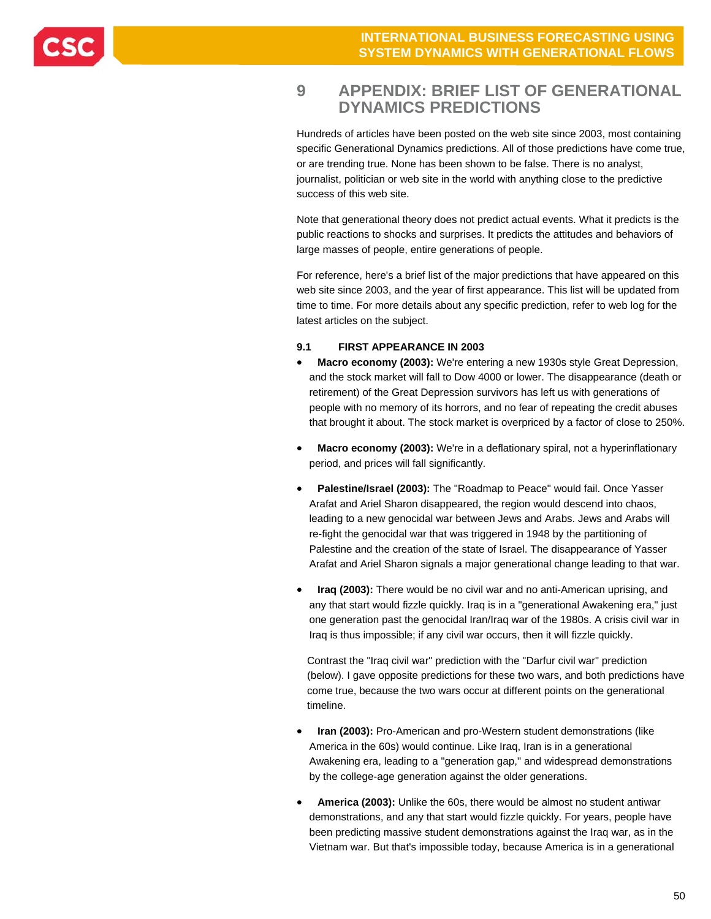### **9 APPENDIX: BRIEF LIST OF GENERATIONAL DYNAMICS PREDICTIONS**

Hundreds of articles have been posted on the web site since 2003, most containing specific Generational Dynamics predictions. All of those predictions have come true, or are trending true. None has been shown to be false. There is no analyst, journalist, politician or web site in the world with anything close to the predictive success of this web site.

Note that generational theory does not predict actual events. What it predicts is the public reactions to shocks and surprises. It predicts the attitudes and behaviors of large masses of people, entire generations of people.

For reference, here's a brief list of the major predictions that have appeared on this web site since 2003, and the year of first appearance. This list will be updated from time to time. For more details about any specific prediction, refer to web log for the latest articles on the subject.

### **9.1 FIRST APPEARANCE IN 2003**

- **Macro economy (2003):** We're entering a new 1930s style Great Depression, and the stock market will fall to Dow 4000 or lower. The disappearance (death or retirement) of the Great Depression survivors has left us with generations of people with no memory of its horrors, and no fear of repeating the credit abuses that brought it about. The stock market is overpriced by a factor of close to 250%.
- **Macro economy (2003):** We're in a deflationary spiral, not a hyperinflationary period, and prices will fall significantly.
- **Palestine/Israel (2003):** The "Roadmap to Peace" would fail. Once Yasser Arafat and Ariel Sharon disappeared, the region would descend into chaos, leading to a new genocidal war between Jews and Arabs. Jews and Arabs will re-fight the genocidal war that was triggered in 1948 by the partitioning of Palestine and the creation of the state of Israel. The disappearance of Yasser Arafat and Ariel Sharon signals a major generational change leading to that war.
- **Iraq (2003):** There would be no civil war and no anti-American uprising, and any that start would fizzle quickly. Iraq is in a "generational Awakening era," just one generation past the genocidal Iran/Iraq war of the 1980s. A crisis civil war in Iraq is thus impossible; if any civil war occurs, then it will fizzle quickly.

Contrast the "Iraq civil war" prediction with the "Darfur civil war" prediction (below). I gave opposite predictions for these two wars, and both predictions have come true, because the two wars occur at different points on the generational timeline.

- **Iran (2003):** Pro-American and pro-Western student demonstrations (like America in the 60s) would continue. Like Iraq, Iran is in a generational Awakening era, leading to a "generation gap," and widespread demonstrations by the college-age generation against the older generations.
- **America (2003):** Unlike the 60s, there would be almost no student antiwar demonstrations, and any that start would fizzle quickly. For years, people have been predicting massive student demonstrations against the Iraq war, as in the Vietnam war. But that's impossible today, because America is in a generational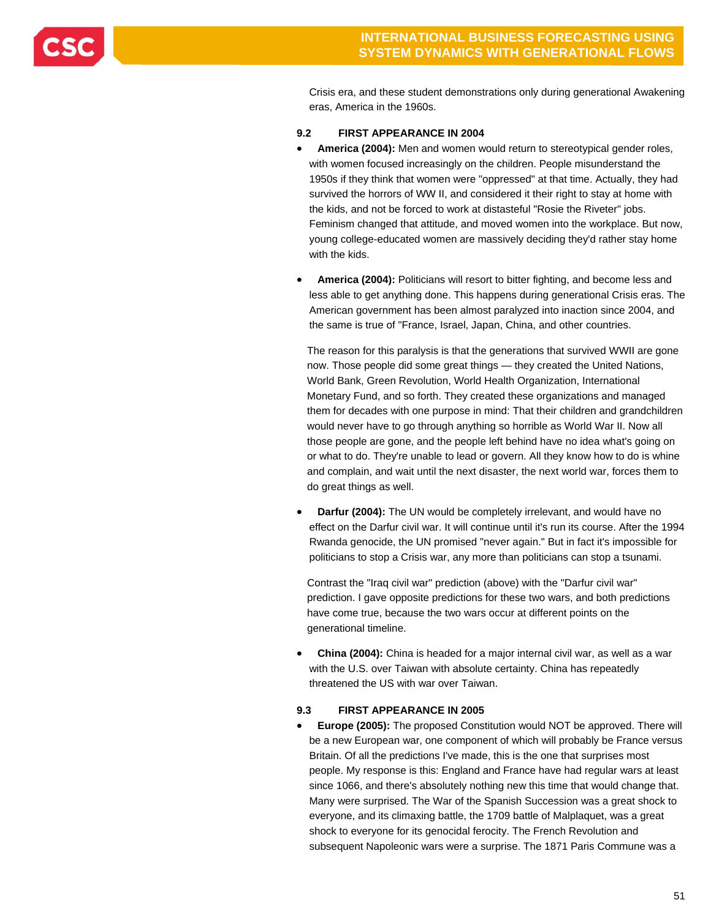

Crisis era, and these student demonstrations only during generational Awakening eras, America in the 1960s.

### **9.2 FIRST APPEARANCE IN 2004**

- **America (2004):** Men and women would return to stereotypical gender roles, with women focused increasingly on the children. People misunderstand the 1950s if they think that women were "oppressed" at that time. Actually, they had survived the horrors of WW II, and considered it their right to stay at home with the kids, and not be forced to work at distasteful "Rosie the Riveter" jobs. Feminism changed that attitude, and moved women into the workplace. But now, young college-educated women are massively deciding they'd rather stay home with the kids.
- **America (2004):** Politicians will resort to bitter fighting, and become less and less able to get anything done. This happens during generational Crisis eras. The American government has been almost paralyzed into inaction since 2004, and the same is true of "France, Israel, Japan, China, and other countries.

The reason for this paralysis is that the generations that survived WWII are gone now. Those people did some great things — they created the United Nations, World Bank, Green Revolution, World Health Organization, International Monetary Fund, and so forth. They created these organizations and managed them for decades with one purpose in mind: That their children and grandchildren would never have to go through anything so horrible as World War II. Now all those people are gone, and the people left behind have no idea what's going on or what to do. They're unable to lead or govern. All they know how to do is whine and complain, and wait until the next disaster, the next world war, forces them to do great things as well.

 **Darfur (2004):** The UN would be completely irrelevant, and would have no effect on the Darfur civil war. It will continue until it's run its course. After the 1994 Rwanda genocide, the UN promised "never again." But in fact it's impossible for politicians to stop a Crisis war, any more than politicians can stop a tsunami.

Contrast the "Iraq civil war" prediction (above) with the "Darfur civil war" prediction. I gave opposite predictions for these two wars, and both predictions have come true, because the two wars occur at different points on the generational timeline.

 **China (2004):** China is headed for a major internal civil war, as well as a war with the U.S. over Taiwan with absolute certainty. China has repeatedly threatened the US with war over Taiwan.

### **9.3 FIRST APPEARANCE IN 2005**

 **Europe (2005):** The proposed Constitution would NOT be approved. There will be a new European war, one component of which will probably be France versus Britain. Of all the predictions I've made, this is the one that surprises most people. My response is this: England and France have had regular wars at least since 1066, and there's absolutely nothing new this time that would change that. Many were surprised. The War of the Spanish Succession was a great shock to everyone, and its climaxing battle, the 1709 battle of Malplaquet, was a great shock to everyone for its genocidal ferocity. The French Revolution and subsequent Napoleonic wars were a surprise. The 1871 Paris Commune was a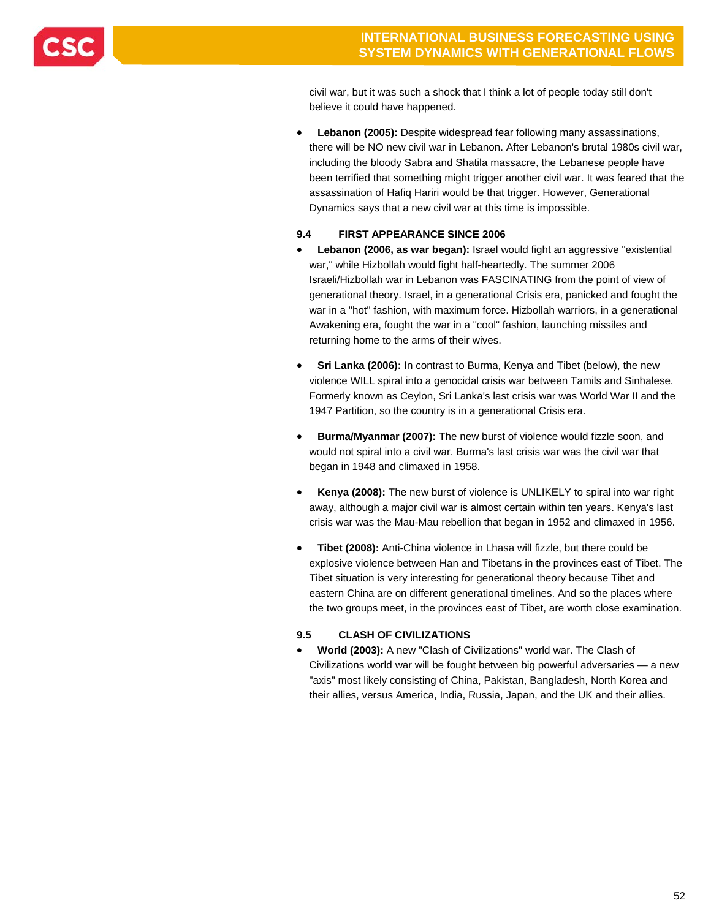

civil war, but it was such a shock that I think a lot of people today still don't believe it could have happened.

 **Lebanon (2005):** Despite widespread fear following many assassinations, there will be NO new civil war in Lebanon. After Lebanon's brutal 1980s civil war, including the bloody Sabra and Shatila massacre, the Lebanese people have been terrified that something might trigger another civil war. It was feared that the assassination of Hafiq Hariri would be that trigger. However, Generational Dynamics says that a new civil war at this time is impossible.

### **9.4 FIRST APPEARANCE SINCE 2006**

- **Lebanon (2006, as war began):** Israel would fight an aggressive "existential war," while Hizbollah would fight half-heartedly. The summer 2006 Israeli/Hizbollah war in Lebanon was FASCINATING from the point of view of generational theory. Israel, in a generational Crisis era, panicked and fought the war in a "hot" fashion, with maximum force. Hizbollah warriors, in a generational Awakening era, fought the war in a "cool" fashion, launching missiles and returning home to the arms of their wives.
- **Sri Lanka (2006):** In contrast to Burma, Kenya and Tibet (below), the new violence WILL spiral into a genocidal crisis war between Tamils and Sinhalese. Formerly known as Ceylon, Sri Lanka's last crisis war was World War II and the 1947 Partition, so the country is in a generational Crisis era.
- **Burma/Myanmar (2007):** The new burst of violence would fizzle soon, and would not spiral into a civil war. Burma's last crisis war was the civil war that began in 1948 and climaxed in 1958.
- **Kenya (2008):** The new burst of violence is UNLIKELY to spiral into war right away, although a major civil war is almost certain within ten years. Kenya's last crisis war was the Mau-Mau rebellion that began in 1952 and climaxed in 1956.
- **Tibet (2008):** Anti-China violence in Lhasa will fizzle, but there could be explosive violence between Han and Tibetans in the provinces east of Tibet. The Tibet situation is very interesting for generational theory because Tibet and eastern China are on different generational timelines. And so the places where the two groups meet, in the provinces east of Tibet, are worth close examination.

### **9.5 CLASH OF CIVILIZATIONS**

 **World (2003):** A new "Clash of Civilizations" world war. The Clash of Civilizations world war will be fought between big powerful adversaries — a new "axis" most likely consisting of China, Pakistan, Bangladesh, North Korea and their allies, versus America, India, Russia, Japan, and the UK and their allies.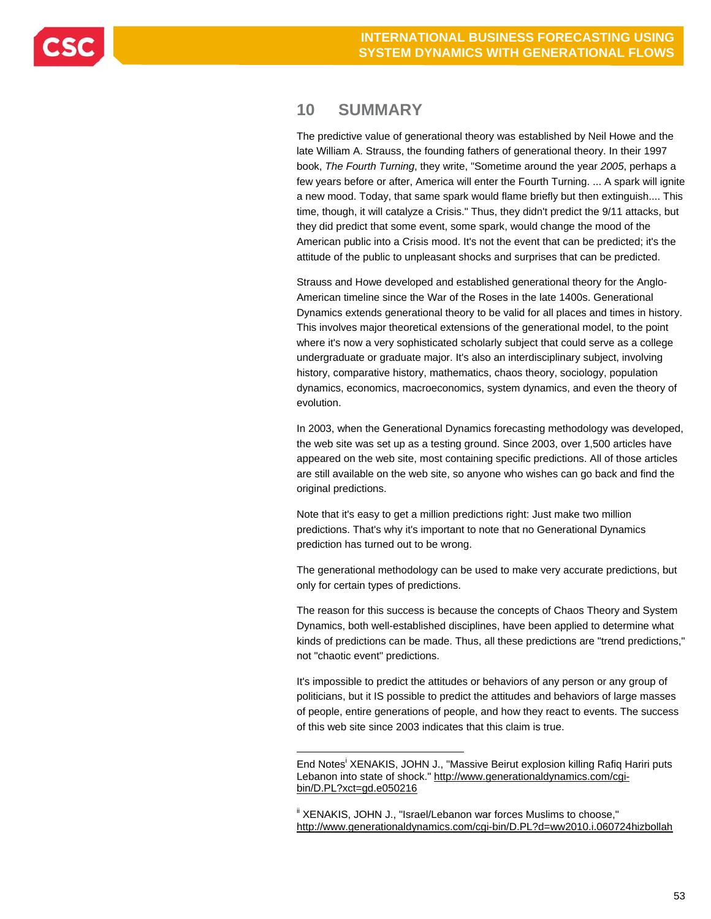## **10 SUMMARY**

l

The predictive value of generational theory was established by Neil Howe and the late William A. Strauss, the founding fathers of generational theory. In their 1997 book, *The Fourth Turning*, they write, "Sometime around the year *2005*, perhaps a few years before or after, America will enter the Fourth Turning. ... A spark will ignite a new mood. Today, that same spark would flame briefly but then extinguish.... This time, though, it will catalyze a Crisis." Thus, they didn't predict the 9/11 attacks, but they did predict that some event, some spark, would change the mood of the American public into a Crisis mood. It's not the event that can be predicted; it's the attitude of the public to unpleasant shocks and surprises that can be predicted.

Strauss and Howe developed and established generational theory for the Anglo-American timeline since the War of the Roses in the late 1400s. Generational Dynamics extends generational theory to be valid for all places and times in history. This involves major theoretical extensions of the generational model, to the point where it's now a very sophisticated scholarly subject that could serve as a college undergraduate or graduate major. It's also an interdisciplinary subject, involving history, comparative history, mathematics, chaos theory, sociology, population dynamics, economics, macroeconomics, system dynamics, and even the theory of evolution.

In 2003, when the Generational Dynamics forecasting methodology was developed, the web site was set up as a testing ground. Since 2003, over 1,500 articles have appeared on the web site, most containing specific predictions. All of those articles are still available on the web site, so anyone who wishes can go back and find the original predictions.

Note that it's easy to get a million predictions right: Just make two million predictions. That's why it's important to note that no Generational Dynamics prediction has turned out to be wrong.

The generational methodology can be used to make very accurate predictions, but only for certain types of predictions.

The reason for this success is because the concepts of Chaos Theory and System Dynamics, both well-established disciplines, have been applied to determine what kinds of predictions can be made. Thus, all these predictions are "trend predictions," not "chaotic event" predictions.

It's impossible to predict the attitudes or behaviors of any person or any group of politicians, but it IS possible to predict the attitudes and behaviors of large masses of people, entire generations of people, and how they react to events. The success of this web site since 2003 indicates that this claim is true.

End Notes<sup>i</sup> XENAKIS, JOHN J., "Massive Beirut explosion killing Rafiq Hariri puts Lebanon into state of shock." http://www.generationaldynamics.com/cgibin/D.PL?xct=gd.e050216

 $\mathsf{ii}$  XENAKIS, JOHN J., "Israel/Lebanon war forces Muslims to choose," http://www.generationaldynamics.com/cgi-bin/D.PL?d=ww2010.i.060724hizbollah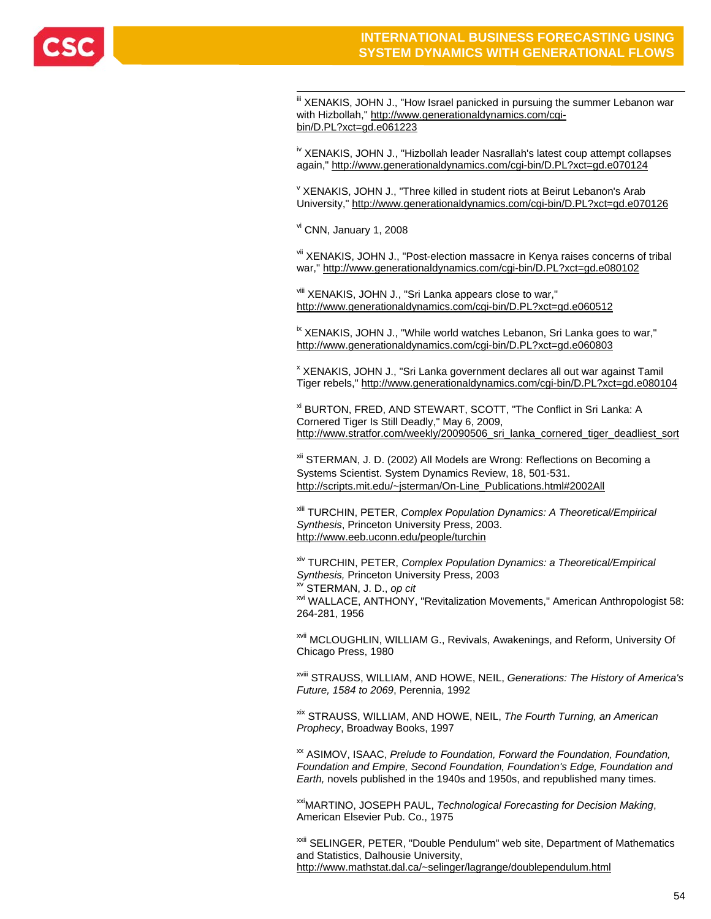

" XENAKIS, JOHN J., "How Israel panicked in pursuing the summer Lebanon war with Hizbollah," http://www.generationaldynamics.com/cgibin/D.PL?xct=gd.e061223

iv XENAKIS, JOHN J., "Hizbollah leader Nasrallah's latest coup attempt collapses again," http://www.generationaldynamics.com/cgi-bin/D.PL?xct=gd.e070124

v XENAKIS, JOHN J., "Three killed in student riots at Beirut Lebanon's Arab University," http://www.generationaldynamics.com/cgi-bin/D.PL?xct=gd.e070126

vi CNN, January 1, 2008

vii XENAKIS, JOHN J., "Post-election massacre in Kenya raises concerns of tribal war," http://www.generationaldynamics.com/cgi-bin/D.PL?xct=gd.e080102

viii XENAKIS, JOHN J., "Sri Lanka appears close to war," http://www.generationaldynamics.com/cgi-bin/D.PL?xct=gd.e060512

<sup>ix</sup> XENAKIS, JOHN J., "While world watches Lebanon, Sri Lanka goes to war," http://www.generationaldynamics.com/cgi-bin/D.PL?xct=gd.e060803

x XENAKIS, JOHN J., "Sri Lanka government declares all out war against Tamil Tiger rebels," http://www.generationaldynamics.com/cgi-bin/D.PL?xct=gd.e080104

xi BURTON, FRED, AND STEWART, SCOTT, "The Conflict in Sri Lanka: A Cornered Tiger Is Still Deadly," May 6, 2009, http://www.stratfor.com/weekly/20090506\_sri\_lanka\_cornered\_tiger\_deadliest\_sort

xii STERMAN, J. D. (2002) All Models are Wrong: Reflections on Becoming a Systems Scientist. System Dynamics Review, 18, 501-531. http://scripts.mit.edu/~jsterman/On-Line\_Publications.html#2002All

xiii TURCHIN, PETER, *Complex Population Dynamics: A Theoretical/Empirical Synthesis*, Princeton University Press, 2003. http://www.eeb.uconn.edu/people/turchin

xiv TURCHIN, PETER, *Complex Population Dynamics: a Theoretical/Empirical Synthesis,* Princeton University Press, 2003 xv STERMAN, J. D., *op cit*

xvi WALLACE, ANTHONY, "Revitalization Movements," American Anthropologist 58: 264-281, 1956

xvii MCLOUGHLIN, WILLIAM G., Revivals, Awakenings, and Reform, University Of Chicago Press, 1980

xviii STRAUSS, WILLIAM, AND HOWE, NEIL, *Generations: The History of America's Future, 1584 to 2069*, Perennia, 1992

xix STRAUSS, WILLIAM, AND HOWE, NEIL, *The Fourth Turning, an American Prophecy*, Broadway Books, 1997

xx ASIMOV, ISAAC, *Prelude to Foundation, Forward the Foundation, Foundation, Foundation and Empire, Second Foundation, Foundation's Edge, Foundation and Earth,* novels published in the 1940s and 1950s, and republished many times.

xxiMARTINO, JOSEPH PAUL, *Technological Forecasting for Decision Making*, American Elsevier Pub. Co., 1975

xxii SELINGER, PETER, "Double Pendulum" web site, Department of Mathematics and Statistics, Dalhousie University, http://www.mathstat.dal.ca/~selinger/lagrange/doublependulum.html